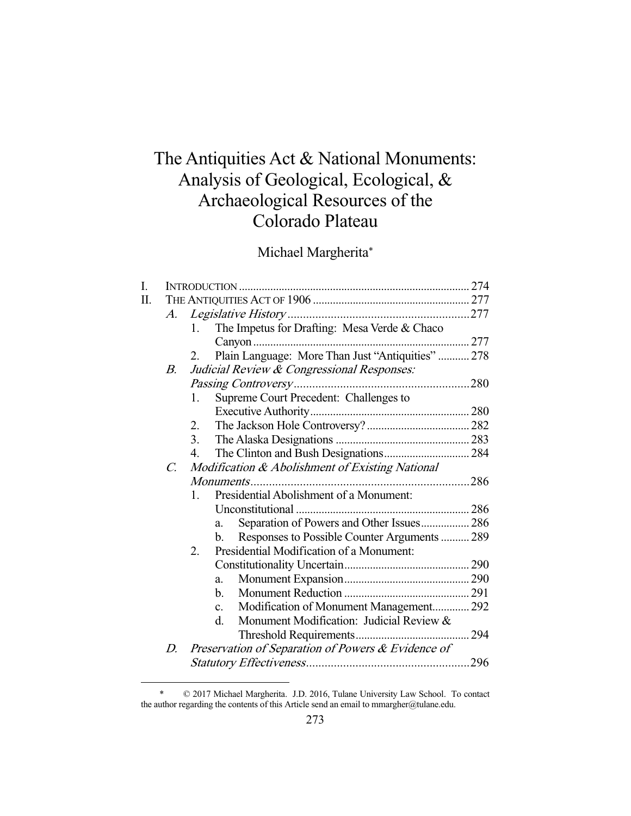# The Antiquities Act & National Monuments: Analysis of Geological, Ecological, & Archaeological Resources of the Colorado Plateau

Michael Margherita\*

| I. |                 |                                                              |  |  |  |
|----|-----------------|--------------------------------------------------------------|--|--|--|
| Π. |                 |                                                              |  |  |  |
|    | $A_{\cdot}$     |                                                              |  |  |  |
|    |                 | The Impetus for Drafting: Mesa Verde & Chaco<br>$1_{\cdots}$ |  |  |  |
|    |                 |                                                              |  |  |  |
|    |                 | Plain Language: More Than Just "Antiquities"  278<br>$2_{-}$ |  |  |  |
|    | В.              | Judicial Review & Congressional Responses:                   |  |  |  |
|    |                 |                                                              |  |  |  |
|    |                 | Supreme Court Precedent: Challenges to<br>1.                 |  |  |  |
|    |                 |                                                              |  |  |  |
|    |                 | 2.                                                           |  |  |  |
|    |                 | 3.                                                           |  |  |  |
|    |                 | 4.                                                           |  |  |  |
|    | $\mathcal{C}$ . | Modification & Abolishment of Existing National              |  |  |  |
|    |                 |                                                              |  |  |  |
|    |                 | Presidential Abolishment of a Monument:<br>$\mathbf{1}$ .    |  |  |  |
|    |                 |                                                              |  |  |  |
|    |                 | Separation of Powers and Other Issues 286<br>a.              |  |  |  |
|    |                 | Responses to Possible Counter Arguments  289<br>b.           |  |  |  |
|    |                 | Presidential Modification of a Monument:<br>2.               |  |  |  |
|    |                 |                                                              |  |  |  |
|    |                 | a.                                                           |  |  |  |
|    |                 | b.                                                           |  |  |  |
|    |                 | Modification of Monument Management 292<br>$\mathbf{c}$ .    |  |  |  |
|    |                 | Monument Modification: Judicial Review &<br>d.               |  |  |  |
|    |                 |                                                              |  |  |  |
|    | D.              | Preservation of Separation of Powers & Evidence of           |  |  |  |
|    |                 |                                                              |  |  |  |
|    |                 |                                                              |  |  |  |

 <sup>\* © 2017</sup> Michael Margherita. J.D. 2016, Tulane University Law School. To contact the author regarding the contents of this Article send an email to mmargher@tulane.edu.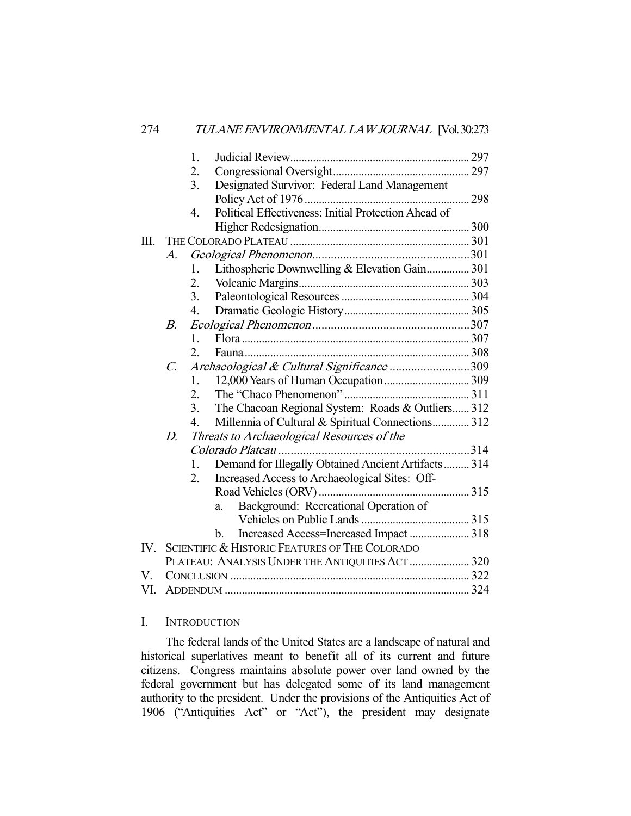|     |                 | 1.                                         |                                                           |  |  |  |
|-----|-----------------|--------------------------------------------|-----------------------------------------------------------|--|--|--|
|     |                 | 2.                                         |                                                           |  |  |  |
|     |                 | 3.                                         | Designated Survivor: Federal Land Management              |  |  |  |
|     |                 |                                            |                                                           |  |  |  |
|     |                 | 4.                                         | Political Effectiveness: Initial Protection Ahead of      |  |  |  |
|     |                 |                                            |                                                           |  |  |  |
| Ш.  |                 |                                            |                                                           |  |  |  |
|     | $A_{\cdot}$     |                                            |                                                           |  |  |  |
|     |                 | 1.                                         | Lithospheric Downwelling & Elevation Gain 301             |  |  |  |
|     |                 | 2.                                         |                                                           |  |  |  |
|     |                 | 3.                                         |                                                           |  |  |  |
|     |                 | $\overline{4}$ .                           |                                                           |  |  |  |
|     | В.              |                                            |                                                           |  |  |  |
|     |                 | 1.                                         |                                                           |  |  |  |
|     |                 | 2.                                         |                                                           |  |  |  |
|     | $\mathcal{C}$ . | Archaeological & Cultural Significance 309 |                                                           |  |  |  |
|     |                 | 1.                                         |                                                           |  |  |  |
|     |                 | 2.                                         |                                                           |  |  |  |
|     |                 | 3.                                         | The Chacoan Regional System: Roads & Outliers 312         |  |  |  |
|     |                 | $\overline{4}$ .                           | Millennia of Cultural & Spiritual Connections 312         |  |  |  |
|     | $D_{\cdot}$     |                                            | Threats to Archaeological Resources of the                |  |  |  |
|     |                 |                                            |                                                           |  |  |  |
|     |                 | $\mathbf{1}$ .                             | Demand for Illegally Obtained Ancient Artifacts 314       |  |  |  |
|     |                 | 2.                                         | Increased Access to Archaeological Sites: Off-            |  |  |  |
|     |                 |                                            |                                                           |  |  |  |
|     |                 |                                            | Background: Recreational Operation of<br>a.               |  |  |  |
|     |                 |                                            |                                                           |  |  |  |
|     |                 |                                            | Increased Access=Increased Impact  318<br>b.              |  |  |  |
| IV. |                 |                                            | <b>SCIENTIFIC &amp; HISTORIC FEATURES OF THE COLORADO</b> |  |  |  |
|     |                 |                                            | PLATEAU: ANALYSIS UNDER THE ANTIQUITIES ACT  320          |  |  |  |
| V.  |                 |                                            |                                                           |  |  |  |
| VI. |                 |                                            |                                                           |  |  |  |

#### I. INTRODUCTION

 The federal lands of the United States are a landscape of natural and historical superlatives meant to benefit all of its current and future citizens. Congress maintains absolute power over land owned by the federal government but has delegated some of its land management authority to the president. Under the provisions of the Antiquities Act of 1906 ("Antiquities Act" or "Act"), the president may designate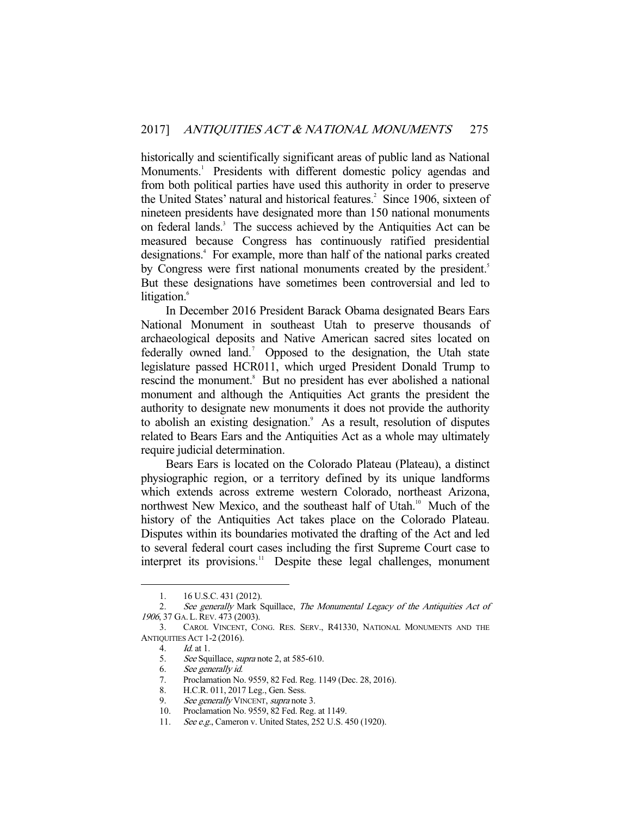historically and scientifically significant areas of public land as National Monuments.<sup>1</sup> Presidents with different domestic policy agendas and from both political parties have used this authority in order to preserve the United States' natural and historical features.<sup>2</sup> Since 1906, sixteen of nineteen presidents have designated more than 150 national monuments on federal lands.<sup>3</sup> The success achieved by the Antiquities Act can be measured because Congress has continuously ratified presidential designations.<sup>4</sup> For example, more than half of the national parks created by Congress were first national monuments created by the president.<sup>5</sup> But these designations have sometimes been controversial and led to litigation.<sup>6</sup>

 In December 2016 President Barack Obama designated Bears Ears National Monument in southeast Utah to preserve thousands of archaeological deposits and Native American sacred sites located on federally owned land.<sup>7</sup> Opposed to the designation, the Utah state legislature passed HCR011, which urged President Donald Trump to rescind the monument.<sup>8</sup> But no president has ever abolished a national monument and although the Antiquities Act grants the president the authority to designate new monuments it does not provide the authority to abolish an existing designation.<sup>9</sup> As a result, resolution of disputes related to Bears Ears and the Antiquities Act as a whole may ultimately require judicial determination.

 Bears Ears is located on the Colorado Plateau (Plateau), a distinct physiographic region, or a territory defined by its unique landforms which extends across extreme western Colorado, northeast Arizona, northwest New Mexico, and the southeast half of Utah.<sup>10</sup> Much of the history of the Antiquities Act takes place on the Colorado Plateau. Disputes within its boundaries motivated the drafting of the Act and led to several federal court cases including the first Supreme Court case to interpret its provisions.<sup>11</sup> Despite these legal challenges, monument

 <sup>1. 16</sup> U.S.C. 431 (2012).

<sup>2.</sup> See generally Mark Squillace, The Monumental Legacy of the Antiquities Act of 1906, 37 GA. L. REV. 473 (2003).

 <sup>3.</sup> CAROL VINCENT, CONG. RES. SERV., R41330, NATIONAL MONUMENTS AND THE ANTIQUITIES ACT 1-2 (2016).

 <sup>4.</sup> Id. at 1.

<sup>5.</sup> See Squillace, *supra* note 2, at 585-610.

 <sup>6.</sup> See generally id.

 <sup>7.</sup> Proclamation No. 9559, 82 Fed. Reg. 1149 (Dec. 28, 2016).

 <sup>8.</sup> H.C.R. 011, 2017 Leg., Gen. Sess.

<sup>9.</sup> See generally VINCENT, supra note 3.

 <sup>10.</sup> Proclamation No. 9559, 82 Fed. Reg. at 1149.

<sup>11.</sup> See e.g., Cameron v. United States, 252 U.S. 450 (1920).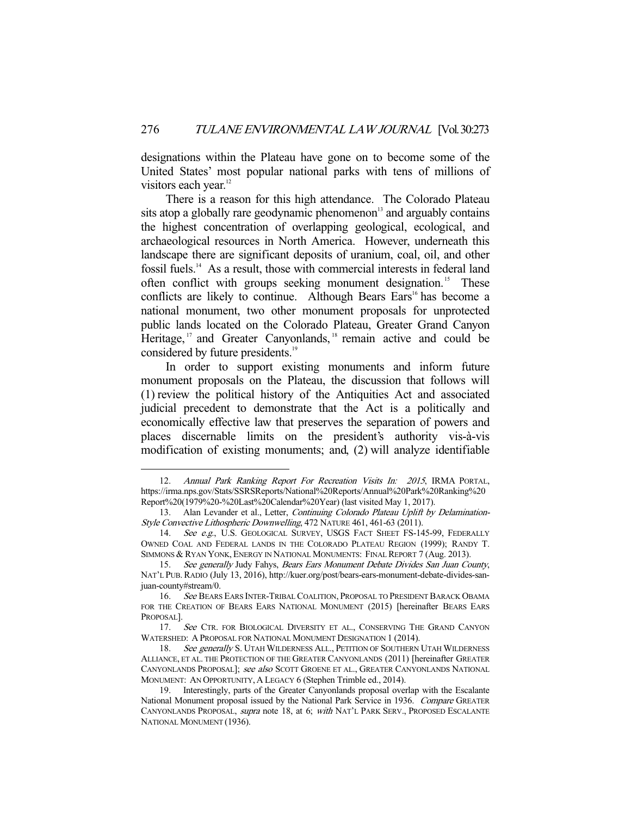designations within the Plateau have gone on to become some of the United States' most popular national parks with tens of millions of visitors each year.<sup>12</sup>

 There is a reason for this high attendance. The Colorado Plateau sits atop a globally rare geodynamic phenomenon $\mathbf{a}^{\text{13}}$  and arguably contains the highest concentration of overlapping geological, ecological, and archaeological resources in North America. However, underneath this landscape there are significant deposits of uranium, coal, oil, and other fossil fuels.14 As a result, those with commercial interests in federal land often conflict with groups seeking monument designation.<sup>15</sup> These conflicts are likely to continue. Although Bears Ears<sup>16</sup> has become a national monument, two other monument proposals for unprotected public lands located on the Colorado Plateau, Greater Grand Canyon Heritage,  $17$  and Greater Canyonlands,  $18$  remain active and could be considered by future presidents.<sup>19</sup>

 In order to support existing monuments and inform future monument proposals on the Plateau, the discussion that follows will (1) review the political history of the Antiquities Act and associated judicial precedent to demonstrate that the Act is a politically and economically effective law that preserves the separation of powers and places discernable limits on the president's authority vis-à-vis modification of existing monuments; and, (2) will analyze identifiable

<sup>-</sup>12. Annual Park Ranking Report For Recreation Visits In: 2015, IRMA PORTAL, https://irma.nps.gov/Stats/SSRSReports/National%20Reports/Annual%20Park%20Ranking%20 Report%20(1979%20-%20Last%20Calendar%20Year) (last visited May 1, 2017).

<sup>13.</sup> Alan Levander et al., Letter, Continuing Colorado Plateau Uplift by Delamination-Style Convective Lithospheric Downwelling, 472 NATURE 461, 461-63 (2011).

<sup>14.</sup> See e.g., U.S. GEOLOGICAL SURVEY, USGS FACT SHEET FS-145-99, FEDERALLY OWNED COAL AND FEDERAL LANDS IN THE COLORADO PLATEAU REGION (1999); RANDY T. SIMMONS & RYAN YONK, ENERGY IN NATIONAL MONUMENTS: FINAL REPORT 7 (Aug. 2013).

 <sup>15.</sup> See generally Judy Fahys, Bears Ears Monument Debate Divides San Juan County, NAT'L PUB.RADIO (July 13, 2016), http://kuer.org/post/bears-ears-monument-debate-divides-sanjuan-county#stream/0.

<sup>16.</sup> See BEARS EARS INTER-TRIBAL COALITION, PROPOSAL TO PRESIDENT BARACK OBAMA FOR THE CREATION OF BEARS EARS NATIONAL MONUMENT (2015) [hereinafter BEARS EARS PROPOSAL].

<sup>17.</sup> See CTR. FOR BIOLOGICAL DIVERSITY ET AL., CONSERVING THE GRAND CANYON WATERSHED: A PROPOSAL FOR NATIONAL MONUMENT DESIGNATION 1 (2014).

<sup>18.</sup> See generally S. UTAH WILDERNESS ALL., PETITION OF SOUTHERN UTAH WILDERNESS ALLIANCE, ET AL. THE PROTECTION OF THE GREATER CANYONLANDS (2011) [hereinafter GREATER CANYONLANDS PROPOSAL]; see also SCOTT GROENE ET AL., GREATER CANYONLANDS NATIONAL MONUMENT: AN OPPORTUNITY, A LEGACY 6 (Stephen Trimble ed., 2014).

 <sup>19.</sup> Interestingly, parts of the Greater Canyonlands proposal overlap with the Escalante National Monument proposal issued by the National Park Service in 1936. Compare GREATER CANYONLANDS PROPOSAL, supra note 18, at 6; with NAT'L PARK SERV., PROPOSED ESCALANTE NATIONAL MONUMENT (1936).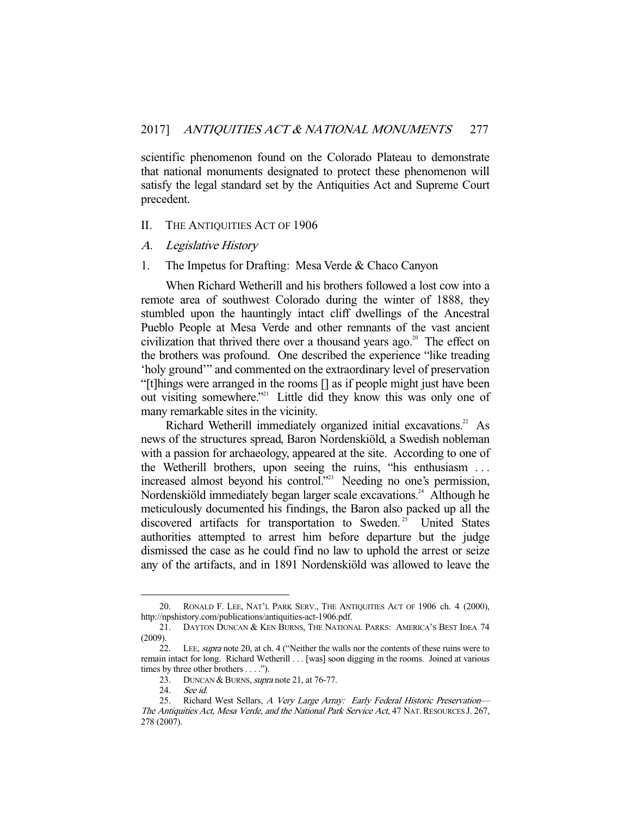scientific phenomenon found on the Colorado Plateau to demonstrate that national monuments designated to protect these phenomenon will satisfy the legal standard set by the Antiquities Act and Supreme Court precedent.

#### II. THE ANTIQUITIES ACT OF 1906

- A. Legislative History
- 1. The Impetus for Drafting: Mesa Verde & Chaco Canyon

 When Richard Wetherill and his brothers followed a lost cow into a remote area of southwest Colorado during the winter of 1888, they stumbled upon the hauntingly intact cliff dwellings of the Ancestral Pueblo People at Mesa Verde and other remnants of the vast ancient civilization that thrived there over a thousand years ago.<sup>20</sup> The effect on the brothers was profound. One described the experience "like treading 'holy ground'" and commented on the extraordinary level of preservation "[t]hings were arranged in the rooms [] as if people might just have been out visiting somewhere."<sup>21</sup> Little did they know this was only one of many remarkable sites in the vicinity.

Richard Wetherill immediately organized initial excavations.<sup>22</sup> As news of the structures spread, Baron Nordenskiöld, a Swedish nobleman with a passion for archaeology, appeared at the site. According to one of the Wetherill brothers, upon seeing the ruins, "his enthusiasm . . . increased almost beyond his control."23 Needing no one's permission, Nordenskiöld immediately began larger scale excavations.<sup>24</sup> Although he meticulously documented his findings, the Baron also packed up all the discovered artifacts for transportation to Sweden.<sup>25</sup> United States authorities attempted to arrest him before departure but the judge dismissed the case as he could find no law to uphold the arrest or seize any of the artifacts, and in 1891 Nordenskiöld was allowed to leave the

 <sup>20.</sup> RONALD F. LEE, NAT'L PARK SERV., THE ANTIQUITIES ACT OF 1906 ch. 4 (2000), http://npshistory.com/publications/antiquities-act-1906.pdf.

 <sup>21.</sup> DAYTON DUNCAN & KEN BURNS, THE NATIONAL PARKS: AMERICA'S BEST IDEA 74 (2009).

 <sup>22.</sup> LEE, supra note 20, at ch. 4 ("Neither the walls nor the contents of these ruins were to remain intact for long. Richard Wetherill . . . [was] soon digging in the rooms. Joined at various times by three other brothers . . . .").

<sup>23.</sup> DUNCAN & BURNS, *supra* note 21, at 76-77.

 <sup>24.</sup> See id.

<sup>25.</sup> Richard West Sellars, A Very Large Array: Early Federal Historic Preservation-The Antiquities Act, Mesa Verde, and the National Park Service Act, 47 NAT. RESOURCES J. 267, 278 (2007).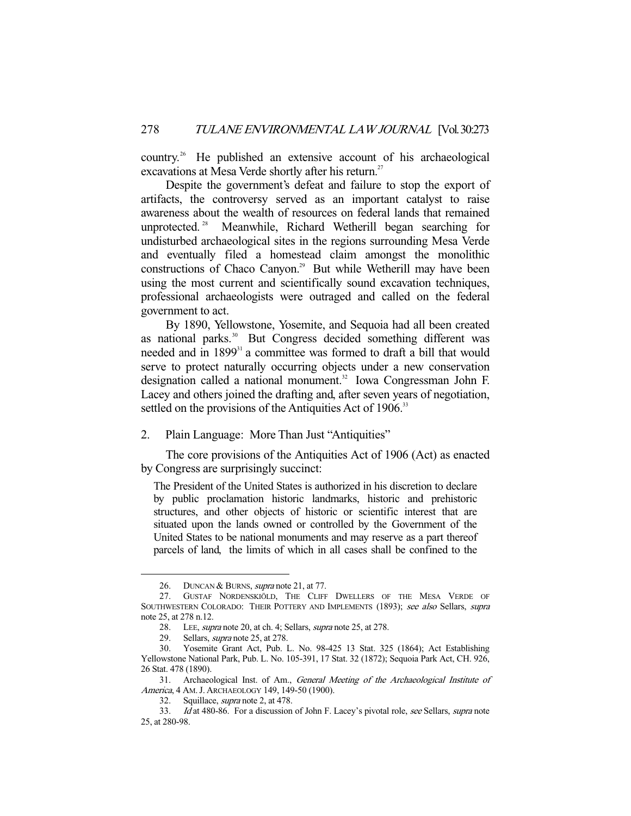country.26 He published an extensive account of his archaeological excavations at Mesa Verde shortly after his return.<sup>27</sup>

 Despite the government's defeat and failure to stop the export of artifacts, the controversy served as an important catalyst to raise awareness about the wealth of resources on federal lands that remained unprotected. 28 Meanwhile, Richard Wetherill began searching for undisturbed archaeological sites in the regions surrounding Mesa Verde and eventually filed a homestead claim amongst the monolithic constructions of Chaco Canyon.<sup>29</sup> But while Wetherill may have been using the most current and scientifically sound excavation techniques, professional archaeologists were outraged and called on the federal government to act.

 By 1890, Yellowstone, Yosemite, and Sequoia had all been created as national parks.<sup>30</sup> But Congress decided something different was needed and in 1899<sup>31</sup> a committee was formed to draft a bill that would serve to protect naturally occurring objects under a new conservation designation called a national monument.<sup>32</sup> Iowa Congressman John F. Lacey and others joined the drafting and, after seven years of negotiation, settled on the provisions of the Antiquities Act of 1906.<sup>33</sup>

2. Plain Language: More Than Just "Antiquities"

 The core provisions of the Antiquities Act of 1906 (Act) as enacted by Congress are surprisingly succinct:

The President of the United States is authorized in his discretion to declare by public proclamation historic landmarks, historic and prehistoric structures, and other objects of historic or scientific interest that are situated upon the lands owned or controlled by the Government of the United States to be national monuments and may reserve as a part thereof parcels of land, the limits of which in all cases shall be confined to the

<sup>26.</sup> DUNCAN & BURNS, *supra* note 21, at 77.

 <sup>27.</sup> GUSTAF NORDENSKIÖLD, THE CLIFF DWELLERS OF THE MESA VERDE OF SOUTHWESTERN COLORADO: THEIR POTTERY AND IMPLEMENTS (1893); see also Sellars, supra note 25, at 278 n.12.

<sup>28.</sup> LEE, *supra* note 20, at ch. 4; Sellars, *supra* note 25, at 278.

 <sup>29.</sup> Sellars, supra note 25, at 278.

 <sup>30.</sup> Yosemite Grant Act, Pub. L. No. 98-425 13 Stat. 325 (1864); Act Establishing Yellowstone National Park, Pub. L. No. 105-391, 17 Stat. 32 (1872); Sequoia Park Act, CH. 926, 26 Stat. 478 (1890).

<sup>31.</sup> Archaeological Inst. of Am., General Meeting of the Archaeological Institute of America, 4 AM. J. ARCHAEOLOGY 149, 149-50 (1900).

 <sup>32.</sup> Squillace, supra note 2, at 478.

<sup>33.</sup> Id at 480-86. For a discussion of John F. Lacey's pivotal role, see Sellars, supra note 25, at 280-98.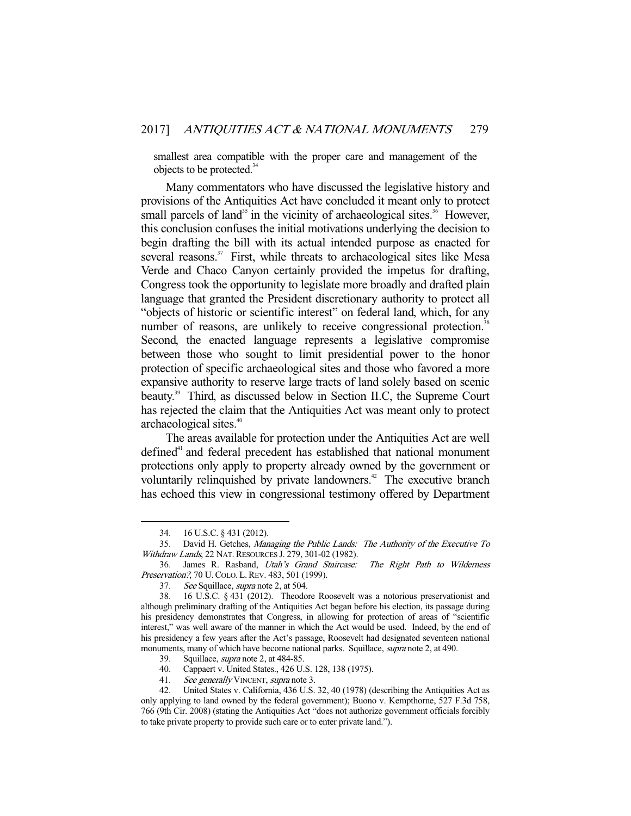smallest area compatible with the proper care and management of the objects to be protected.<sup>34</sup>

 Many commentators who have discussed the legislative history and provisions of the Antiquities Act have concluded it meant only to protect small parcels of land<sup>35</sup> in the vicinity of archaeological sites.<sup>36</sup> However, this conclusion confuses the initial motivations underlying the decision to begin drafting the bill with its actual intended purpose as enacted for several reasons.<sup>37</sup> First, while threats to archaeological sites like Mesa Verde and Chaco Canyon certainly provided the impetus for drafting, Congress took the opportunity to legislate more broadly and drafted plain language that granted the President discretionary authority to protect all "objects of historic or scientific interest" on federal land, which, for any number of reasons, are unlikely to receive congressional protection.<sup>38</sup> Second, the enacted language represents a legislative compromise between those who sought to limit presidential power to the honor protection of specific archaeological sites and those who favored a more expansive authority to reserve large tracts of land solely based on scenic beauty.<sup>39</sup> Third, as discussed below in Section II.C, the Supreme Court has rejected the claim that the Antiquities Act was meant only to protect archaeological sites.<sup>40</sup>

 The areas available for protection under the Antiquities Act are well defined<sup>41</sup> and federal precedent has established that national monument protections only apply to property already owned by the government or voluntarily relinquished by private landowners.<sup> $42$ </sup> The executive branch has echoed this view in congressional testimony offered by Department

-

39. Squillace, supra note 2, at 484-85.

41. See generally VINCENT, supra note 3.

 <sup>34. 16</sup> U.S.C. § 431 (2012).

 <sup>35.</sup> David H. Getches, Managing the Public Lands: The Authority of the Executive To Withdraw Lands, 22 NAT. RESOURCES J. 279, 301-02 (1982).

 <sup>36.</sup> James R. Rasband, Utah's Grand Staircase: The Right Path to Wilderness Preservation?, 70 U.COLO. L.REV. 483, 501 (1999).

 <sup>37.</sup> See Squillace, supra note 2, at 504.

 <sup>38. 16</sup> U.S.C. § 431 (2012). Theodore Roosevelt was a notorious preservationist and although preliminary drafting of the Antiquities Act began before his election, its passage during his presidency demonstrates that Congress, in allowing for protection of areas of "scientific interest," was well aware of the manner in which the Act would be used. Indeed, by the end of his presidency a few years after the Act's passage, Roosevelt had designated seventeen national monuments, many of which have become national parks. Squillace, *supra* note 2, at 490.

 <sup>40.</sup> Cappaert v. United States., 426 U.S. 128, 138 (1975).

 <sup>42.</sup> United States v. California, 436 U.S. 32, 40 (1978) (describing the Antiquities Act as only applying to land owned by the federal government); Buono v. Kempthorne, 527 F.3d 758, 766 (9th Cir. 2008) (stating the Antiquities Act "does not authorize government officials forcibly to take private property to provide such care or to enter private land.").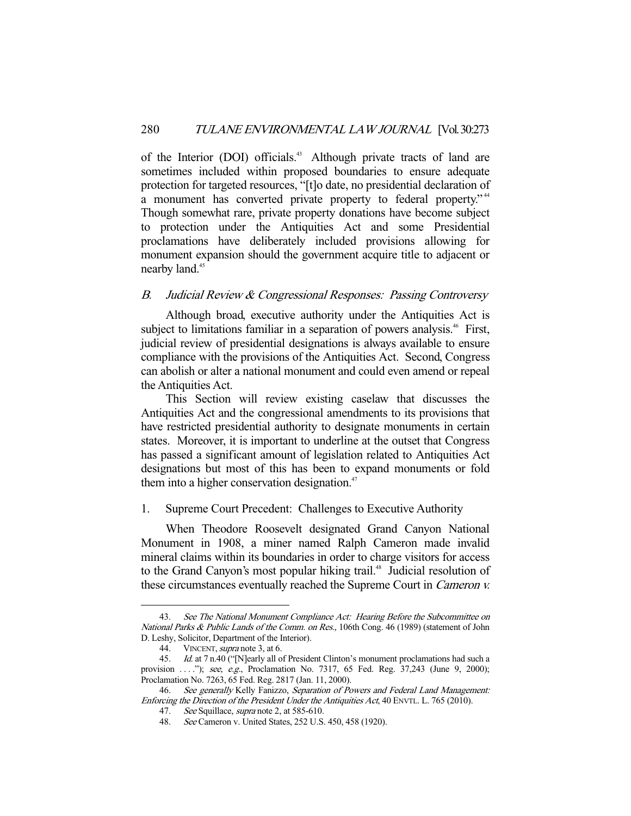of the Interior (DOI) officials.<sup>43</sup> Although private tracts of land are sometimes included within proposed boundaries to ensure adequate protection for targeted resources, "[t]o date, no presidential declaration of a monument has converted private property to federal property."<sup>44</sup> Though somewhat rare, private property donations have become subject to protection under the Antiquities Act and some Presidential proclamations have deliberately included provisions allowing for monument expansion should the government acquire title to adjacent or nearby land.<sup>45</sup>

# B. Judicial Review & Congressional Responses: Passing Controversy

 Although broad, executive authority under the Antiquities Act is subject to limitations familiar in a separation of powers analysis.<sup>46</sup> First, judicial review of presidential designations is always available to ensure compliance with the provisions of the Antiquities Act. Second, Congress can abolish or alter a national monument and could even amend or repeal the Antiquities Act.

 This Section will review existing caselaw that discusses the Antiquities Act and the congressional amendments to its provisions that have restricted presidential authority to designate monuments in certain states. Moreover, it is important to underline at the outset that Congress has passed a significant amount of legislation related to Antiquities Act designations but most of this has been to expand monuments or fold them into a higher conservation designation. $47$ 

# 1. Supreme Court Precedent: Challenges to Executive Authority

 When Theodore Roosevelt designated Grand Canyon National Monument in 1908, a miner named Ralph Cameron made invalid mineral claims within its boundaries in order to charge visitors for access to the Grand Canyon's most popular hiking trail.<sup>48</sup> Judicial resolution of these circumstances eventually reached the Supreme Court in Cameron v.

<sup>43.</sup> See The National Monument Compliance Act: Hearing Before the Subcommittee on National Parks & Public Lands of the Comm. on Res., 106th Cong. 46 (1989) (statement of John D. Leshy, Solicitor, Department of the Interior).

<sup>44.</sup> VINCENT, *supra* note 3, at 6.

 <sup>45.</sup> Id. at 7 n.40 ("[N]early all of President Clinton's monument proclamations had such a provision ...."); see, e.g., Proclamation No. 7317, 65 Fed. Reg. 37,243 (June 9, 2000); Proclamation No. 7263, 65 Fed. Reg. 2817 (Jan. 11, 2000).

<sup>46.</sup> See generally Kelly Fanizzo, Separation of Powers and Federal Land Management: Enforcing the Direction of the President Under the Antiquities Act, 40 ENVTL. L. 765 (2010).

<sup>47.</sup> See Squillace, supra note 2, at 585-610.

 <sup>48.</sup> See Cameron v. United States, 252 U.S. 450, 458 (1920).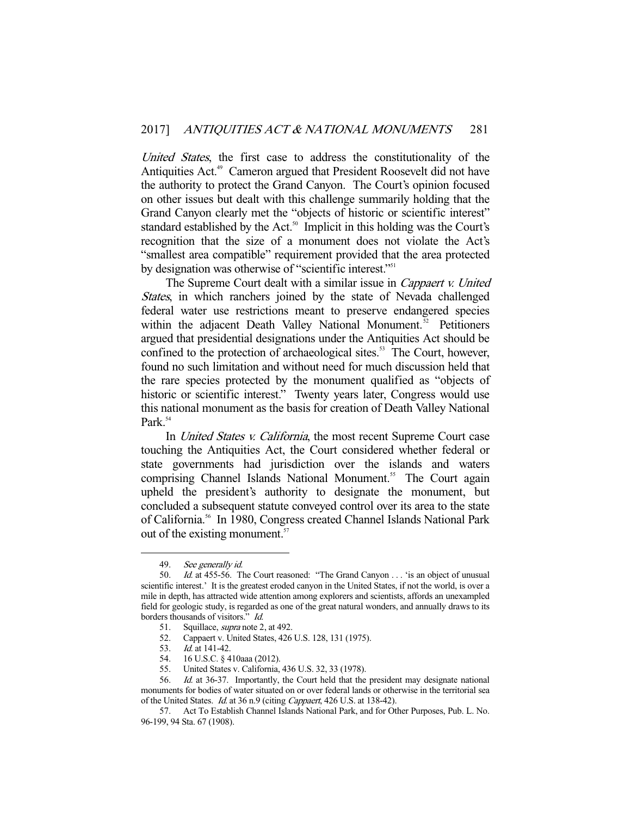United States, the first case to address the constitutionality of the Antiquities Act.<sup>49</sup> Cameron argued that President Roosevelt did not have the authority to protect the Grand Canyon. The Court's opinion focused on other issues but dealt with this challenge summarily holding that the Grand Canyon clearly met the "objects of historic or scientific interest" standard established by the Act.<sup>50</sup> Implicit in this holding was the Court's recognition that the size of a monument does not violate the Act's "smallest area compatible" requirement provided that the area protected by designation was otherwise of "scientific interest."<sup>51</sup>

The Supreme Court dealt with a similar issue in Cappaert v. United States, in which ranchers joined by the state of Nevada challenged federal water use restrictions meant to preserve endangered species within the adjacent Death Valley National Monument.<sup>52</sup> Petitioners argued that presidential designations under the Antiquities Act should be confined to the protection of archaeological sites.<sup>53</sup> The Court, however, found no such limitation and without need for much discussion held that the rare species protected by the monument qualified as "objects of historic or scientific interest." Twenty years later, Congress would use this national monument as the basis for creation of Death Valley National Park<sup>54</sup>

In *United States v. California*, the most recent Supreme Court case touching the Antiquities Act, the Court considered whether federal or state governments had jurisdiction over the islands and waters comprising Channel Islands National Monument.<sup>55</sup> The Court again upheld the president's authority to designate the monument, but concluded a subsequent statute conveyed control over its area to the state of California.<sup>56</sup> In 1980, Congress created Channel Islands National Park out of the existing monument.<sup>57</sup>

<sup>49.</sup> *See generally id.*<br>50. *Id.* at 455-56. T

Id. at 455-56. The Court reasoned: "The Grand Canyon . . . 'is an object of unusual scientific interest.' It is the greatest eroded canyon in the United States, if not the world, is over a mile in depth, has attracted wide attention among explorers and scientists, affords an unexampled field for geologic study, is regarded as one of the great natural wonders, and annually draws to its borders thousands of visitors." Id.

<sup>51.</sup> Squillace, *supra* note 2, at 492.

 <sup>52.</sup> Cappaert v. United States, 426 U.S. 128, 131 (1975).

<sup>53.</sup> *Id.* at 141-42.<br>54. 16 U.S.C. § 4

 <sup>54. 16</sup> U.S.C. § 410aaa (2012).

 <sup>55.</sup> United States v. California, 436 U.S. 32, 33 (1978).

<sup>56.</sup> Id. at 36-37. Importantly, the Court held that the president may designate national monuments for bodies of water situated on or over federal lands or otherwise in the territorial sea of the United States. Id. at 36 n.9 (citing Cappaert, 426 U.S. at 138-42).

 <sup>57.</sup> Act To Establish Channel Islands National Park, and for Other Purposes, Pub. L. No. 96-199, 94 Sta. 67 (1908).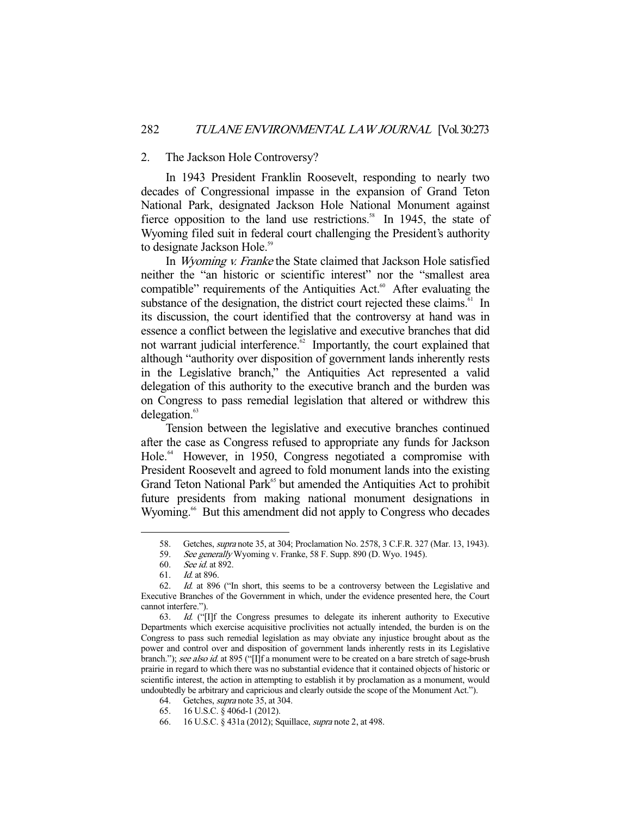#### 2. The Jackson Hole Controversy?

 In 1943 President Franklin Roosevelt, responding to nearly two decades of Congressional impasse in the expansion of Grand Teton National Park, designated Jackson Hole National Monument against fierce opposition to the land use restrictions.<sup>58</sup> In 1945, the state of Wyoming filed suit in federal court challenging the President's authority to designate Jackson Hole.<sup>59</sup>

 In Wyoming v. Franke the State claimed that Jackson Hole satisfied neither the "an historic or scientific interest" nor the "smallest area compatible" requirements of the Antiquities  $Act.^{60}$  After evaluating the substance of the designation, the district court rejected these claims.<sup>61</sup> In its discussion, the court identified that the controversy at hand was in essence a conflict between the legislative and executive branches that did not warrant judicial interference.<sup>62</sup> Importantly, the court explained that although "authority over disposition of government lands inherently rests in the Legislative branch," the Antiquities Act represented a valid delegation of this authority to the executive branch and the burden was on Congress to pass remedial legislation that altered or withdrew this delegation. $63$ 

 Tension between the legislative and executive branches continued after the case as Congress refused to appropriate any funds for Jackson Hole.<sup>64</sup> However, in 1950, Congress negotiated a compromise with President Roosevelt and agreed to fold monument lands into the existing Grand Teton National Park<sup>65</sup> but amended the Antiquities Act to prohibit future presidents from making national monument designations in Wyoming.<sup>66</sup> But this amendment did not apply to Congress who decades

 <sup>58.</sup> Getches, supra note 35, at 304; Proclamation No. 2578, 3 C.F.R. 327 (Mar. 13, 1943).

<sup>59.</sup> See generally Wyoming v. Franke, 58 F. Supp. 890 (D. Wyo. 1945).

 <sup>60.</sup> See id. at 892.

 <sup>61.</sup> Id. at 896.

 <sup>62.</sup> Id. at 896 ("In short, this seems to be a controversy between the Legislative and Executive Branches of the Government in which, under the evidence presented here, the Court cannot interfere.").<br>63. Id. ("I

Id. ("[I]f the Congress presumes to delegate its inherent authority to Executive Departments which exercise acquisitive proclivities not actually intended, the burden is on the Congress to pass such remedial legislation as may obviate any injustice brought about as the power and control over and disposition of government lands inherently rests in its Legislative branch."); see also id. at 895 ("[I]f a monument were to be created on a bare stretch of sage-brush prairie in regard to which there was no substantial evidence that it contained objects of historic or scientific interest, the action in attempting to establish it by proclamation as a monument, would undoubtedly be arbitrary and capricious and clearly outside the scope of the Monument Act.").

 <sup>64.</sup> Getches, supra note 35, at 304.

 <sup>65. 16</sup> U.S.C. § 406d-1 (2012).

 <sup>66. 16</sup> U.S.C. § 431a (2012); Squillace, supra note 2, at 498.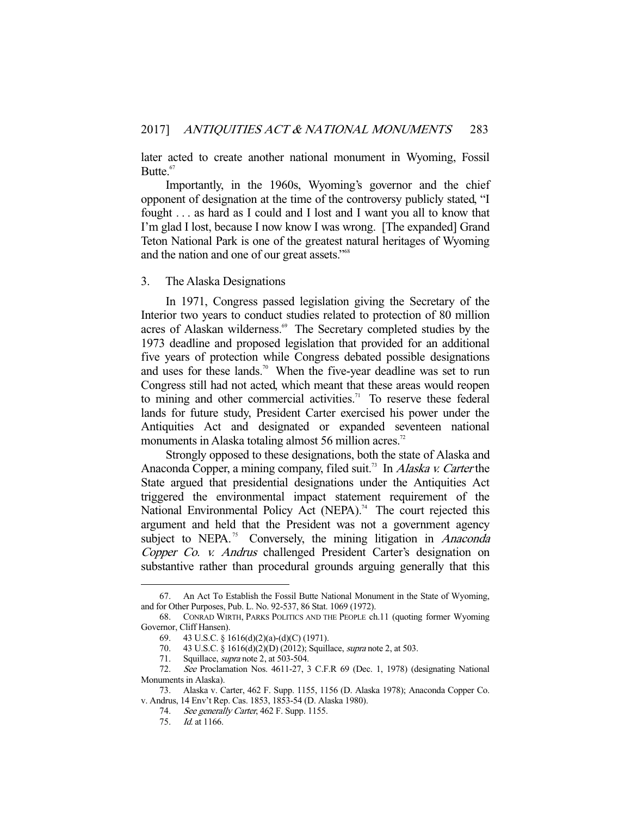later acted to create another national monument in Wyoming, Fossil Butte.<sup>67</sup>

 Importantly, in the 1960s, Wyoming's governor and the chief opponent of designation at the time of the controversy publicly stated, "I fought . . . as hard as I could and I lost and I want you all to know that I'm glad I lost, because I now know I was wrong. [The expanded] Grand Teton National Park is one of the greatest natural heritages of Wyoming and the nation and one of our great assets."68

#### 3. The Alaska Designations

 In 1971, Congress passed legislation giving the Secretary of the Interior two years to conduct studies related to protection of 80 million acres of Alaskan wilderness.<sup>69</sup> The Secretary completed studies by the 1973 deadline and proposed legislation that provided for an additional five years of protection while Congress debated possible designations and uses for these lands.<sup>70</sup> When the five-year deadline was set to run Congress still had not acted, which meant that these areas would reopen to mining and other commercial activities.<sup>71</sup> To reserve these federal lands for future study, President Carter exercised his power under the Antiquities Act and designated or expanded seventeen national monuments in Alaska totaling almost 56 million acres.<sup>72</sup>

 Strongly opposed to these designations, both the state of Alaska and Anaconda Copper, a mining company, filed suit.<sup>73</sup> In Alaska v. Carter the State argued that presidential designations under the Antiquities Act triggered the environmental impact statement requirement of the National Environmental Policy Act (NEPA).<sup>74</sup> The court rejected this argument and held that the President was not a government agency subject to NEPA.<sup>75</sup> Conversely, the mining litigation in *Anaconda* Copper Co. v. Andrus challenged President Carter's designation on substantive rather than procedural grounds arguing generally that this

 <sup>67.</sup> An Act To Establish the Fossil Butte National Monument in the State of Wyoming, and for Other Purposes, Pub. L. No. 92-537, 86 Stat. 1069 (1972).

 <sup>68.</sup> CONRAD WIRTH, PARKS POLITICS AND THE PEOPLE ch.11 (quoting former Wyoming Governor, Cliff Hansen).

 <sup>69. 43</sup> U.S.C. § 1616(d)(2)(a)-(d)(C) (1971).

 <sup>70. 43</sup> U.S.C. § 1616(d)(2)(D) (2012); Squillace, supra note 2, at 503.

 <sup>71.</sup> Squillace, supra note 2, at 503-504.

 <sup>72.</sup> See Proclamation Nos. 4611-27, 3 C.F.R 69 (Dec. 1, 1978) (designating National Monuments in Alaska).

 <sup>73.</sup> Alaska v. Carter, 462 F. Supp. 1155, 1156 (D. Alaska 1978); Anaconda Copper Co. v. Andrus, 14 Env't Rep. Cas. 1853, 1853-54 (D. Alaska 1980).

<sup>74.</sup> See generally Carter, 462 F. Supp. 1155.

 <sup>75.</sup> Id. at 1166.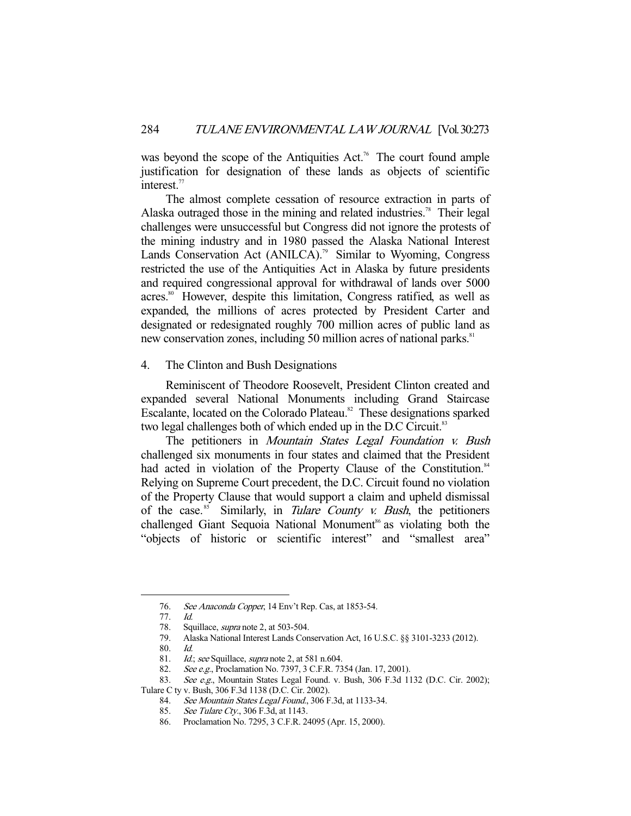was beyond the scope of the Antiquities Act.<sup>76</sup> The court found ample justification for designation of these lands as objects of scientific interest.<sup>77</sup>

 The almost complete cessation of resource extraction in parts of Alaska outraged those in the mining and related industries.<sup>78</sup> Their legal challenges were unsuccessful but Congress did not ignore the protests of the mining industry and in 1980 passed the Alaska National Interest Lands Conservation Act (ANILCA).<sup>79</sup> Similar to Wyoming, Congress restricted the use of the Antiquities Act in Alaska by future presidents and required congressional approval for withdrawal of lands over 5000 acres.<sup>80</sup> However, despite this limitation, Congress ratified, as well as expanded, the millions of acres protected by President Carter and designated or redesignated roughly 700 million acres of public land as new conservation zones, including 50 million acres of national parks.<sup>81</sup>

#### 4. The Clinton and Bush Designations

 Reminiscent of Theodore Roosevelt, President Clinton created and expanded several National Monuments including Grand Staircase Escalante, located on the Colorado Plateau.<sup>82</sup> These designations sparked two legal challenges both of which ended up in the D.C Circuit.<sup>83</sup>

The petitioners in Mountain States Legal Foundation v. Bush challenged six monuments in four states and claimed that the President had acted in violation of the Property Clause of the Constitution.<sup>84</sup> Relying on Supreme Court precedent, the D.C. Circuit found no violation of the Property Clause that would support a claim and upheld dismissal of the case.<sup>85</sup> Similarly, in *Tulare County v. Bush*, the petitioners challenged Giant Sequoia National Monument<sup>86</sup> as violating both the "objects of historic or scientific interest" and "smallest area"

 <sup>76.</sup> See Anaconda Copper, 14 Env't Rep. Cas, at 1853-54.

 <sup>77.</sup> Id.

<sup>78.</sup> Squillace, *supra* note 2, at 503-504.

 <sup>79.</sup> Alaska National Interest Lands Conservation Act, 16 U.S.C. §§ 3101-3233 (2012).

 <sup>80.</sup> Id.

<sup>81.</sup> *Id.; see* Squillace, *supra* note 2, at 581 n.604.<br>82. *See e.g.*, Proclamation No. 7397, 3 C.F.R. 73 See e.g., Proclamation No. 7397, 3 C.F.R. 7354 (Jan. 17, 2001).

<sup>83.</sup> See e.g., Mountain States Legal Found. v. Bush, 306 F.3d 1132 (D.C. Cir. 2002);

Tulare C ty v. Bush, 306 F.3d 1138 (D.C. Cir. 2002).

<sup>84.</sup> See Mountain States Legal Found., 306 F.3d, at 1133-34.

<sup>85.</sup> See Tulare Cty., 306 F.3d, at 1143.

 <sup>86.</sup> Proclamation No. 7295, 3 C.F.R. 24095 (Apr. 15, 2000).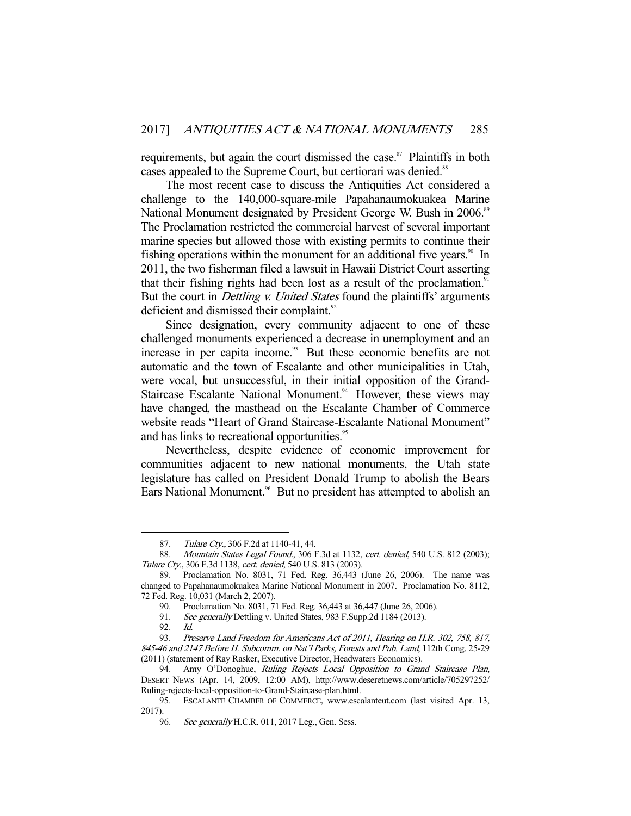requirements, but again the court dismissed the case.<sup>87</sup> Plaintiffs in both cases appealed to the Supreme Court, but certiorari was denied.<sup>88</sup>

 The most recent case to discuss the Antiquities Act considered a challenge to the 140,000-square-mile Papahanaumokuakea Marine National Monument designated by President George W. Bush in 2006.<sup>89</sup> The Proclamation restricted the commercial harvest of several important marine species but allowed those with existing permits to continue their fishing operations within the monument for an additional five years.<sup>90</sup> In 2011, the two fisherman filed a lawsuit in Hawaii District Court asserting that their fishing rights had been lost as a result of the proclamation.<sup>91</sup> But the court in *Dettling v. United States* found the plaintiffs' arguments deficient and dismissed their complaint.<sup>92</sup>

 Since designation, every community adjacent to one of these challenged monuments experienced a decrease in unemployment and an increase in per capita income.<sup>93</sup> But these economic benefits are not automatic and the town of Escalante and other municipalities in Utah, were vocal, but unsuccessful, in their initial opposition of the Grand-Staircase Escalante National Monument.<sup>94</sup> However, these views may have changed, the masthead on the Escalante Chamber of Commerce website reads "Heart of Grand Staircase-Escalante National Monument" and has links to recreational opportunities.<sup>95</sup>

 Nevertheless, despite evidence of economic improvement for communities adjacent to new national monuments, the Utah state legislature has called on President Donald Trump to abolish the Bears Ears National Monument.<sup>96</sup> But no president has attempted to abolish an

<sup>87.</sup> Tulare Cty., 306 F.2d at 1140-41, 44.

<sup>88.</sup> Mountain States Legal Found., 306 F.3d at 1132, cert. denied, 540 U.S. 812 (2003); Tulare Cty., 306 F.3d 1138, cert. denied, 540 U.S. 813 (2003).

 <sup>89.</sup> Proclamation No. 8031, 71 Fed. Reg. 36,443 (June 26, 2006). The name was changed to Papahanaumokuakea Marine National Monument in 2007. Proclamation No. 8112, 72 Fed. Reg. 10,031 (March 2, 2007).

 <sup>90.</sup> Proclamation No. 8031, 71 Fed. Reg. 36,443 at 36,447 (June 26, 2006).

<sup>91.</sup> See generally Dettling v. United States, 983 F.Supp.2d 1184 (2013).

 <sup>92.</sup> Id.

 <sup>93.</sup> Preserve Land Freedom for Americans Act of 2011, Hearing on H.R. 302, 758, 817, 845-46 and 2147 Before H. Subcomm. on Nat'l Parks, Forests and Pub. Land, 112th Cong. 25-29 (2011) (statement of Ray Rasker, Executive Director, Headwaters Economics).

<sup>94.</sup> Amy O'Donoghue, Ruling Rejects Local Opposition to Grand Staircase Plan, DESERT NEWS (Apr. 14, 2009, 12:00 AM), http://www.deseretnews.com/article/705297252/ Ruling-rejects-local-opposition-to-Grand-Staircase-plan.html.

 <sup>95.</sup> ESCALANTE CHAMBER OF COMMERCE, www.escalanteut.com (last visited Apr. 13, 2017).

<sup>96.</sup> See generally H.C.R. 011, 2017 Leg., Gen. Sess.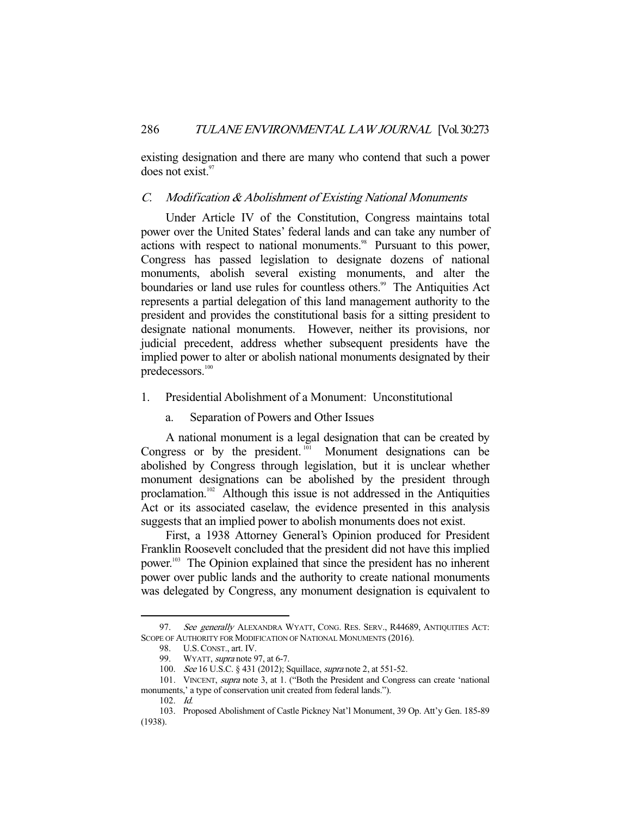existing designation and there are many who contend that such a power does not exist.<sup>97</sup>

## C. Modification & Abolishment of Existing National Monuments

 Under Article IV of the Constitution, Congress maintains total power over the United States' federal lands and can take any number of actions with respect to national monuments.<sup>98</sup> Pursuant to this power, Congress has passed legislation to designate dozens of national monuments, abolish several existing monuments, and alter the boundaries or land use rules for countless others.<sup>99</sup> The Antiquities Act represents a partial delegation of this land management authority to the president and provides the constitutional basis for a sitting president to designate national monuments. However, neither its provisions, nor judicial precedent, address whether subsequent presidents have the implied power to alter or abolish national monuments designated by their predecessors.<sup>100</sup>

- 1. Presidential Abolishment of a Monument: Unconstitutional
	- a. Separation of Powers and Other Issues

 A national monument is a legal designation that can be created by Congress or by the president. $^{101}$  Monument designations can be abolished by Congress through legislation, but it is unclear whether monument designations can be abolished by the president through proclamation.<sup>102</sup> Although this issue is not addressed in the Antiquities Act or its associated caselaw, the evidence presented in this analysis suggests that an implied power to abolish monuments does not exist.

 First, a 1938 Attorney General's Opinion produced for President Franklin Roosevelt concluded that the president did not have this implied power.103 The Opinion explained that since the president has no inherent power over public lands and the authority to create national monuments was delegated by Congress, any monument designation is equivalent to

<sup>97.</sup> See generally ALEXANDRA WYATT, CONG. RES. SERV., R44689, ANTIQUITIES ACT: SCOPE OF AUTHORITY FOR MODIFICATION OF NATIONAL MONUMENTS (2016).

 <sup>98.</sup> U.S.CONST., art. IV.

<sup>99.</sup> WYATT, *supra* note 97, at 6-7.

<sup>100.</sup> *See* 16 U.S.C. § 431 (2012); Squillace, *supra* note 2, at 551-52.

<sup>101.</sup> VINCENT, supra note 3, at 1. ("Both the President and Congress can create 'national monuments,' a type of conservation unit created from federal lands.").

 <sup>102.</sup> Id.

 <sup>103.</sup> Proposed Abolishment of Castle Pickney Nat'l Monument, 39 Op. Att'y Gen. 185-89 (1938).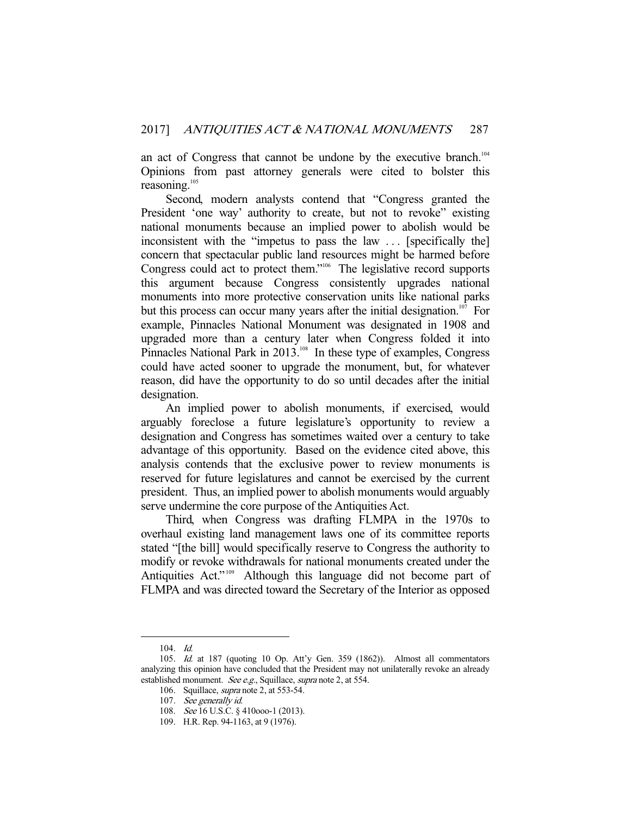an act of Congress that cannot be undone by the executive branch.<sup>104</sup> Opinions from past attorney generals were cited to bolster this reasoning.<sup>105</sup>

 Second, modern analysts contend that "Congress granted the President 'one way' authority to create, but not to revoke" existing national monuments because an implied power to abolish would be inconsistent with the "impetus to pass the law ... [specifically the] concern that spectacular public land resources might be harmed before Congress could act to protect them."106 The legislative record supports this argument because Congress consistently upgrades national monuments into more protective conservation units like national parks but this process can occur many years after the initial designation.<sup>107</sup> For example, Pinnacles National Monument was designated in 1908 and upgraded more than a century later when Congress folded it into Pinnacles National Park in 2013.<sup>108</sup> In these type of examples, Congress could have acted sooner to upgrade the monument, but, for whatever reason, did have the opportunity to do so until decades after the initial designation.

 An implied power to abolish monuments, if exercised, would arguably foreclose a future legislature's opportunity to review a designation and Congress has sometimes waited over a century to take advantage of this opportunity. Based on the evidence cited above, this analysis contends that the exclusive power to review monuments is reserved for future legislatures and cannot be exercised by the current president. Thus, an implied power to abolish monuments would arguably serve undermine the core purpose of the Antiquities Act.

 Third, when Congress was drafting FLMPA in the 1970s to overhaul existing land management laws one of its committee reports stated "[the bill] would specifically reserve to Congress the authority to modify or revoke withdrawals for national monuments created under the Antiquities Act."<sup>109</sup> Although this language did not become part of FLMPA and was directed toward the Secretary of the Interior as opposed

 <sup>104.</sup> Id.

 <sup>105.</sup> Id. at 187 (quoting 10 Op. Att'y Gen. 359 (1862)). Almost all commentators analyzing this opinion have concluded that the President may not unilaterally revoke an already established monument. See e.g., Squillace, supra note 2, at 554.

<sup>106.</sup> Squillace, *supra* note 2, at 553-54.

<sup>107.</sup> See generally id.

<sup>108.</sup> See 16 U.S.C. § 410000-1 (2013).

 <sup>109.</sup> H.R. Rep. 94-1163, at 9 (1976).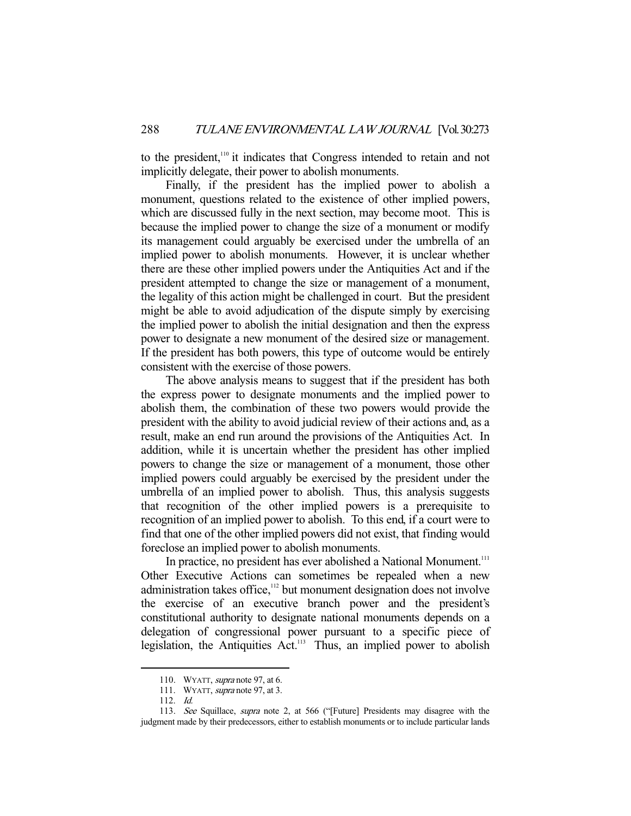to the president,<sup>110</sup> it indicates that Congress intended to retain and not implicitly delegate, their power to abolish monuments.

 Finally, if the president has the implied power to abolish a monument, questions related to the existence of other implied powers, which are discussed fully in the next section, may become moot. This is because the implied power to change the size of a monument or modify its management could arguably be exercised under the umbrella of an implied power to abolish monuments. However, it is unclear whether there are these other implied powers under the Antiquities Act and if the president attempted to change the size or management of a monument, the legality of this action might be challenged in court. But the president might be able to avoid adjudication of the dispute simply by exercising the implied power to abolish the initial designation and then the express power to designate a new monument of the desired size or management. If the president has both powers, this type of outcome would be entirely consistent with the exercise of those powers.

 The above analysis means to suggest that if the president has both the express power to designate monuments and the implied power to abolish them, the combination of these two powers would provide the president with the ability to avoid judicial review of their actions and, as a result, make an end run around the provisions of the Antiquities Act. In addition, while it is uncertain whether the president has other implied powers to change the size or management of a monument, those other implied powers could arguably be exercised by the president under the umbrella of an implied power to abolish. Thus, this analysis suggests that recognition of the other implied powers is a prerequisite to recognition of an implied power to abolish. To this end, if a court were to find that one of the other implied powers did not exist, that finding would foreclose an implied power to abolish monuments.

In practice, no president has ever abolished a National Monument.<sup>111</sup> Other Executive Actions can sometimes be repealed when a new administration takes office,<sup>112</sup> but monument designation does not involve the exercise of an executive branch power and the president's constitutional authority to designate national monuments depends on a delegation of congressional power pursuant to a specific piece of legislation, the Antiquities Act.113 Thus, an implied power to abolish

<sup>110.</sup> WYATT, *supra* note 97, at 6.

<sup>111.</sup> WYATT, *supra* note 97, at 3.

 <sup>112.</sup> Id.

 <sup>113.</sup> See Squillace, supra note 2, at 566 ("[Future] Presidents may disagree with the judgment made by their predecessors, either to establish monuments or to include particular lands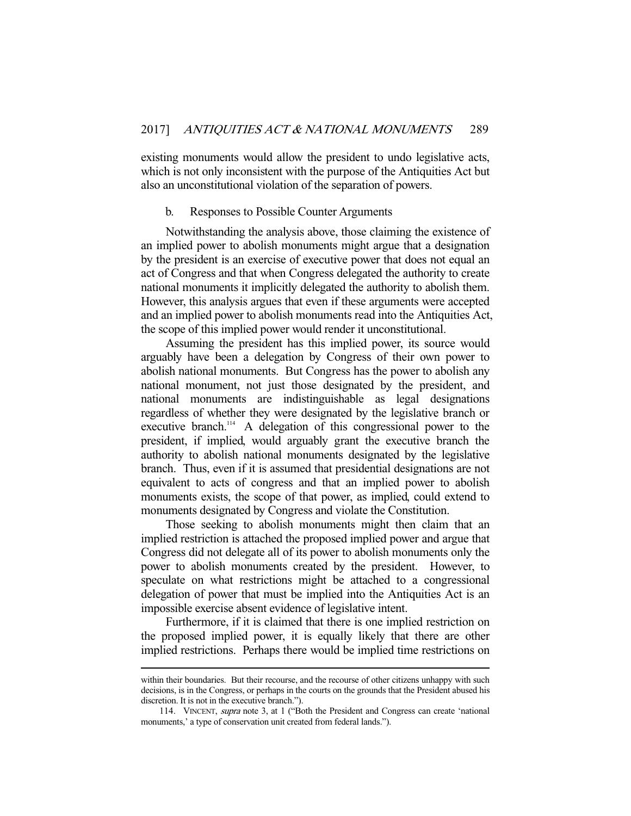existing monuments would allow the president to undo legislative acts, which is not only inconsistent with the purpose of the Antiquities Act but also an unconstitutional violation of the separation of powers.

#### b. Responses to Possible Counter Arguments

 Notwithstanding the analysis above, those claiming the existence of an implied power to abolish monuments might argue that a designation by the president is an exercise of executive power that does not equal an act of Congress and that when Congress delegated the authority to create national monuments it implicitly delegated the authority to abolish them. However, this analysis argues that even if these arguments were accepted and an implied power to abolish monuments read into the Antiquities Act, the scope of this implied power would render it unconstitutional.

 Assuming the president has this implied power, its source would arguably have been a delegation by Congress of their own power to abolish national monuments. But Congress has the power to abolish any national monument, not just those designated by the president, and national monuments are indistinguishable as legal designations regardless of whether they were designated by the legislative branch or executive branch.<sup>114</sup> A delegation of this congressional power to the president, if implied, would arguably grant the executive branch the authority to abolish national monuments designated by the legislative branch. Thus, even if it is assumed that presidential designations are not equivalent to acts of congress and that an implied power to abolish monuments exists, the scope of that power, as implied, could extend to monuments designated by Congress and violate the Constitution.

 Those seeking to abolish monuments might then claim that an implied restriction is attached the proposed implied power and argue that Congress did not delegate all of its power to abolish monuments only the power to abolish monuments created by the president. However, to speculate on what restrictions might be attached to a congressional delegation of power that must be implied into the Antiquities Act is an impossible exercise absent evidence of legislative intent.

 Furthermore, if it is claimed that there is one implied restriction on the proposed implied power, it is equally likely that there are other implied restrictions. Perhaps there would be implied time restrictions on

within their boundaries. But their recourse, and the recourse of other citizens unhappy with such decisions, is in the Congress, or perhaps in the courts on the grounds that the President abused his discretion. It is not in the executive branch.").

 <sup>114.</sup> VINCENT, supra note 3, at 1 ("Both the President and Congress can create 'national monuments,' a type of conservation unit created from federal lands.").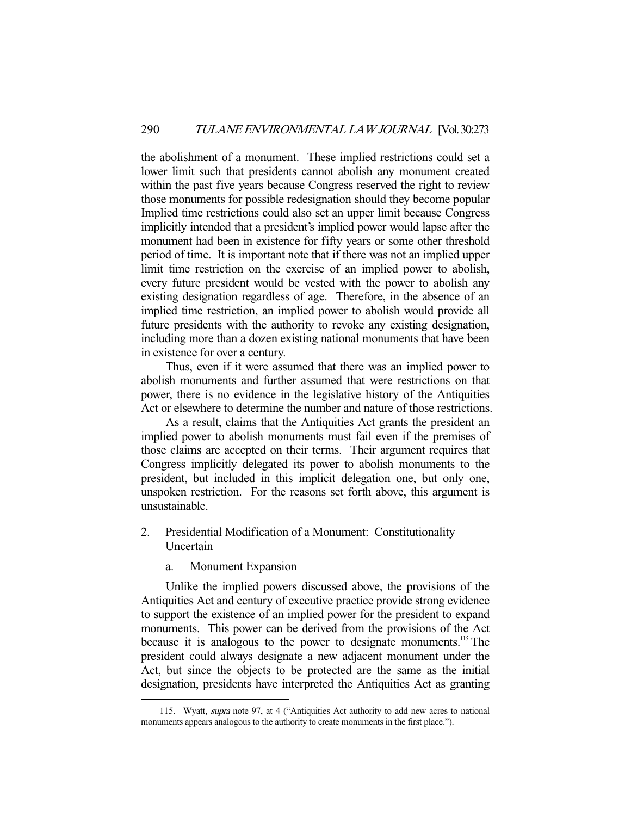the abolishment of a monument. These implied restrictions could set a lower limit such that presidents cannot abolish any monument created within the past five years because Congress reserved the right to review those monuments for possible redesignation should they become popular Implied time restrictions could also set an upper limit because Congress implicitly intended that a president's implied power would lapse after the monument had been in existence for fifty years or some other threshold period of time. It is important note that if there was not an implied upper limit time restriction on the exercise of an implied power to abolish, every future president would be vested with the power to abolish any existing designation regardless of age. Therefore, in the absence of an implied time restriction, an implied power to abolish would provide all future presidents with the authority to revoke any existing designation, including more than a dozen existing national monuments that have been in existence for over a century.

 Thus, even if it were assumed that there was an implied power to abolish monuments and further assumed that were restrictions on that power, there is no evidence in the legislative history of the Antiquities Act or elsewhere to determine the number and nature of those restrictions.

 As a result, claims that the Antiquities Act grants the president an implied power to abolish monuments must fail even if the premises of those claims are accepted on their terms. Their argument requires that Congress implicitly delegated its power to abolish monuments to the president, but included in this implicit delegation one, but only one, unspoken restriction. For the reasons set forth above, this argument is unsustainable.

- 2. Presidential Modification of a Monument: Constitutionality Uncertain
	- a. Monument Expansion

-

 Unlike the implied powers discussed above, the provisions of the Antiquities Act and century of executive practice provide strong evidence to support the existence of an implied power for the president to expand monuments. This power can be derived from the provisions of the Act because it is analogous to the power to designate monuments.<sup>115</sup> The president could always designate a new adjacent monument under the Act, but since the objects to be protected are the same as the initial designation, presidents have interpreted the Antiquities Act as granting

<sup>115.</sup> Wyatt, supra note 97, at 4 ("Antiquities Act authority to add new acres to national monuments appears analogous to the authority to create monuments in the first place.").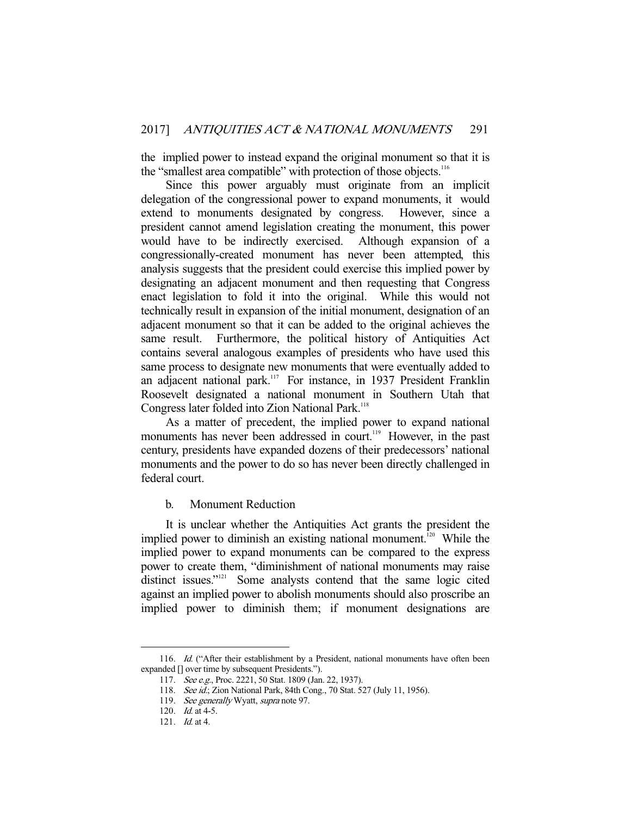the implied power to instead expand the original monument so that it is the "smallest area compatible" with protection of those objects.<sup>116</sup>

 Since this power arguably must originate from an implicit delegation of the congressional power to expand monuments, it would extend to monuments designated by congress. However, since a president cannot amend legislation creating the monument, this power would have to be indirectly exercised. Although expansion of a congressionally-created monument has never been attempted, this analysis suggests that the president could exercise this implied power by designating an adjacent monument and then requesting that Congress enact legislation to fold it into the original. While this would not technically result in expansion of the initial monument, designation of an adjacent monument so that it can be added to the original achieves the same result. Furthermore, the political history of Antiquities Act contains several analogous examples of presidents who have used this same process to designate new monuments that were eventually added to an adjacent national park.<sup>117</sup> For instance, in 1937 President Franklin Roosevelt designated a national monument in Southern Utah that Congress later folded into Zion National Park.<sup>118</sup>

 As a matter of precedent, the implied power to expand national monuments has never been addressed in court.<sup>119</sup> However, in the past century, presidents have expanded dozens of their predecessors' national monuments and the power to do so has never been directly challenged in federal court.

b. Monument Reduction

 It is unclear whether the Antiquities Act grants the president the implied power to diminish an existing national monument.<sup>120</sup> While the implied power to expand monuments can be compared to the express power to create them, "diminishment of national monuments may raise distinct issues."<sup>121</sup> Some analysts contend that the same logic cited against an implied power to abolish monuments should also proscribe an implied power to diminish them; if monument designations are

<sup>116.</sup> Id. ("After their establishment by a President, national monuments have often been expanded [] over time by subsequent Presidents.").

 <sup>117.</sup> See e.g., Proc. 2221, 50 Stat. 1809 (Jan. 22, 1937).

<sup>118.</sup> See id.; Zion National Park, 84th Cong., 70 Stat. 527 (July 11, 1956).

<sup>119.</sup> See generally Wyatt, supra note 97.

 <sup>120.</sup> Id. at 4-5.

 <sup>121.</sup> Id. at 4.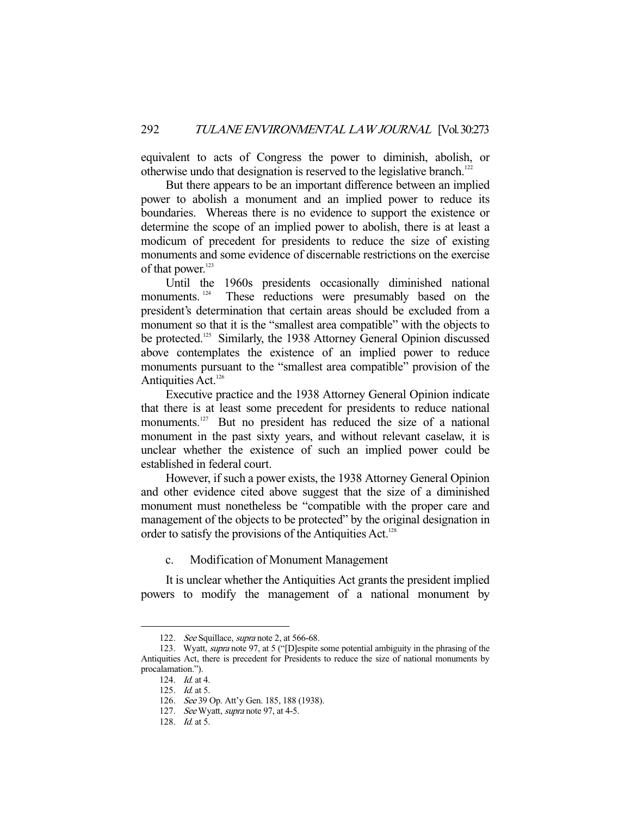equivalent to acts of Congress the power to diminish, abolish, or otherwise undo that designation is reserved to the legislative branch.<sup>12</sup>

 But there appears to be an important difference between an implied power to abolish a monument and an implied power to reduce its boundaries. Whereas there is no evidence to support the existence or determine the scope of an implied power to abolish, there is at least a modicum of precedent for presidents to reduce the size of existing monuments and some evidence of discernable restrictions on the exercise of that power.<sup>123</sup>

 Until the 1960s presidents occasionally diminished national monuments. <sup>124</sup> These reductions were presumably based on the president's determination that certain areas should be excluded from a monument so that it is the "smallest area compatible" with the objects to be protected.<sup>125</sup> Similarly, the 1938 Attorney General Opinion discussed above contemplates the existence of an implied power to reduce monuments pursuant to the "smallest area compatible" provision of the Antiquities Act.<sup>126</sup>

 Executive practice and the 1938 Attorney General Opinion indicate that there is at least some precedent for presidents to reduce national monuments.<sup>127</sup> But no president has reduced the size of a national monument in the past sixty years, and without relevant caselaw, it is unclear whether the existence of such an implied power could be established in federal court.

 However, if such a power exists, the 1938 Attorney General Opinion and other evidence cited above suggest that the size of a diminished monument must nonetheless be "compatible with the proper care and management of the objects to be protected" by the original designation in order to satisfy the provisions of the Antiquities Act.<sup>128</sup>

c. Modification of Monument Management

 It is unclear whether the Antiquities Act grants the president implied powers to modify the management of a national monument by

<sup>122.</sup> See Squillace, supra note 2, at 566-68.

 <sup>123.</sup> Wyatt, supra note 97, at 5 ("[D]espite some potential ambiguity in the phrasing of the Antiquities Act, there is precedent for Presidents to reduce the size of national monuments by procalamation.").

 <sup>124.</sup> Id. at 4.

 <sup>125.</sup> Id. at 5.

 <sup>126.</sup> See 39 Op. Att'y Gen. 185, 188 (1938).

<sup>127.</sup> See Wyatt, supra note 97, at 4-5.

 <sup>128.</sup> Id. at 5.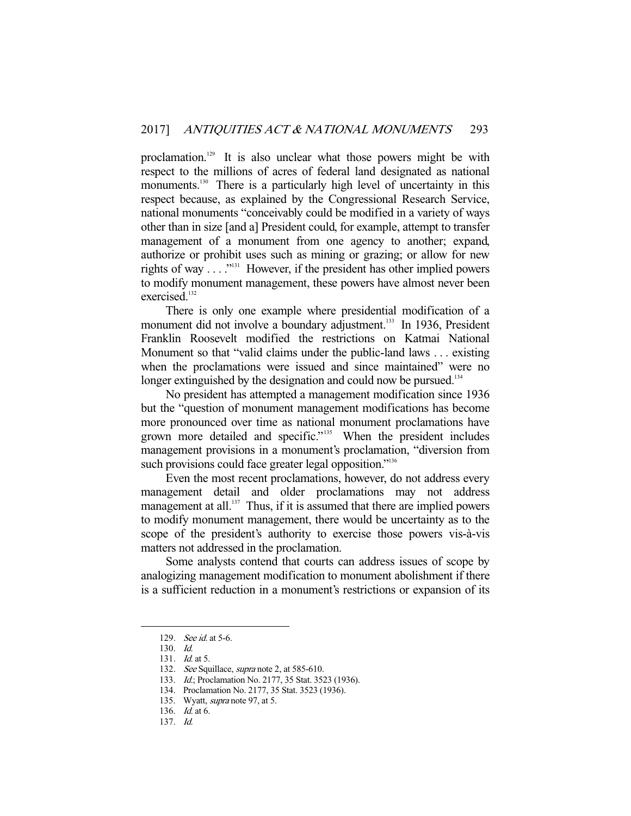proclamation.<sup>129</sup> It is also unclear what those powers might be with respect to the millions of acres of federal land designated as national monuments.<sup>130</sup> There is a particularly high level of uncertainty in this respect because, as explained by the Congressional Research Service, national monuments "conceivably could be modified in a variety of ways other than in size [and a] President could, for example, attempt to transfer management of a monument from one agency to another; expand, authorize or prohibit uses such as mining or grazing; or allow for new rights of way  $\dots$ <sup>"131</sup> However, if the president has other implied powers to modify monument management, these powers have almost never been exercised.<sup>132</sup>

 There is only one example where presidential modification of a monument did not involve a boundary adjustment.<sup>133</sup> In 1936, President Franklin Roosevelt modified the restrictions on Katmai National Monument so that "valid claims under the public-land laws . . . existing when the proclamations were issued and since maintained" were no longer extinguished by the designation and could now be pursued.<sup>134</sup>

 No president has attempted a management modification since 1936 but the "question of monument management modifications has become more pronounced over time as national monument proclamations have grown more detailed and specific."<sup>135</sup> When the president includes management provisions in a monument's proclamation, "diversion from such provisions could face greater legal opposition."<sup>136</sup>

 Even the most recent proclamations, however, do not address every management detail and older proclamations may not address management at all.<sup>137</sup> Thus, if it is assumed that there are implied powers to modify monument management, there would be uncertainty as to the scope of the president's authority to exercise those powers vis-à-vis matters not addressed in the proclamation.

 Some analysts contend that courts can address issues of scope by analogizing management modification to monument abolishment if there is a sufficient reduction in a monument's restrictions or expansion of its

 <sup>129.</sup> See id. at 5-6.

 <sup>130.</sup> Id.

 <sup>131.</sup> Id. at 5.

<sup>132.</sup> See Squillace, supra note 2, at 585-610.

 <sup>133.</sup> Id.; Proclamation No. 2177, 35 Stat. 3523 (1936).

 <sup>134.</sup> Proclamation No. 2177, 35 Stat. 3523 (1936).

<sup>135.</sup> Wyatt, *supra* note 97, at 5.

 <sup>136.</sup> Id. at 6.

 <sup>137.</sup> Id.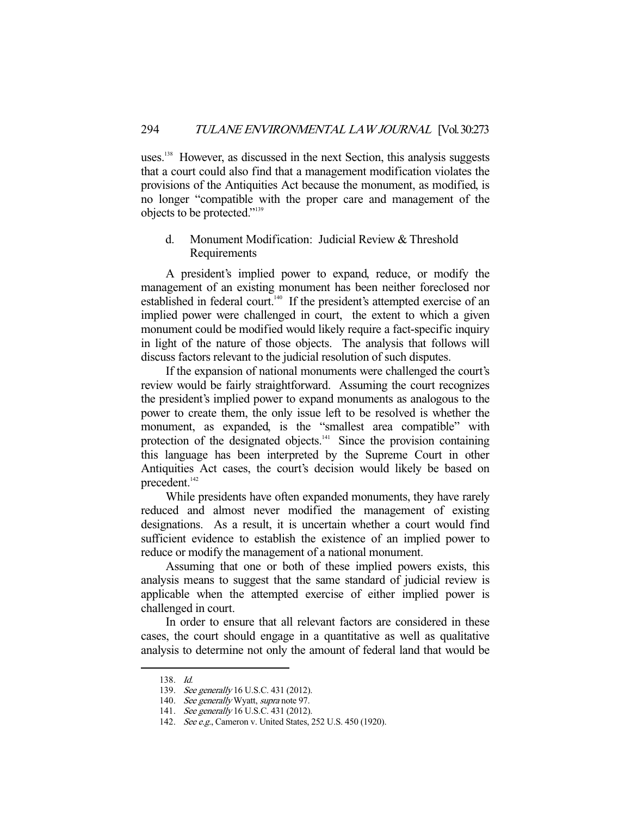uses.<sup>138</sup> However, as discussed in the next Section, this analysis suggests that a court could also find that a management modification violates the provisions of the Antiquities Act because the monument, as modified, is no longer "compatible with the proper care and management of the objects to be protected."139

# d. Monument Modification: Judicial Review & Threshold **Requirements**

 A president's implied power to expand, reduce, or modify the management of an existing monument has been neither foreclosed nor established in federal court.<sup>140</sup> If the president's attempted exercise of an implied power were challenged in court, the extent to which a given monument could be modified would likely require a fact-specific inquiry in light of the nature of those objects. The analysis that follows will discuss factors relevant to the judicial resolution of such disputes.

 If the expansion of national monuments were challenged the court's review would be fairly straightforward. Assuming the court recognizes the president's implied power to expand monuments as analogous to the power to create them, the only issue left to be resolved is whether the monument, as expanded, is the "smallest area compatible" with protection of the designated objects.<sup>141</sup> Since the provision containing this language has been interpreted by the Supreme Court in other Antiquities Act cases, the court's decision would likely be based on precedent.<sup>142</sup>

 While presidents have often expanded monuments, they have rarely reduced and almost never modified the management of existing designations. As a result, it is uncertain whether a court would find sufficient evidence to establish the existence of an implied power to reduce or modify the management of a national monument.

 Assuming that one or both of these implied powers exists, this analysis means to suggest that the same standard of judicial review is applicable when the attempted exercise of either implied power is challenged in court.

 In order to ensure that all relevant factors are considered in these cases, the court should engage in a quantitative as well as qualitative analysis to determine not only the amount of federal land that would be

 <sup>138.</sup> Id.

<sup>139.</sup> See generally 16 U.S.C. 431 (2012).

<sup>140.</sup> See generally Wyatt, supra note 97.

 <sup>141.</sup> See generally 16 U.S.C. 431 (2012).

<sup>142.</sup> See e.g., Cameron v. United States, 252 U.S. 450 (1920).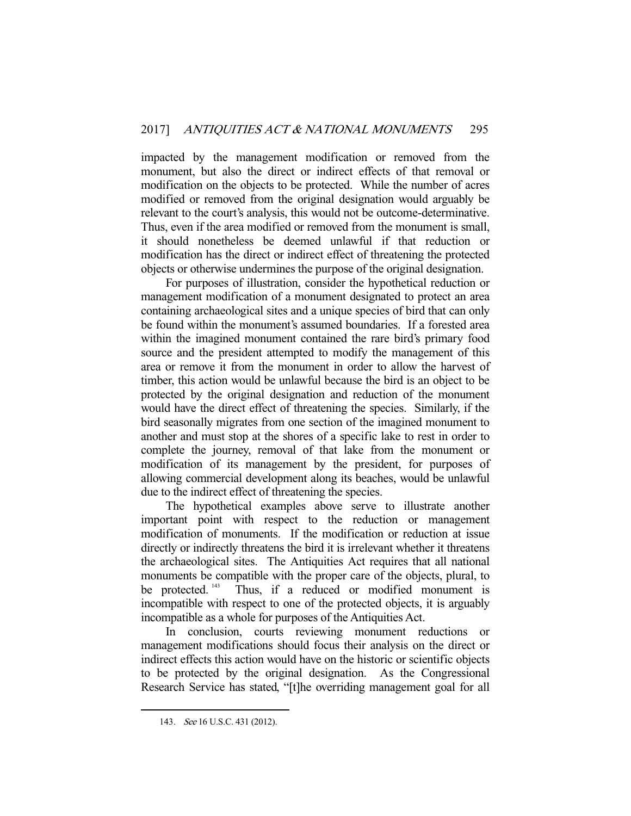impacted by the management modification or removed from the monument, but also the direct or indirect effects of that removal or modification on the objects to be protected. While the number of acres modified or removed from the original designation would arguably be relevant to the court's analysis, this would not be outcome-determinative. Thus, even if the area modified or removed from the monument is small, it should nonetheless be deemed unlawful if that reduction or modification has the direct or indirect effect of threatening the protected objects or otherwise undermines the purpose of the original designation.

 For purposes of illustration, consider the hypothetical reduction or management modification of a monument designated to protect an area containing archaeological sites and a unique species of bird that can only be found within the monument's assumed boundaries. If a forested area within the imagined monument contained the rare bird's primary food source and the president attempted to modify the management of this area or remove it from the monument in order to allow the harvest of timber, this action would be unlawful because the bird is an object to be protected by the original designation and reduction of the monument would have the direct effect of threatening the species. Similarly, if the bird seasonally migrates from one section of the imagined monument to another and must stop at the shores of a specific lake to rest in order to complete the journey, removal of that lake from the monument or modification of its management by the president, for purposes of allowing commercial development along its beaches, would be unlawful due to the indirect effect of threatening the species.

 The hypothetical examples above serve to illustrate another important point with respect to the reduction or management modification of monuments. If the modification or reduction at issue directly or indirectly threatens the bird it is irrelevant whether it threatens the archaeological sites. The Antiquities Act requires that all national monuments be compatible with the proper care of the objects, plural, to be protected.<sup>143</sup> Thus, if a reduced or modified monument is incompatible with respect to one of the protected objects, it is arguably incompatible as a whole for purposes of the Antiquities Act.

 In conclusion, courts reviewing monument reductions or management modifications should focus their analysis on the direct or indirect effects this action would have on the historic or scientific objects to be protected by the original designation. As the Congressional Research Service has stated, "[t]he overriding management goal for all

 <sup>143.</sup> See 16 U.S.C. 431 (2012).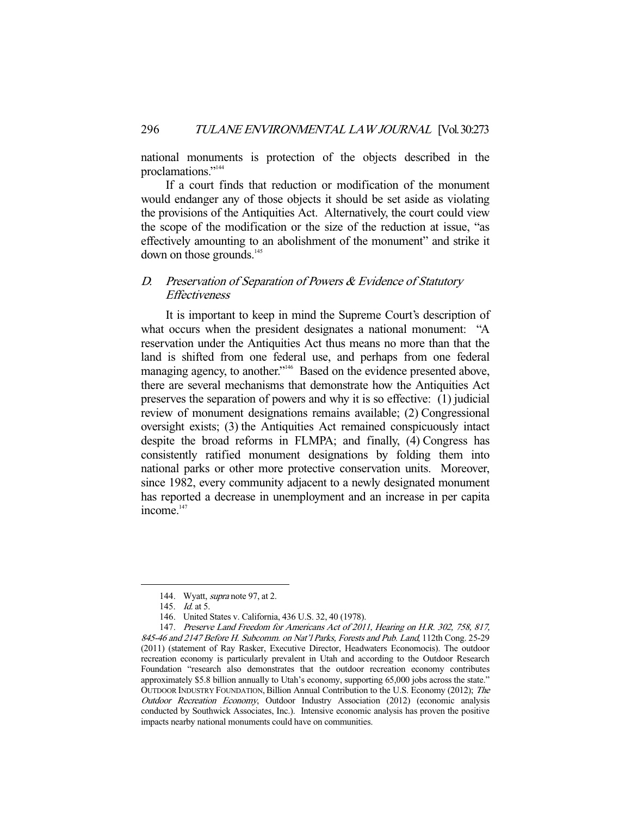national monuments is protection of the objects described in the proclamations."<sup>144</sup>

 If a court finds that reduction or modification of the monument would endanger any of those objects it should be set aside as violating the provisions of the Antiquities Act. Alternatively, the court could view the scope of the modification or the size of the reduction at issue, "as effectively amounting to an abolishment of the monument" and strike it down on those grounds.<sup>145</sup>

# D. Preservation of Separation of Powers & Evidence of Statutory **Effectiveness**

 It is important to keep in mind the Supreme Court's description of what occurs when the president designates a national monument: "A reservation under the Antiquities Act thus means no more than that the land is shifted from one federal use, and perhaps from one federal managing agency, to another."<sup>146</sup> Based on the evidence presented above, there are several mechanisms that demonstrate how the Antiquities Act preserves the separation of powers and why it is so effective: (1) judicial review of monument designations remains available; (2) Congressional oversight exists; (3) the Antiquities Act remained conspicuously intact despite the broad reforms in FLMPA; and finally, (4) Congress has consistently ratified monument designations by folding them into national parks or other more protective conservation units. Moreover, since 1982, every community adjacent to a newly designated monument has reported a decrease in unemployment and an increase in per capita income.<sup>147</sup>

<sup>144.</sup> Wyatt, *supra* note 97, at 2.

<sup>145.</sup> *Id.* at 5.

 <sup>146.</sup> United States v. California, 436 U.S. 32, 40 (1978).

 <sup>147.</sup> Preserve Land Freedom for Americans Act of 2011, Hearing on H.R. 302, 758, 817, 845-46 and 2147 Before H. Subcomm. on Nat'l Parks, Forests and Pub. Land, 112th Cong. 25-29 (2011) (statement of Ray Rasker, Executive Director, Headwaters Economocis). The outdoor recreation economy is particularly prevalent in Utah and according to the Outdoor Research Foundation "research also demonstrates that the outdoor recreation economy contributes approximately \$5.8 billion annually to Utah's economy, supporting 65,000 jobs across the state." OUTDOOR INDUSTRY FOUNDATION,Billion Annual Contribution to the U.S. Economy (2012); The Outdoor Recreation Economy, Outdoor Industry Association (2012) (economic analysis conducted by Southwick Associates, Inc.). Intensive economic analysis has proven the positive impacts nearby national monuments could have on communities.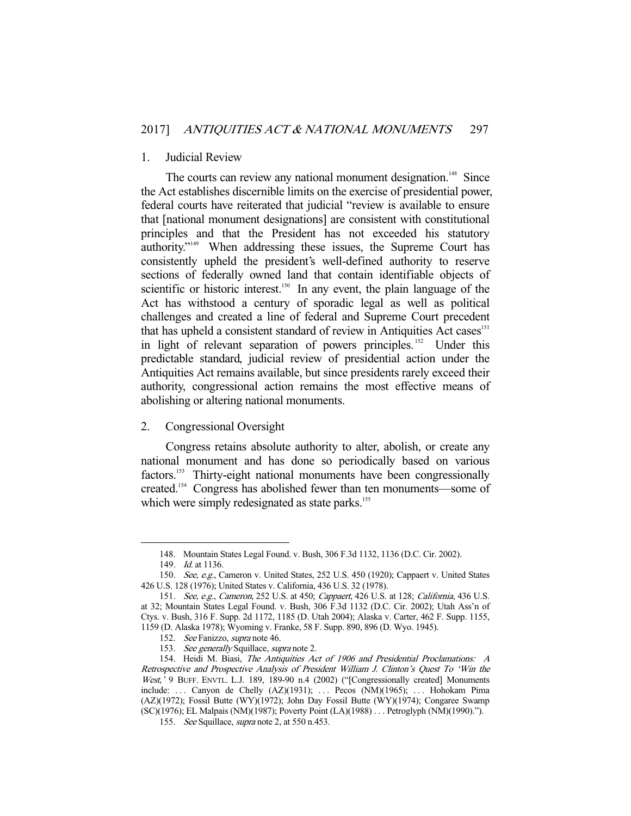#### 1. Judicial Review

The courts can review any national monument designation.<sup>148</sup> Since the Act establishes discernible limits on the exercise of presidential power, federal courts have reiterated that judicial "review is available to ensure that [national monument designations] are consistent with constitutional principles and that the President has not exceeded his statutory authority."149 When addressing these issues, the Supreme Court has consistently upheld the president's well-defined authority to reserve sections of federally owned land that contain identifiable objects of scientific or historic interest.<sup>150</sup> In any event, the plain language of the Act has withstood a century of sporadic legal as well as political challenges and created a line of federal and Supreme Court precedent that has upheld a consistent standard of review in Antiquities Act cases<sup>151</sup> in light of relevant separation of powers principles.<sup>152</sup> Under this predictable standard, judicial review of presidential action under the Antiquities Act remains available, but since presidents rarely exceed their authority, congressional action remains the most effective means of abolishing or altering national monuments.

## 2. Congressional Oversight

 Congress retains absolute authority to alter, abolish, or create any national monument and has done so periodically based on various factors.<sup>153</sup> Thirty-eight national monuments have been congressionally created.154 Congress has abolished fewer than ten monuments—some of which were simply redesignated as state parks.<sup>155</sup>

 <sup>148.</sup> Mountain States Legal Found. v. Bush, 306 F.3d 1132, 1136 (D.C. Cir. 2002).

<sup>149.</sup> *Id.* at 1136.

 <sup>150.</sup> See, e.g., Cameron v. United States, 252 U.S. 450 (1920); Cappaert v. United States 426 U.S. 128 (1976); United States v. California, 436 U.S. 32 (1978).

<sup>151.</sup> See, e.g., Cameron, 252 U.S. at 450; Cappaert, 426 U.S. at 128; California, 436 U.S. at 32; Mountain States Legal Found. v. Bush, 306 F.3d 1132 (D.C. Cir. 2002); Utah Ass'n of Ctys. v. Bush, 316 F. Supp. 2d 1172, 1185 (D. Utah 2004); Alaska v. Carter, 462 F. Supp. 1155, 1159 (D. Alaska 1978); Wyoming v. Franke, 58 F. Supp. 890, 896 (D. Wyo. 1945).

 <sup>152.</sup> See Fanizzo, supra note 46.

<sup>153.</sup> See generally Squillace, supra note 2.

 <sup>154.</sup> Heidi M. Biasi, The Antiquities Act of 1906 and Presidential Proclamations: A Retrospective and Prospective Analysis of President William J. Clinton's Quest To 'Win the West,' 9 BUFF. ENVTL. L.J. 189, 189-90 n.4 (2002) ("[Congressionally created] Monuments include: ... Canyon de Chelly (AZ)(1931); ... Pecos (NM)(1965); ... Hohokam Pima (AZ)(1972); Fossil Butte (WY)(1972); John Day Fossil Butte (WY)(1974); Congaree Swamp (SC)(1976); EL Malpais (NM)(1987); Poverty Point (LA)(1988) . . . Petroglyph (NM)(1990).").

 <sup>155.</sup> See Squillace, supra note 2, at 550 n.453.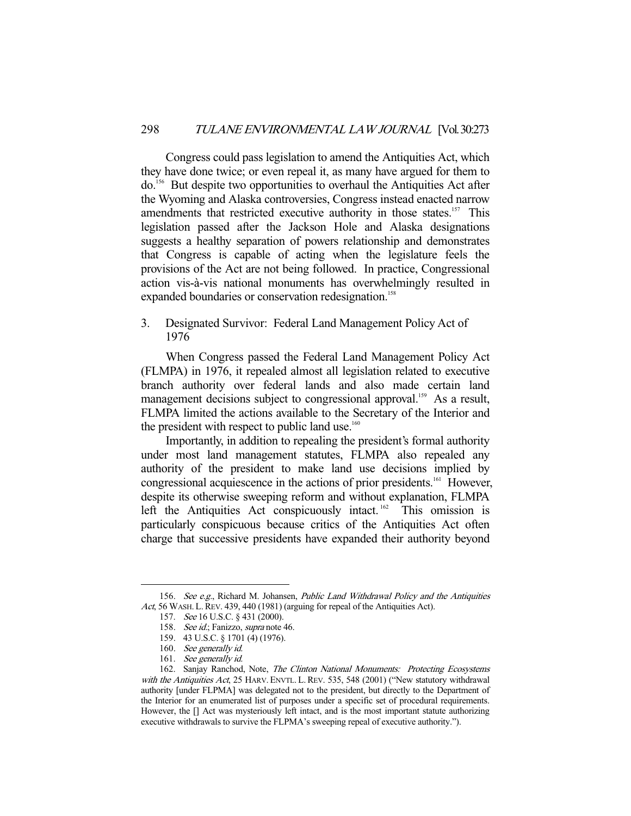Congress could pass legislation to amend the Antiquities Act, which they have done twice; or even repeal it, as many have argued for them to do.156 But despite two opportunities to overhaul the Antiquities Act after the Wyoming and Alaska controversies, Congress instead enacted narrow amendments that restricted executive authority in those states.<sup>157</sup> This legislation passed after the Jackson Hole and Alaska designations suggests a healthy separation of powers relationship and demonstrates that Congress is capable of acting when the legislature feels the provisions of the Act are not being followed. In practice, Congressional action vis-à-vis national monuments has overwhelmingly resulted in expanded boundaries or conservation redesignation.<sup>158</sup>

3. Designated Survivor: Federal Land Management Policy Act of 1976

 When Congress passed the Federal Land Management Policy Act (FLMPA) in 1976, it repealed almost all legislation related to executive branch authority over federal lands and also made certain land management decisions subject to congressional approval.<sup>159</sup> As a result, FLMPA limited the actions available to the Secretary of the Interior and the president with respect to public land use. $160$ 

 Importantly, in addition to repealing the president's formal authority under most land management statutes, FLMPA also repealed any authority of the president to make land use decisions implied by congressional acquiescence in the actions of prior presidents.<sup>161</sup> However, despite its otherwise sweeping reform and without explanation, FLMPA left the Antiquities Act conspicuously intact. <sup>162</sup> This omission is particularly conspicuous because critics of the Antiquities Act often charge that successive presidents have expanded their authority beyond

<sup>156.</sup> See e.g., Richard M. Johansen, Public Land Withdrawal Policy and the Antiquities Act, 56 WASH. L. REV. 439, 440 (1981) (arguing for repeal of the Antiquities Act).

 <sup>157.</sup> See 16 U.S.C. § 431 (2000).

<sup>158.</sup> See id.; Fanizzo, supra note 46.

 <sup>159. 43</sup> U.S.C. § 1701 (4) (1976).

<sup>160.</sup> See generally id.

<sup>161.</sup> See generally id.

<sup>162.</sup> Sanjay Ranchod, Note, The Clinton National Monuments: Protecting Ecosystems with the Antiquities Act, 25 HARV. ENVTL. L. REV. 535, 548 (2001) ("New statutory withdrawal authority [under FLPMA] was delegated not to the president, but directly to the Department of the Interior for an enumerated list of purposes under a specific set of procedural requirements. However, the [] Act was mysteriously left intact, and is the most important statute authorizing executive withdrawals to survive the FLPMA's sweeping repeal of executive authority.").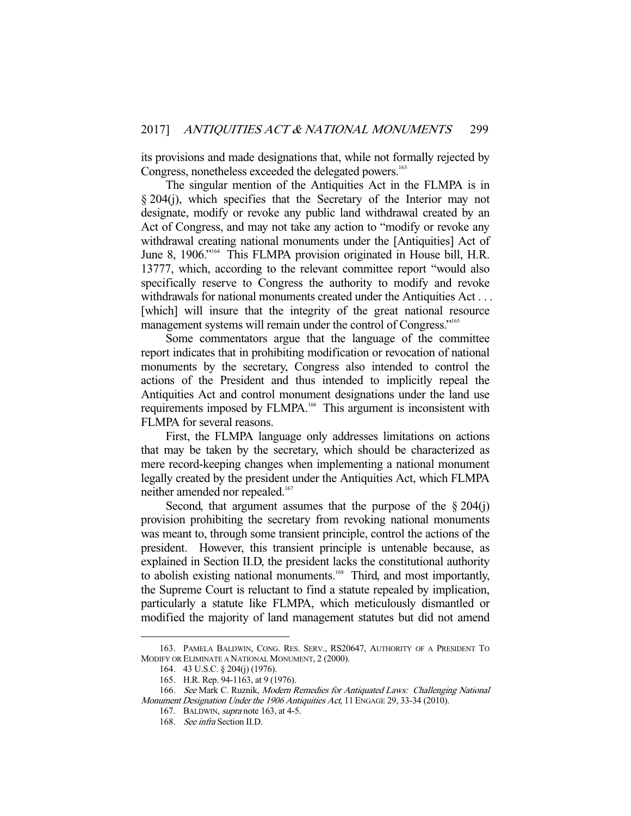its provisions and made designations that, while not formally rejected by Congress, nonetheless exceeded the delegated powers.<sup>163</sup>

 The singular mention of the Antiquities Act in the FLMPA is in § 204(j), which specifies that the Secretary of the Interior may not designate, modify or revoke any public land withdrawal created by an Act of Congress, and may not take any action to "modify or revoke any withdrawal creating national monuments under the [Antiquities] Act of June 8, 1906."<sup>164</sup> This FLMPA provision originated in House bill, H.R. 13777, which, according to the relevant committee report "would also specifically reserve to Congress the authority to modify and revoke withdrawals for national monuments created under the Antiquities Act . . . [which] will insure that the integrity of the great national resource management systems will remain under the control of Congress."<sup>165</sup>

 Some commentators argue that the language of the committee report indicates that in prohibiting modification or revocation of national monuments by the secretary, Congress also intended to control the actions of the President and thus intended to implicitly repeal the Antiquities Act and control monument designations under the land use requirements imposed by FLMPA.<sup>166</sup> This argument is inconsistent with FLMPA for several reasons.

 First, the FLMPA language only addresses limitations on actions that may be taken by the secretary, which should be characterized as mere record-keeping changes when implementing a national monument legally created by the president under the Antiquities Act, which FLMPA neither amended nor repealed.<sup>167</sup>

Second, that argument assumes that the purpose of the  $\S 204(i)$ provision prohibiting the secretary from revoking national monuments was meant to, through some transient principle, control the actions of the president. However, this transient principle is untenable because, as explained in Section II.D, the president lacks the constitutional authority to abolish existing national monuments.<sup>168</sup> Third, and most importantly, the Supreme Court is reluctant to find a statute repealed by implication, particularly a statute like FLMPA, which meticulously dismantled or modified the majority of land management statutes but did not amend

 <sup>163.</sup> PAMELA BALDWIN, CONG. RES. SERV., RS20647, AUTHORITY OF A PRESIDENT TO MODIFY OR ELIMINATE A NATIONAL MONUMENT, 2 (2000).

 <sup>164. 43</sup> U.S.C. § 204(j) (1976).

 <sup>165.</sup> H.R. Rep. 94-1163, at 9 (1976).

<sup>166.</sup> See Mark C. Ruznik, Modern Remedies for Antiquated Laws: Challenging National

Monument Designation Under the 1906 Antiquities Act, 11 ENGAGE 29, 33-34 (2010).

 <sup>167.</sup> BALDWIN, supra note 163, at 4-5.

 <sup>168.</sup> See infra Section II.D.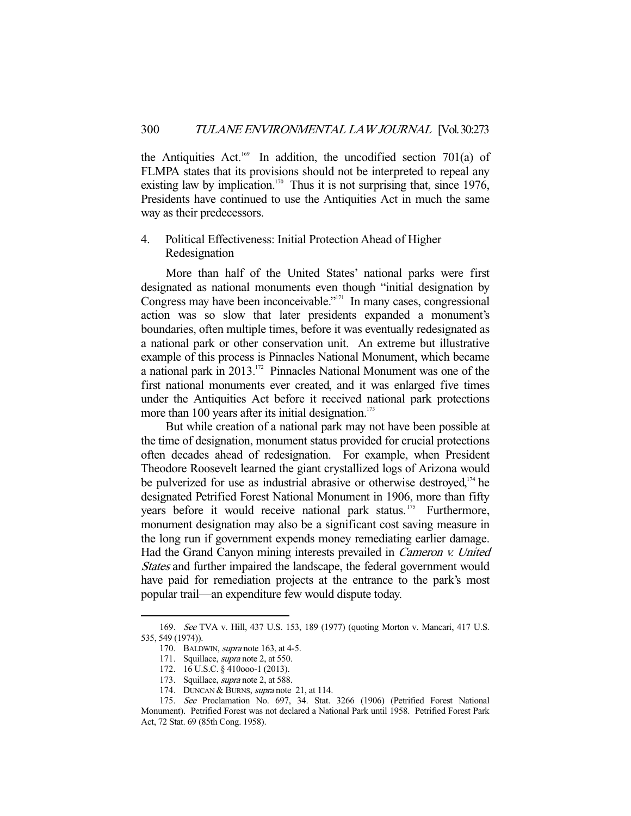the Antiquities Act.<sup>169</sup> In addition, the uncodified section 701(a) of FLMPA states that its provisions should not be interpreted to repeal any existing law by implication.<sup>170</sup> Thus it is not surprising that, since 1976, Presidents have continued to use the Antiquities Act in much the same way as their predecessors.

# 4. Political Effectiveness: Initial Protection Ahead of Higher Redesignation

 More than half of the United States' national parks were first designated as national monuments even though "initial designation by Congress may have been inconceivable."171 In many cases, congressional action was so slow that later presidents expanded a monument's boundaries, often multiple times, before it was eventually redesignated as a national park or other conservation unit. An extreme but illustrative example of this process is Pinnacles National Monument, which became a national park in 2013.172 Pinnacles National Monument was one of the first national monuments ever created, and it was enlarged five times under the Antiquities Act before it received national park protections more than 100 years after its initial designation. $173$ 

 But while creation of a national park may not have been possible at the time of designation, monument status provided for crucial protections often decades ahead of redesignation. For example, when President Theodore Roosevelt learned the giant crystallized logs of Arizona would be pulverized for use as industrial abrasive or otherwise destroyed, $174$  he designated Petrified Forest National Monument in 1906, more than fifty years before it would receive national park status.<sup>175</sup> Furthermore, monument designation may also be a significant cost saving measure in the long run if government expends money remediating earlier damage. Had the Grand Canyon mining interests prevailed in Cameron v. United States and further impaired the landscape, the federal government would have paid for remediation projects at the entrance to the park's most popular trail—an expenditure few would dispute today.

 <sup>169.</sup> See TVA v. Hill, 437 U.S. 153, 189 (1977) (quoting Morton v. Mancari, 417 U.S. 535, 549 (1974)).

<sup>170.</sup> BALDWIN, *supra* note 163, at 4-5.

 <sup>171.</sup> Squillace, supra note 2, at 550.

 <sup>172. 16</sup> U.S.C. § 410ooo-1 (2013).

<sup>173.</sup> Squillace, *supra* note 2, at 588.

<sup>174.</sup> DUNCAN & BURNS, supra note 21, at 114.

 <sup>175.</sup> See Proclamation No. 697, 34. Stat. 3266 (1906) (Petrified Forest National Monument). Petrified Forest was not declared a National Park until 1958. Petrified Forest Park Act, 72 Stat. 69 (85th Cong. 1958).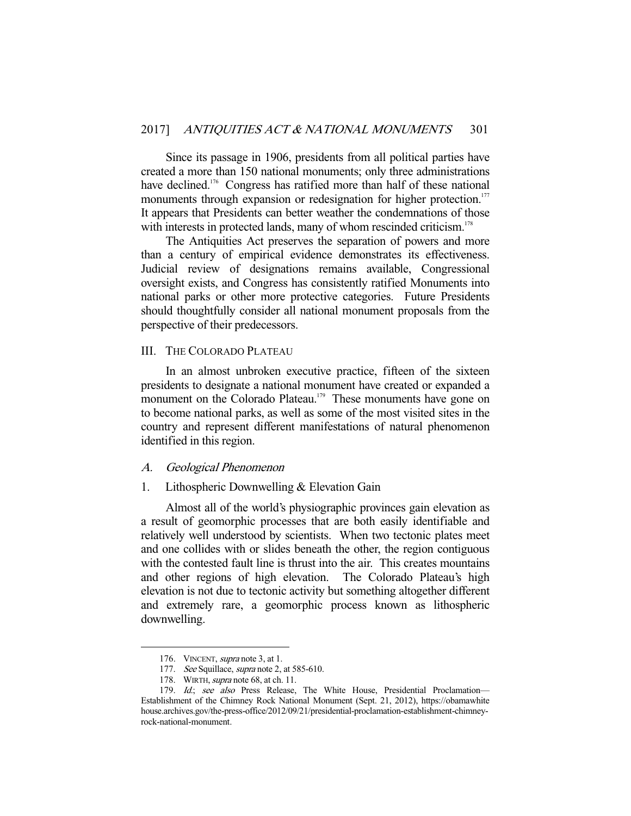Since its passage in 1906, presidents from all political parties have created a more than 150 national monuments; only three administrations have declined.<sup>176</sup> Congress has ratified more than half of these national monuments through expansion or redesignation for higher protection.<sup>177</sup> It appears that Presidents can better weather the condemnations of those with interests in protected lands, many of whom rescinded criticism.<sup>178</sup>

 The Antiquities Act preserves the separation of powers and more than a century of empirical evidence demonstrates its effectiveness. Judicial review of designations remains available, Congressional oversight exists, and Congress has consistently ratified Monuments into national parks or other more protective categories. Future Presidents should thoughtfully consider all national monument proposals from the perspective of their predecessors.

# III. THE COLORADO PLATEAU

 In an almost unbroken executive practice, fifteen of the sixteen presidents to designate a national monument have created or expanded a monument on the Colorado Plateau.<sup>179</sup> These monuments have gone on to become national parks, as well as some of the most visited sites in the country and represent different manifestations of natural phenomenon identified in this region.

#### A. Geological Phenomenon

## 1. Lithospheric Downwelling & Elevation Gain

 Almost all of the world's physiographic provinces gain elevation as a result of geomorphic processes that are both easily identifiable and relatively well understood by scientists. When two tectonic plates meet and one collides with or slides beneath the other, the region contiguous with the contested fault line is thrust into the air. This creates mountains and other regions of high elevation. The Colorado Plateau's high elevation is not due to tectonic activity but something altogether different and extremely rare, a geomorphic process known as lithospheric downwelling.

<sup>176.</sup> VINCENT, *supra* note 3, at 1.

<sup>177.</sup> See Squillace, supra note 2, at 585-610.

<sup>178.</sup> WIRTH, *supra* note 68, at ch. 11.

<sup>179.</sup> Id.; see also Press Release, The White House, Presidential Proclamation-Establishment of the Chimney Rock National Monument (Sept. 21, 2012), https://obamawhite house.archives.gov/the-press-office/2012/09/21/presidential-proclamation-establishment-chimneyrock-national-monument.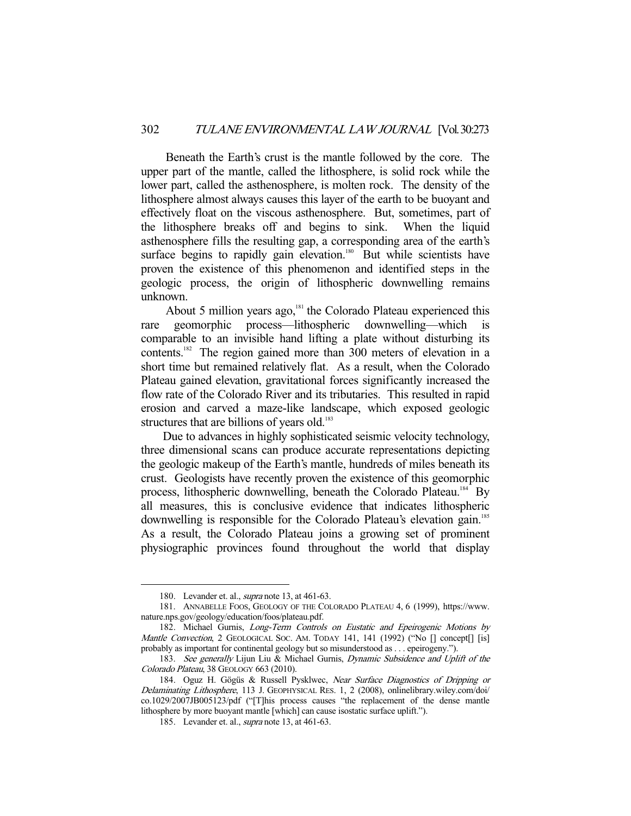Beneath the Earth's crust is the mantle followed by the core. The upper part of the mantle, called the lithosphere, is solid rock while the lower part, called the asthenosphere, is molten rock. The density of the lithosphere almost always causes this layer of the earth to be buoyant and effectively float on the viscous asthenosphere. But, sometimes, part of the lithosphere breaks off and begins to sink. When the liquid asthenosphere fills the resulting gap, a corresponding area of the earth's surface begins to rapidly gain elevation.<sup>180</sup> But while scientists have proven the existence of this phenomenon and identified steps in the geologic process, the origin of lithospheric downwelling remains unknown.

About 5 million years ago, $181$  the Colorado Plateau experienced this rare geomorphic process—lithospheric downwelling—which is comparable to an invisible hand lifting a plate without disturbing its contents.182 The region gained more than 300 meters of elevation in a short time but remained relatively flat. As a result, when the Colorado Plateau gained elevation, gravitational forces significantly increased the flow rate of the Colorado River and its tributaries. This resulted in rapid erosion and carved a maze-like landscape, which exposed geologic structures that are billions of years old.<sup>183</sup>

 Due to advances in highly sophisticated seismic velocity technology, three dimensional scans can produce accurate representations depicting the geologic makeup of the Earth's mantle, hundreds of miles beneath its crust. Geologists have recently proven the existence of this geomorphic process, lithospheric downwelling, beneath the Colorado Plateau.<sup>184</sup> By all measures, this is conclusive evidence that indicates lithospheric downwelling is responsible for the Colorado Plateau's elevation gain.<sup>185</sup> As a result, the Colorado Plateau joins a growing set of prominent physiographic provinces found throughout the world that display

 <sup>180.</sup> Levander et. al., supra note 13, at 461-63.

 <sup>181.</sup> ANNABELLE FOOS, GEOLOGY OF THE COLORADO PLATEAU 4, 6 (1999), https://www. nature.nps.gov/geology/education/foos/plateau.pdf.

<sup>182.</sup> Michael Gurnis, Long-Term Controls on Eustatic and Epeirogenic Motions by Mantle Convection, 2 GEOLOGICAL SOC. AM. TODAY 141, 141 (1992) ("No [] concept[] [is] probably as important for continental geology but so misunderstood as . . . epeirogeny.").

<sup>183.</sup> See generally Lijun Liu & Michael Gurnis, Dynamic Subsidence and Uplift of the Colorado Plateau, 38 GEOLOGY 663 (2010).

<sup>184.</sup> Oguz H. Gögüs & Russell Pysklwec, Near Surface Diagnostics of Dripping or Delaminating Lithosphere, 113 J. GEOPHYSICAL RES. 1, 2 (2008), onlinelibrary.wiley.com/doi/ co.1029/2007JB005123/pdf ("[T]his process causes "the replacement of the dense mantle lithosphere by more buoyant mantle [which] can cause isostatic surface uplift.").

 <sup>185.</sup> Levander et. al., supra note 13, at 461-63.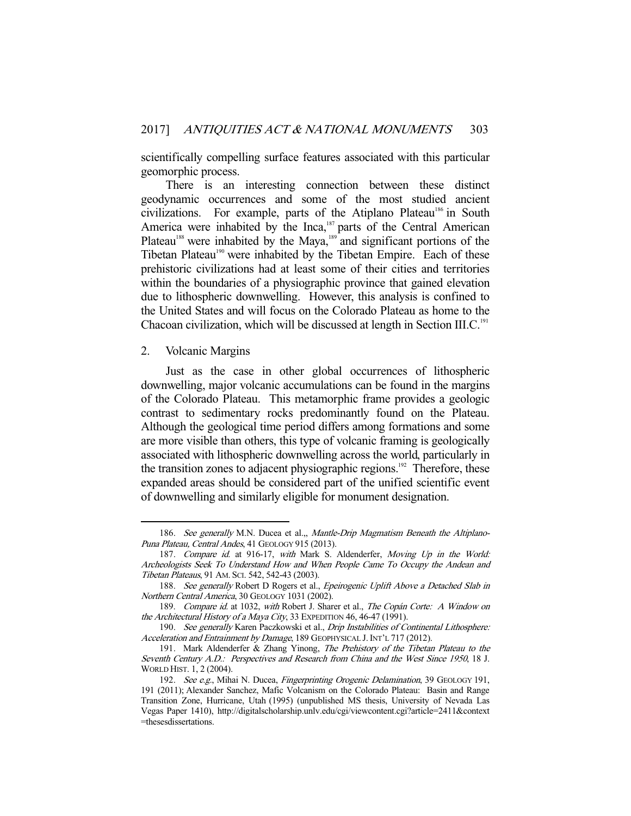scientifically compelling surface features associated with this particular geomorphic process.

 There is an interesting connection between these distinct geodynamic occurrences and some of the most studied ancient civilizations. For example, parts of the Atiplano Plateau<sup>186</sup> in South America were inhabited by the Inca, $187$  parts of the Central American Plateau<sup>188</sup> were inhabited by the Maya,<sup>189</sup> and significant portions of the Tibetan Plateau<sup>190</sup> were inhabited by the Tibetan Empire. Each of these prehistoric civilizations had at least some of their cities and territories within the boundaries of a physiographic province that gained elevation due to lithospheric downwelling. However, this analysis is confined to the United States and will focus on the Colorado Plateau as home to the Chacoan civilization, which will be discussed at length in Section III.C.<sup>191</sup>

2. Volcanic Margins

-

 Just as the case in other global occurrences of lithospheric downwelling, major volcanic accumulations can be found in the margins of the Colorado Plateau. This metamorphic frame provides a geologic contrast to sedimentary rocks predominantly found on the Plateau. Although the geological time period differs among formations and some are more visible than others, this type of volcanic framing is geologically associated with lithospheric downwelling across the world, particularly in the transition zones to adjacent physiographic regions.<sup>192</sup> Therefore, these expanded areas should be considered part of the unified scientific event of downwelling and similarly eligible for monument designation.

<sup>186.</sup> See generally M.N. Ducea et al.,, Mantle-Drip Magmatism Beneath the Altiplano-Puna Plateau, Central Andes, 41 GEOLOGY 915 (2013).

<sup>187.</sup> Compare id. at 916-17, with Mark S. Aldenderfer, Moving Up in the World: Archeologists Seek To Understand How and When People Came To Occupy the Andean and Tibetan Plateaus, 91 AM. SCI. 542, 542-43 (2003).

<sup>188.</sup> See generally Robert D Rogers et al., Epeirogenic Uplift Above a Detached Slab in Northern Central America, 30 GEOLOGY 1031 (2002).

 <sup>189.</sup> Compare id. at 1032, with Robert J. Sharer et al., The Copán Corte: A Window on the Architectural History of a Maya City, 33 EXPEDITION 46, 46-47 (1991).

<sup>190.</sup> See generally Karen Paczkowski et al., Drip Instabilities of Continental Lithosphere: Acceleration and Entrainment by Damage, 189 GEOPHYSICAL J. INT'L 717 (2012).

 <sup>191.</sup> Mark Aldenderfer & Zhang Yinong, The Prehistory of the Tibetan Plateau to the Seventh Century A.D.: Perspectives and Research from China and the West Since 1950, 18 J. WORLD HIST. 1, 2 (2004).

<sup>192.</sup> See e.g., Mihai N. Ducea, Fingerprinting Orogenic Delamination, 39 GEOLOGY 191, 191 (2011); Alexander Sanchez, Mafic Volcanism on the Colorado Plateau: Basin and Range Transition Zone, Hurricane, Utah (1995) (unpublished MS thesis, University of Nevada Las Vegas Paper 1410), http://digitalscholarship.unlv.edu/cgi/viewcontent.cgi?article=2411&context =thesesdissertations.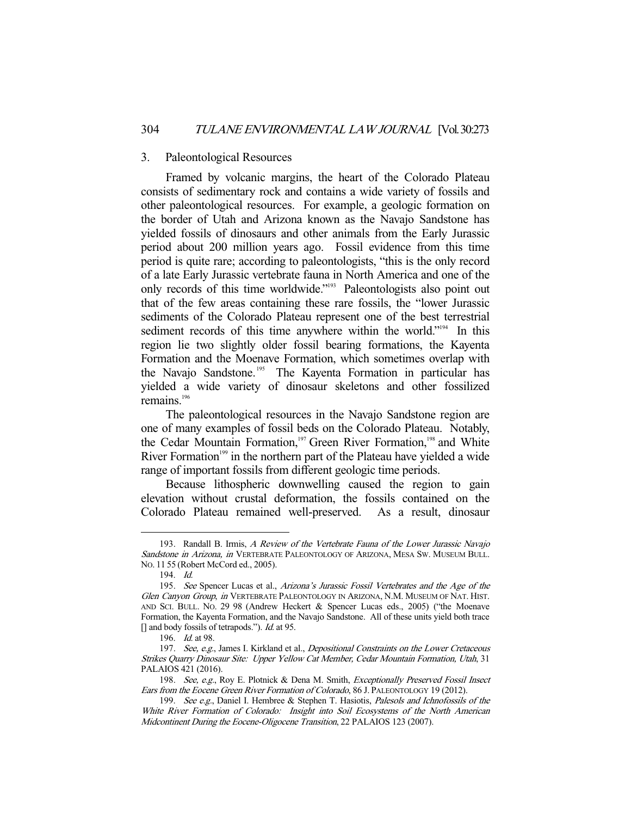#### 3. Paleontological Resources

 Framed by volcanic margins, the heart of the Colorado Plateau consists of sedimentary rock and contains a wide variety of fossils and other paleontological resources. For example, a geologic formation on the border of Utah and Arizona known as the Navajo Sandstone has yielded fossils of dinosaurs and other animals from the Early Jurassic period about 200 million years ago. Fossil evidence from this time period is quite rare; according to paleontologists, "this is the only record of a late Early Jurassic vertebrate fauna in North America and one of the only records of this time worldwide."193 Paleontologists also point out that of the few areas containing these rare fossils, the "lower Jurassic sediments of the Colorado Plateau represent one of the best terrestrial sediment records of this time anywhere within the world."<sup>194</sup> In this region lie two slightly older fossil bearing formations, the Kayenta Formation and the Moenave Formation, which sometimes overlap with the Navajo Sandstone.<sup>195</sup> The Kayenta Formation in particular has yielded a wide variety of dinosaur skeletons and other fossilized remains. $196$ 

 The paleontological resources in the Navajo Sandstone region are one of many examples of fossil beds on the Colorado Plateau. Notably, the Cedar Mountain Formation,<sup>197</sup> Green River Formation,<sup>198</sup> and White River Formation<sup>199</sup> in the northern part of the Plateau have yielded a wide range of important fossils from different geologic time periods.

 Because lithospheric downwelling caused the region to gain elevation without crustal deformation, the fossils contained on the Colorado Plateau remained well-preserved. As a result, dinosaur

<sup>193.</sup> Randall B. Irmis, A Review of the Vertebrate Fauna of the Lower Jurassic Navajo Sandstone in Arizona, in VERTEBRATE PALEONTOLOGY OF ARIZONA, MESA SW. MUSEUM BULL. NO. 11 55 (Robert McCord ed., 2005).

 <sup>194.</sup> Id.

<sup>195.</sup> See Spencer Lucas et al., Arizona's Jurassic Fossil Vertebrates and the Age of the Glen Canyon Group, in VERTEBRATE PALEONTOLOGY IN ARIZONA, N.M. MUSEUM OF NAT. HIST. AND SCI. BULL. NO. 29 98 (Andrew Heckert & Spencer Lucas eds., 2005) ("the Moenave Formation, the Kayenta Formation, and the Navajo Sandstone. All of these units yield both trace [] and body fossils of tetrapods."). *Id.* at 95.

 <sup>196.</sup> Id. at 98.

<sup>197.</sup> See, e.g., James I. Kirkland et al., Depositional Constraints on the Lower Cretaceous Strikes Quarry Dinosaur Site: Upper Yellow Cat Member, Cedar Mountain Formation, Utah, 31 PALAIOS 421 (2016).

<sup>198.</sup> See, e.g., Roy E. Plotnick & Dena M. Smith, Exceptionally Preserved Fossil Insect Ears from the Eocene Green River Formation of Colorado, 86 J. PALEONTOLOGY 19 (2012).

<sup>199.</sup> See e.g., Daniel I. Hembree & Stephen T. Hasiotis, *Palesols and Ichnofossils of the* White River Formation of Colorado: Insight into Soil Ecosystems of the North American Midcontinent During the Eocene-Oligocene Transition, 22 PALAIOS 123 (2007).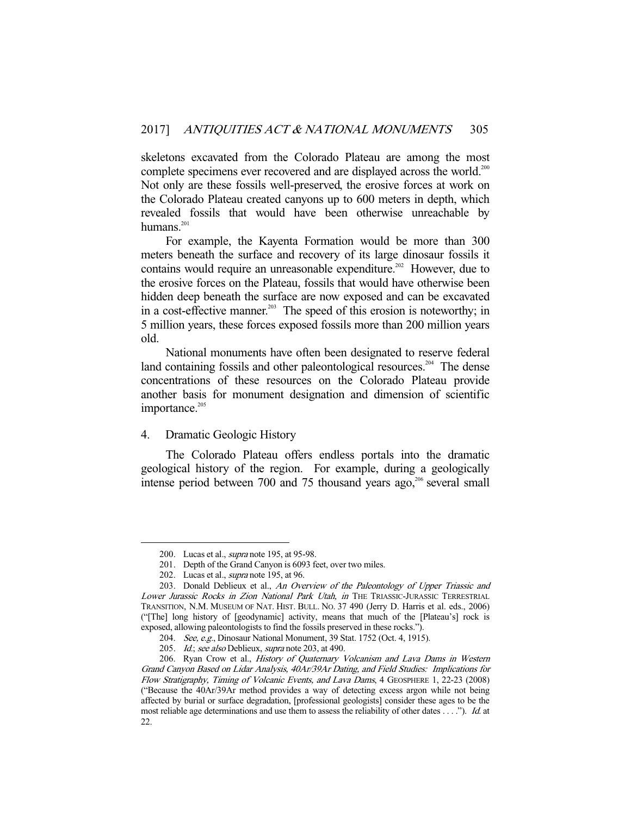skeletons excavated from the Colorado Plateau are among the most complete specimens ever recovered and are displayed across the world.<sup>200</sup> Not only are these fossils well-preserved, the erosive forces at work on the Colorado Plateau created canyons up to 600 meters in depth, which revealed fossils that would have been otherwise unreachable by humans. $201$ 

 For example, the Kayenta Formation would be more than 300 meters beneath the surface and recovery of its large dinosaur fossils it contains would require an unreasonable expenditure.<sup>202</sup> However, due to the erosive forces on the Plateau, fossils that would have otherwise been hidden deep beneath the surface are now exposed and can be excavated in a cost-effective manner.<sup>203</sup> The speed of this erosion is noteworthy; in 5 million years, these forces exposed fossils more than 200 million years old.

 National monuments have often been designated to reserve federal land containing fossils and other paleontological resources.<sup>204</sup> The dense concentrations of these resources on the Colorado Plateau provide another basis for monument designation and dimension of scientific importance.<sup>205</sup>

## 4. Dramatic Geologic History

 The Colorado Plateau offers endless portals into the dramatic geological history of the region. For example, during a geologically intense period between 700 and 75 thousand years ago, $206$  several small

<sup>200.</sup> Lucas et al., *supra* note 195, at 95-98.

 <sup>201.</sup> Depth of the Grand Canyon is 6093 feet, over two miles.

<sup>202.</sup> Lucas et al., *supra* note 195, at 96.

<sup>203.</sup> Donald Deblieux et al., An Overview of the Paleontology of Upper Triassic and Lower Jurassic Rocks in Zion National Park Utah, in THE TRIASSIC-JURASSIC TERRESTRIAL TRANSITION, N.M. MUSEUM OF NAT. HIST. BULL. NO. 37 490 (Jerry D. Harris et al. eds., 2006) ("[The] long history of [geodynamic] activity, means that much of the [Plateau's] rock is exposed, allowing paleontologists to find the fossils preserved in these rocks.").

<sup>204.</sup> See, e.g., Dinosaur National Monument, 39 Stat. 1752 (Oct. 4, 1915).

<sup>205.</sup> Id.; see also Deblieux, supra note 203, at 490.

 <sup>206.</sup> Ryan Crow et al., History of Quaternary Volcanism and Lava Dams in Western Grand Canyon Based on Lidar Analysis, 40Ar/39Ar Dating, and Field Studies: Implications for Flow Stratigraphy, Timing of Volcanic Events, and Lava Dams, 4 GEOSPHERE 1, 22-23 (2008) ("Because the 40Ar/39Ar method provides a way of detecting excess argon while not being affected by burial or surface degradation, [professional geologists] consider these ages to be the most reliable age determinations and use them to assess the reliability of other dates  $\dots$ ."). Id. at 22.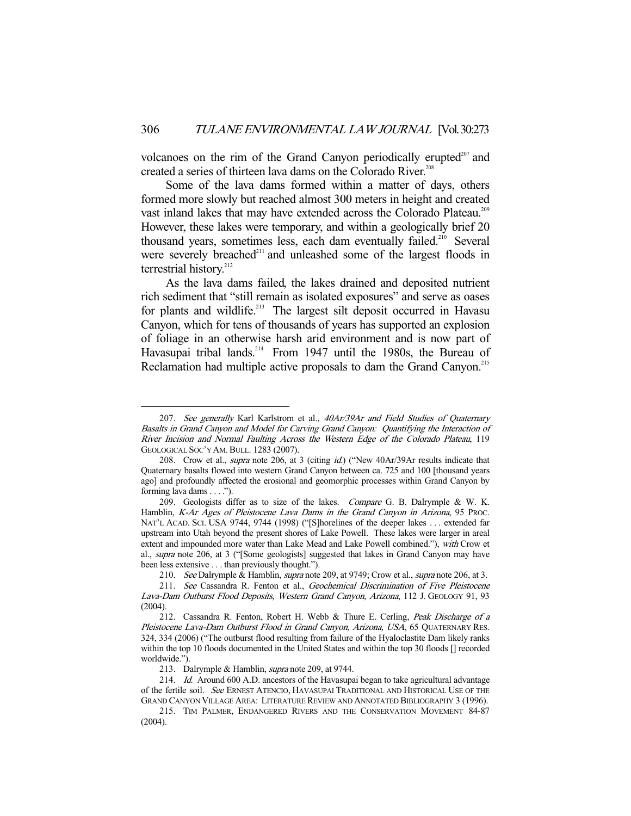volcanoes on the rim of the Grand Canyon periodically erupted $207$  and created a series of thirteen lava dams on the Colorado River.<sup>208</sup>

 Some of the lava dams formed within a matter of days, others formed more slowly but reached almost 300 meters in height and created vast inland lakes that may have extended across the Colorado Plateau.<sup>209</sup> However, these lakes were temporary, and within a geologically brief 20 thousand years, sometimes less, each dam eventually failed.<sup>210</sup> Several were severely breached<sup>211</sup> and unleashed some of the largest floods in terrestrial history.<sup>212</sup>

 As the lava dams failed, the lakes drained and deposited nutrient rich sediment that "still remain as isolated exposures" and serve as oases for plants and wildlife.<sup>213</sup> The largest silt deposit occurred in Havasu Canyon, which for tens of thousands of years has supported an explosion of foliage in an otherwise harsh arid environment and is now part of Havasupai tribal lands.<sup>214</sup> From 1947 until the 1980s, the Bureau of Reclamation had multiple active proposals to dam the Grand Canyon.<sup>215</sup>

<sup>207.</sup> See generally Karl Karlstrom et al., 40Ar/39Ar and Field Studies of Quaternary Basalts in Grand Canyon and Model for Carving Grand Canyon: Quantifying the Interaction of River Incision and Normal Faulting Across the Western Edge of the Colorado Plateau, 119 GEOLOGICAL SOC'Y AM.BULL. 1283 (2007).

<sup>208.</sup> Crow et al., *supra* note 206, at 3 (citing *id.*) ("New 40Ar/39Ar results indicate that Quaternary basalts flowed into western Grand Canyon between ca. 725 and 100 [thousand years ago] and profoundly affected the erosional and geomorphic processes within Grand Canyon by forming lava dams . . . .").

 <sup>209.</sup> Geologists differ as to size of the lakes. Compare G. B. Dalrymple & W. K. Hamblin, K-Ar Ages of Pleistocene Lava Dams in the Grand Canyon in Arizona, 95 PROC. NAT'L ACAD. SCI. USA 9744, 9744 (1998) ("[S]horelines of the deeper lakes . . . extended far upstream into Utah beyond the present shores of Lake Powell. These lakes were larger in areal extent and impounded more water than Lake Mead and Lake Powell combined."), with Crow et al., supra note 206, at 3 ("[Some geologists] suggested that lakes in Grand Canyon may have been less extensive . . . than previously thought.").

<sup>210.</sup> See Dalrymple & Hamblin, supra note 209, at 9749; Crow et al., supra note 206, at 3.

 <sup>211.</sup> See Cassandra R. Fenton et al., Geochemical Discrimination of Five Pleistocene Lava-Dam Outburst Flood Deposits, Western Grand Canyon, Arizona, 112 J. GEOLOGY 91, 93 (2004).

<sup>212.</sup> Cassandra R. Fenton, Robert H. Webb & Thure E. Cerling, Peak Discharge of a Pleistocene Lava-Dam Outburst Flood in Grand Canyon, Arizona, USA, 65 QUATERNARY RES. 324, 334 (2006) ("The outburst flood resulting from failure of the Hyaloclastite Dam likely ranks within the top 10 floods documented in the United States and within the top 30 floods [] recorded worldwide.").

<sup>213.</sup> Dalrymple & Hamblin, *supra* note 209, at 9744.

<sup>214.</sup> Id. Around 600 A.D. ancestors of the Havasupai began to take agricultural advantage of the fertile soil. See ERNEST ATENCIO, HAVASUPAI TRADITIONAL AND HISTORICAL USE OF THE GRAND CANYON VILLAGE AREA: LITERATURE REVIEW AND ANNOTATED BIBLIOGRAPHY 3 (1996).

 <sup>215.</sup> TIM PALMER, ENDANGERED RIVERS AND THE CONSERVATION MOVEMENT 84-87 (2004).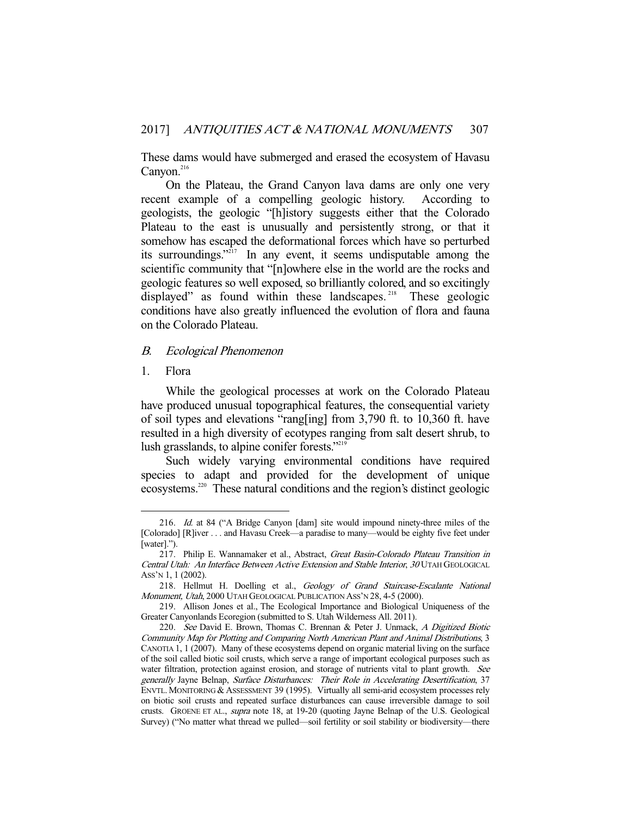These dams would have submerged and erased the ecosystem of Havasu Canyon.<sup>216</sup>

 On the Plateau, the Grand Canyon lava dams are only one very recent example of a compelling geologic history. According to geologists, the geologic "[h]istory suggests either that the Colorado Plateau to the east is unusually and persistently strong, or that it somehow has escaped the deformational forces which have so perturbed its surroundings."217 In any event, it seems undisputable among the scientific community that "[n]owhere else in the world are the rocks and geologic features so well exposed, so brilliantly colored, and so excitingly displayed" as found within these landscapes.<sup>218</sup> These geologic conditions have also greatly influenced the evolution of flora and fauna on the Colorado Plateau.

#### B. Ecological Phenomenon

# 1. Flora

-

 While the geological processes at work on the Colorado Plateau have produced unusual topographical features, the consequential variety of soil types and elevations "rang[ing] from 3,790 ft. to 10,360 ft. have resulted in a high diversity of ecotypes ranging from salt desert shrub, to lush grasslands, to alpine conifer forests."<sup>219</sup>

 Such widely varying environmental conditions have required species to adapt and provided for the development of unique ecosystems.<sup>220</sup> These natural conditions and the region's distinct geologic

 <sup>216.</sup> Id. at 84 ("A Bridge Canyon [dam] site would impound ninety-three miles of the [Colorado] [R]iver . . . and Havasu Creek—a paradise to many—would be eighty five feet under [water].").

<sup>217.</sup> Philip E. Wannamaker et al., Abstract, Great Basin-Colorado Plateau Transition in Central Utah: An Interface Between Active Extension and Stable Interior, 30 UTAH GEOLOGICAL ASS'N 1, 1 (2002).

<sup>218.</sup> Hellmut H. Doelling et al., Geology of Grand Staircase-Escalante National Monument, Utah, 2000 UTAH GEOLOGICAL PUBLICATION ASS'N 28, 4-5 (2000).

 <sup>219.</sup> Allison Jones et al., The Ecological Importance and Biological Uniqueness of the Greater Canyonlands Ecoregion (submitted to S. Utah Wilderness All. 2011).

<sup>220.</sup> See David E. Brown, Thomas C. Brennan & Peter J. Unmack, A Digitized Biotic Community Map for Plotting and Comparing North American Plant and Animal Distributions, 3 CANOTIA 1, 1 (2007). Many of these ecosystems depend on organic material living on the surface of the soil called biotic soil crusts, which serve a range of important ecological purposes such as water filtration, protection against erosion, and storage of nutrients vital to plant growth. See generally Jayne Belnap, Surface Disturbances: Their Role in Accelerating Desertification, 37 ENVTL. MONITORING & ASSESSMENT 39 (1995). Virtually all semi-arid ecosystem processes rely on biotic soil crusts and repeated surface disturbances can cause irreversible damage to soil crusts. GROENE ET AL., supra note 18, at 19-20 (quoting Jayne Belnap of the U.S. Geological Survey) ("No matter what thread we pulled—soil fertility or soil stability or biodiversity—there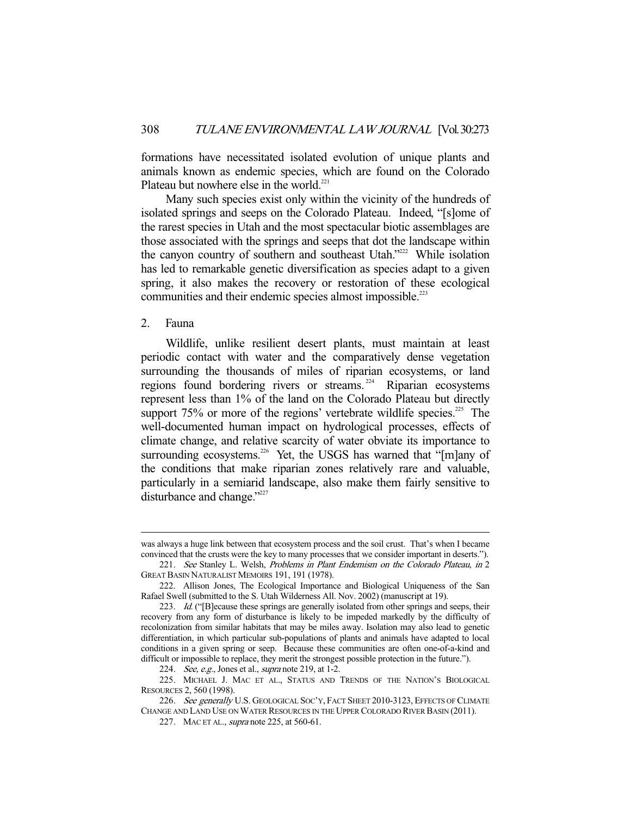formations have necessitated isolated evolution of unique plants and animals known as endemic species, which are found on the Colorado Plateau but nowhere else in the world.<sup>221</sup>

 Many such species exist only within the vicinity of the hundreds of isolated springs and seeps on the Colorado Plateau. Indeed, "[s]ome of the rarest species in Utah and the most spectacular biotic assemblages are those associated with the springs and seeps that dot the landscape within the canyon country of southern and southeast Utah."<sup>222</sup> While isolation has led to remarkable genetic diversification as species adapt to a given spring, it also makes the recovery or restoration of these ecological communities and their endemic species almost impossible.<sup>223</sup>

# 2. Fauna

-

 Wildlife, unlike resilient desert plants, must maintain at least periodic contact with water and the comparatively dense vegetation surrounding the thousands of miles of riparian ecosystems, or land regions found bordering rivers or streams. 224 Riparian ecosystems represent less than 1% of the land on the Colorado Plateau but directly support  $75\%$  or more of the regions' vertebrate wildlife species.<sup>225</sup> The well-documented human impact on hydrological processes, effects of climate change, and relative scarcity of water obviate its importance to surrounding ecosystems.<sup>226</sup> Yet, the USGS has warned that "[m]any of the conditions that make riparian zones relatively rare and valuable, particularly in a semiarid landscape, also make them fairly sensitive to disturbance and change."<sup>227</sup>

was always a huge link between that ecosystem process and the soil crust. That's when I became convinced that the crusts were the key to many processes that we consider important in deserts.").

<sup>221.</sup> See Stanley L. Welsh, Problems in Plant Endemism on the Colorado Plateau, in 2 GREAT BASIN NATURALIST MEMOIRS 191, 191 (1978).

 <sup>222.</sup> Allison Jones, The Ecological Importance and Biological Uniqueness of the San Rafael Swell (submitted to the S. Utah Wilderness All. Nov. 2002) (manuscript at 19).

<sup>223.</sup> Id. ("[B]ecause these springs are generally isolated from other springs and seeps, their recovery from any form of disturbance is likely to be impeded markedly by the difficulty of recolonization from similar habitats that may be miles away. Isolation may also lead to genetic differentiation, in which particular sub-populations of plants and animals have adapted to local conditions in a given spring or seep. Because these communities are often one-of-a-kind and difficult or impossible to replace, they merit the strongest possible protection in the future.").

<sup>224.</sup> See, e.g., Jones et al., *supra* note 219, at 1-2.

 <sup>225.</sup> MICHAEL J. MAC ET AL., STATUS AND TRENDS OF THE NATION'S BIOLOGICAL RESOURCES 2, 560 (1998).

<sup>226.</sup> See generally U.S. GEOLOGICAL SOC'Y, FACT SHEET 2010-3123, EFFECTS OF CLIMATE CHANGE AND LAND USE ON WATER RESOURCES IN THE UPPER COLORADO RIVER BASIN (2011).

<sup>227.</sup> MAC ET AL., *supra* note 225, at 560-61.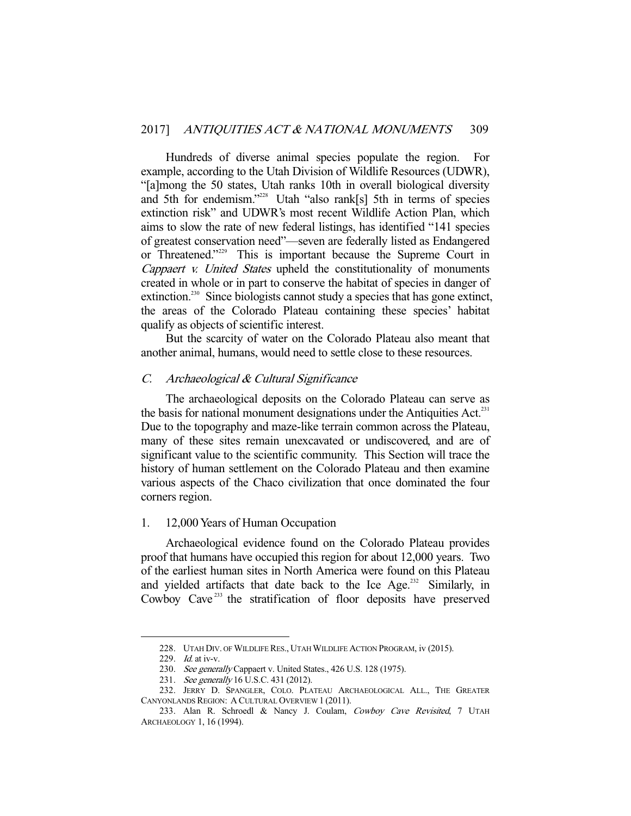Hundreds of diverse animal species populate the region. For example, according to the Utah Division of Wildlife Resources (UDWR), "[a]mong the 50 states, Utah ranks 10th in overall biological diversity and 5th for endemism."<sup>228</sup> Utah "also rank[s] 5th in terms of species extinction risk" and UDWR's most recent Wildlife Action Plan, which aims to slow the rate of new federal listings, has identified "141 species of greatest conservation need"—seven are federally listed as Endangered or Threatened."<sup>229</sup> This is important because the Supreme Court in Cappaert v. United States upheld the constitutionality of monuments created in whole or in part to conserve the habitat of species in danger of extinction.<sup>230</sup> Since biologists cannot study a species that has gone extinct, the areas of the Colorado Plateau containing these species' habitat qualify as objects of scientific interest.

 But the scarcity of water on the Colorado Plateau also meant that another animal, humans, would need to settle close to these resources.

## C. Archaeological & Cultural Significance

 The archaeological deposits on the Colorado Plateau can serve as the basis for national monument designations under the Antiquities Act.<sup>231</sup> Due to the topography and maze-like terrain common across the Plateau, many of these sites remain unexcavated or undiscovered, and are of significant value to the scientific community. This Section will trace the history of human settlement on the Colorado Plateau and then examine various aspects of the Chaco civilization that once dominated the four corners region.

#### 1. 12,000 Years of Human Occupation

 Archaeological evidence found on the Colorado Plateau provides proof that humans have occupied this region for about 12,000 years. Two of the earliest human sites in North America were found on this Plateau and yielded artifacts that date back to the Ice Age.<sup>232</sup> Similarly, in Cowboy Cave<sup>233</sup> the stratification of floor deposits have preserved

 <sup>228.</sup> UTAH DIV. OF WILDLIFE RES., UTAH WILDLIFE ACTION PROGRAM, iv (2015).

<sup>229.</sup> *Id.* at iv-v.

<sup>230.</sup> See generally Cappaert v. United States., 426 U.S. 128 (1975).

<sup>231.</sup> See generally 16 U.S.C. 431 (2012).

 <sup>232.</sup> JERRY D. SPANGLER, COLO. PLATEAU ARCHAEOLOGICAL ALL., THE GREATER CANYONLANDS REGION: A CULTURAL OVERVIEW 1 (2011).

 <sup>233.</sup> Alan R. Schroedl & Nancy J. Coulam, Cowboy Cave Revisited, 7 UTAH ARCHAEOLOGY 1, 16 (1994).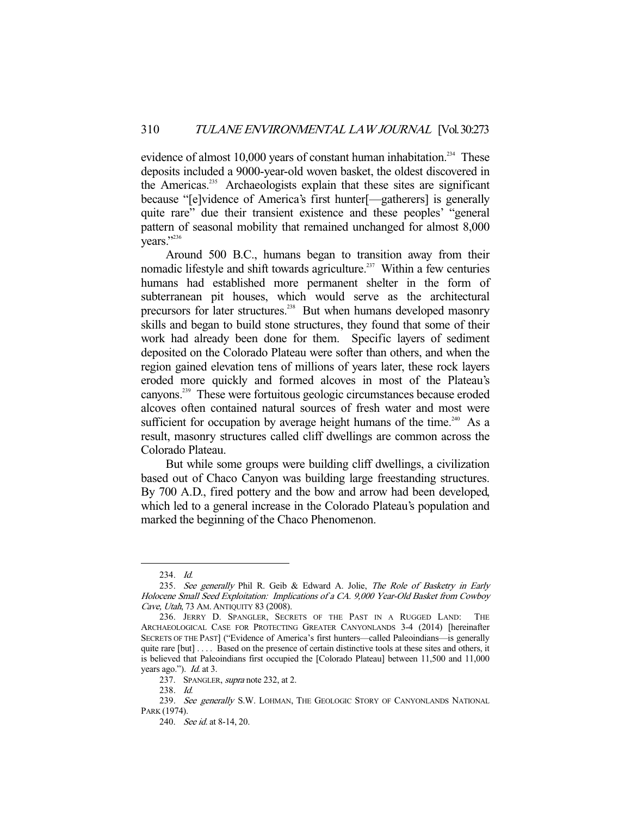evidence of almost 10,000 years of constant human inhabitation.<sup>234</sup> These deposits included a 9000-year-old woven basket, the oldest discovered in the Americas.<sup>235</sup> Archaeologists explain that these sites are significant because "[e]vidence of America's first hunter[—gatherers] is generally quite rare" due their transient existence and these peoples' "general pattern of seasonal mobility that remained unchanged for almost 8,000 vears."<sup>236</sup>

 Around 500 B.C., humans began to transition away from their nomadic lifestyle and shift towards agriculture.<sup>237</sup> Within a few centuries humans had established more permanent shelter in the form of subterranean pit houses, which would serve as the architectural precursors for later structures.<sup>238</sup> But when humans developed masonry skills and began to build stone structures, they found that some of their work had already been done for them. Specific layers of sediment deposited on the Colorado Plateau were softer than others, and when the region gained elevation tens of millions of years later, these rock layers eroded more quickly and formed alcoves in most of the Plateau's canyons.239 These were fortuitous geologic circumstances because eroded alcoves often contained natural sources of fresh water and most were sufficient for occupation by average height humans of the time.<sup>240</sup> As a result, masonry structures called cliff dwellings are common across the Colorado Plateau.

 But while some groups were building cliff dwellings, a civilization based out of Chaco Canyon was building large freestanding structures. By 700 A.D., fired pottery and the bow and arrow had been developed, which led to a general increase in the Colorado Plateau's population and marked the beginning of the Chaco Phenomenon.

 <sup>234.</sup> Id.

<sup>235.</sup> See generally Phil R. Geib & Edward A. Jolie, The Role of Basketry in Early Holocene Small Seed Exploitation: Implications of a CA. 9,000 Year-Old Basket from Cowboy Cave, Utah, 73 AM. ANTIQUITY 83 (2008).

 <sup>236.</sup> JERRY D. SPANGLER, SECRETS OF THE PAST IN A RUGGED LAND: THE ARCHAEOLOGICAL CASE FOR PROTECTING GREATER CANYONLANDS 3-4 (2014) [hereinafter SECRETS OF THE PAST] ("Evidence of America's first hunters—called Paleoindians—is generally quite rare [but] . . . . Based on the presence of certain distinctive tools at these sites and others, it is believed that Paleoindians first occupied the [Colorado Plateau] between 11,500 and 11,000 years ago."). *Id.* at 3.

<sup>237.</sup> SPANGLER, *supra* note 232, at 2.

 <sup>238.</sup> Id.

<sup>239.</sup> See generally S.W. LOHMAN, THE GEOLOGIC STORY OF CANYONLANDS NATIONAL PARK (1974).

 <sup>240.</sup> See id. at 8-14, 20.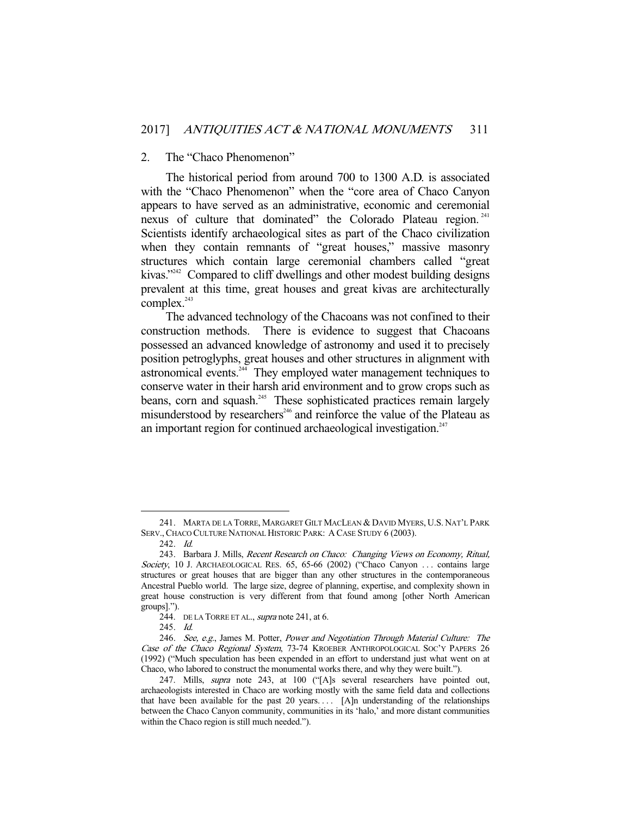#### 2. The "Chaco Phenomenon"

 The historical period from around 700 to 1300 A.D. is associated with the "Chaco Phenomenon" when the "core area of Chaco Canyon appears to have served as an administrative, economic and ceremonial nexus of culture that dominated" the Colorado Plateau region.<sup>241</sup> Scientists identify archaeological sites as part of the Chaco civilization when they contain remnants of "great houses," massive masonry structures which contain large ceremonial chambers called "great kivas."<sup>242</sup> Compared to cliff dwellings and other modest building designs prevalent at this time, great houses and great kivas are architecturally complex.<sup>243</sup>

 The advanced technology of the Chacoans was not confined to their construction methods. There is evidence to suggest that Chacoans possessed an advanced knowledge of astronomy and used it to precisely position petroglyphs, great houses and other structures in alignment with astronomical events.<sup>244</sup> They employed water management techniques to conserve water in their harsh arid environment and to grow crops such as beans, corn and squash.<sup>245</sup> These sophisticated practices remain largely misunderstood by researchers<sup>246</sup> and reinforce the value of the Plateau as an important region for continued archaeological investigation.<sup>247</sup>

 <sup>241.</sup> MARTA DE LA TORRE, MARGARET GILT MACLEAN & DAVID MYERS, U.S. NAT'L PARK SERV., CHACO CULTURE NATIONAL HISTORIC PARK: A CASE STUDY 6 (2003).

 <sup>242.</sup> Id.

 <sup>243.</sup> Barbara J. Mills, Recent Research on Chaco: Changing Views on Economy, Ritual, Society, 10 J. ARCHAEOLOGICAL RES. 65, 65-66 (2002) ("Chaco Canyon ... contains large structures or great houses that are bigger than any other structures in the contemporaneous Ancestral Pueblo world. The large size, degree of planning, expertise, and complexity shown in great house construction is very different from that found among [other North American groups].").

<sup>244.</sup> DE LA TORRE ET AL., *supra* note 241, at 6.

 <sup>245.</sup> Id.

 <sup>246.</sup> See, e.g., James M. Potter, Power and Negotiation Through Material Culture: The Case of the Chaco Regional System, 73-74 KROEBER ANTHROPOLOGICAL SOC'Y PAPERS 26 (1992) ("Much speculation has been expended in an effort to understand just what went on at Chaco, who labored to construct the monumental works there, and why they were built.").

<sup>247.</sup> Mills, *supra* note 243, at 100 ("[A]s several researchers have pointed out, archaeologists interested in Chaco are working mostly with the same field data and collections that have been available for the past 20 years. . . . [A]n understanding of the relationships between the Chaco Canyon community, communities in its 'halo,' and more distant communities within the Chaco region is still much needed.").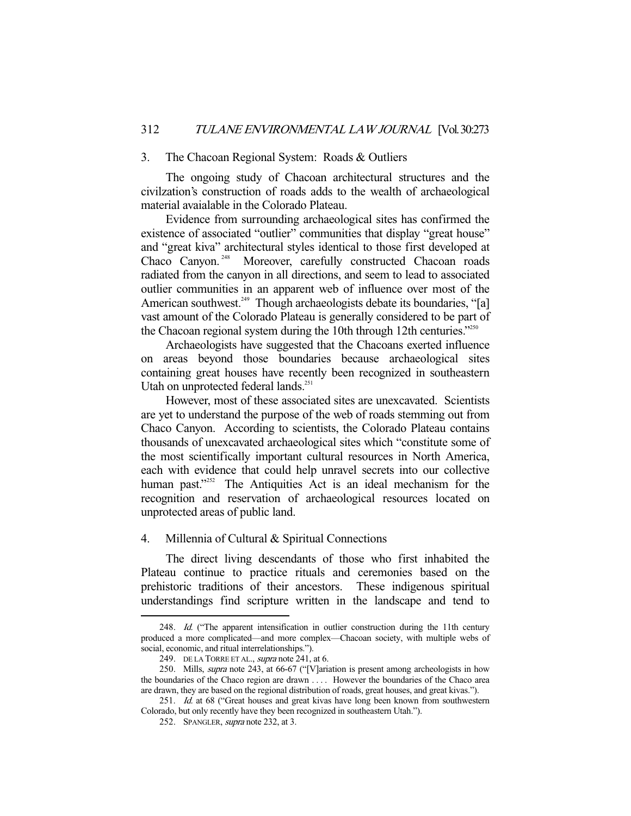#### 3. The Chacoan Regional System: Roads & Outliers

 The ongoing study of Chacoan architectural structures and the civilzation's construction of roads adds to the wealth of archaeological material avaialable in the Colorado Plateau.

 Evidence from surrounding archaeological sites has confirmed the existence of associated "outlier" communities that display "great house" and "great kiva" architectural styles identical to those first developed at Chaco Canyon.<sup>248</sup> Moreover, carefully constructed Chacoan roads radiated from the canyon in all directions, and seem to lead to associated outlier communities in an apparent web of influence over most of the American southwest.<sup>249</sup> Though archaeologists debate its boundaries, "[a] vast amount of the Colorado Plateau is generally considered to be part of the Chacoan regional system during the 10th through 12th centuries." $250$ 

 Archaeologists have suggested that the Chacoans exerted influence on areas beyond those boundaries because archaeological sites containing great houses have recently been recognized in southeastern Utah on unprotected federal lands.<sup>251</sup>

 However, most of these associated sites are unexcavated. Scientists are yet to understand the purpose of the web of roads stemming out from Chaco Canyon. According to scientists, the Colorado Plateau contains thousands of unexcavated archaeological sites which "constitute some of the most scientifically important cultural resources in North America, each with evidence that could help unravel secrets into our collective human past."<sup>252</sup> The Antiquities Act is an ideal mechanism for the recognition and reservation of archaeological resources located on unprotected areas of public land.

## 4. Millennia of Cultural & Spiritual Connections

 The direct living descendants of those who first inhabited the Plateau continue to practice rituals and ceremonies based on the prehistoric traditions of their ancestors. These indigenous spiritual understandings find scripture written in the landscape and tend to

<sup>248.</sup> Id. ("The apparent intensification in outlier construction during the 11th century produced a more complicated—and more complex—Chacoan society, with multiple webs of social, economic, and ritual interrelationships.").

<sup>249.</sup> DE LA TORRE ET AL., *supra* note 241, at 6.

<sup>250.</sup> Mills, *supra* note 243, at 66-67 ("[V]ariation is present among archeologists in how the boundaries of the Chaco region are drawn . . . . However the boundaries of the Chaco area are drawn, they are based on the regional distribution of roads, great houses, and great kivas.").

<sup>251.</sup> Id. at 68 ("Great houses and great kivas have long been known from southwestern Colorado, but only recently have they been recognized in southeastern Utah.").

<sup>252.</sup> SPANGLER, *supra* note 232, at 3.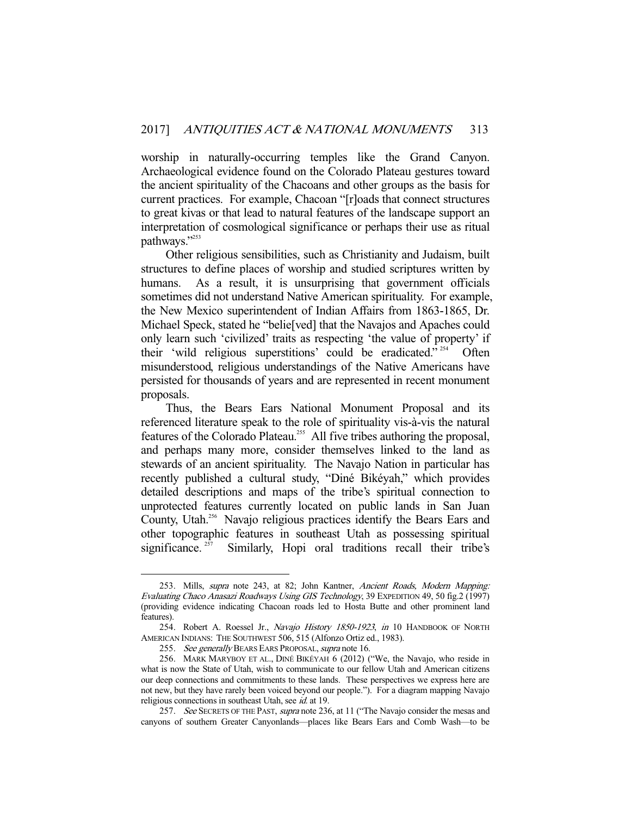worship in naturally-occurring temples like the Grand Canyon. Archaeological evidence found on the Colorado Plateau gestures toward the ancient spirituality of the Chacoans and other groups as the basis for current practices. For example, Chacoan "[r]oads that connect structures to great kivas or that lead to natural features of the landscape support an interpretation of cosmological significance or perhaps their use as ritual pathways."<sup>253</sup>

 Other religious sensibilities, such as Christianity and Judaism, built structures to define places of worship and studied scriptures written by humans. As a result, it is unsurprising that government officials sometimes did not understand Native American spirituality. For example, the New Mexico superintendent of Indian Affairs from 1863-1865, Dr. Michael Speck, stated he "belie[ved] that the Navajos and Apaches could only learn such 'civilized' traits as respecting 'the value of property' if their 'wild religious superstitions' could be eradicated."<sup>254</sup> Often misunderstood, religious understandings of the Native Americans have persisted for thousands of years and are represented in recent monument proposals.

 Thus, the Bears Ears National Monument Proposal and its referenced literature speak to the role of spirituality vis-à-vis the natural features of the Colorado Plateau.<sup>255</sup> All five tribes authoring the proposal, and perhaps many more, consider themselves linked to the land as stewards of an ancient spirituality. The Navajo Nation in particular has recently published a cultural study, "Diné Bikéyah," which provides detailed descriptions and maps of the tribe's spiritual connection to unprotected features currently located on public lands in San Juan County, Utah.<sup>256</sup> Navajo religious practices identify the Bears Ears and other topographic features in southeast Utah as possessing spiritual significance.<sup>257</sup> Similarly, Hopi oral traditions recall their tribe's

 <sup>253.</sup> Mills, supra note 243, at 82; John Kantner, Ancient Roads, Modern Mapping: Evaluating Chaco Anasazi Roadways Using GIS Technology, 39 EXPEDITION 49, 50 fig.2 (1997) (providing evidence indicating Chacoan roads led to Hosta Butte and other prominent land features).

<sup>254.</sup> Robert A. Roessel Jr., Navajo History 1850-1923, in 10 HANDBOOK OF NORTH AMERICAN INDIANS: THE SOUTHWEST 506, 515 (Alfonzo Ortiz ed., 1983).

<sup>255.</sup> See generally BEARS EARS PROPOSAL, supra note 16.

 <sup>256.</sup> MARK MARYBOY ET AL., DINÉ BIKÉYAH 6 (2012) ("We, the Navajo, who reside in what is now the State of Utah, wish to communicate to our fellow Utah and American citizens our deep connections and commitments to these lands. These perspectives we express here are not new, but they have rarely been voiced beyond our people."). For a diagram mapping Navajo religious connections in southeast Utah, see *id.* at 19.

<sup>257.</sup> See SECRETS OF THE PAST, supra note 236, at 11 ("The Navajo consider the mesas and canyons of southern Greater Canyonlands—places like Bears Ears and Comb Wash—to be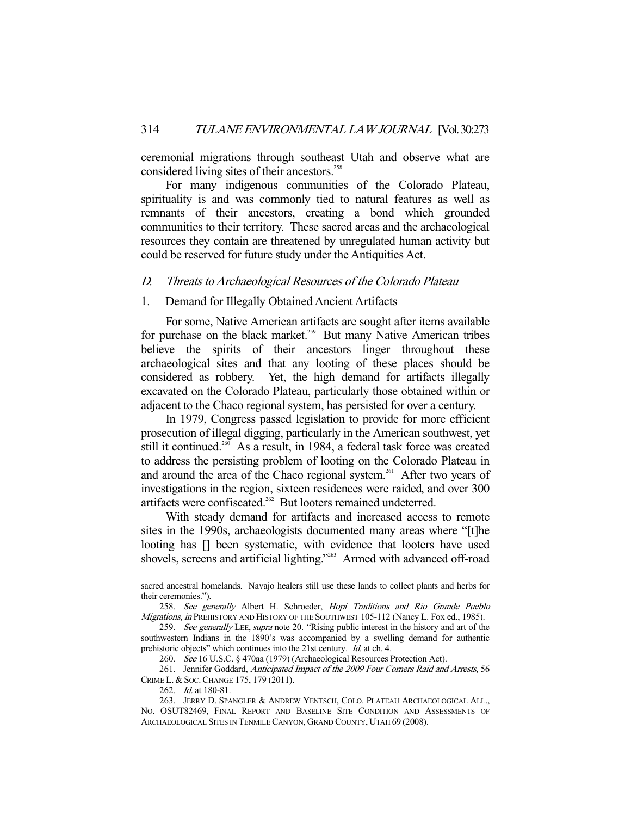ceremonial migrations through southeast Utah and observe what are considered living sites of their ancestors.<sup>258</sup>

 For many indigenous communities of the Colorado Plateau, spirituality is and was commonly tied to natural features as well as remnants of their ancestors, creating a bond which grounded communities to their territory. These sacred areas and the archaeological resources they contain are threatened by unregulated human activity but could be reserved for future study under the Antiquities Act.

# D. Threats to Archaeological Resources of the Colorado Plateau

## 1. Demand for Illegally Obtained Ancient Artifacts

 For some, Native American artifacts are sought after items available for purchase on the black market.<sup>259</sup> But many Native American tribes believe the spirits of their ancestors linger throughout these archaeological sites and that any looting of these places should be considered as robbery. Yet, the high demand for artifacts illegally excavated on the Colorado Plateau, particularly those obtained within or adjacent to the Chaco regional system, has persisted for over a century.

 In 1979, Congress passed legislation to provide for more efficient prosecution of illegal digging, particularly in the American southwest, yet still it continued.<sup>260</sup> As a result, in 1984, a federal task force was created to address the persisting problem of looting on the Colorado Plateau in and around the area of the Chaco regional system.<sup>261</sup> After two years of investigations in the region, sixteen residences were raided, and over 300 artifacts were confiscated.<sup>262</sup> But looters remained undeterred.

 With steady demand for artifacts and increased access to remote sites in the 1990s, archaeologists documented many areas where "[t]he looting has [] been systematic, with evidence that looters have used shovels, screens and artificial lighting."<sup>263</sup> Armed with advanced off-road

sacred ancestral homelands. Navajo healers still use these lands to collect plants and herbs for their ceremonies.").

 <sup>258.</sup> See generally Albert H. Schroeder, Hopi Traditions and Rio Grande Pueblo Migrations, in PREHISTORY AND HISTORY OF THE SOUTHWEST 105-112 (Nancy L. Fox ed., 1985).

<sup>259.</sup> See generally LEE, supra note 20. "Rising public interest in the history and art of the southwestern Indians in the 1890's was accompanied by a swelling demand for authentic prehistoric objects" which continues into the 21st century. Id. at ch. 4.

 <sup>260.</sup> See 16 U.S.C. § 470aa (1979) (Archaeological Resources Protection Act).

<sup>261.</sup> Jennifer Goddard, Anticipated Impact of the 2009 Four Corners Raid and Arrests, 56 CRIME L. & SOC.CHANGE 175, 179 (2011).

 <sup>262.</sup> Id. at 180-81.

 <sup>263.</sup> JERRY D. SPANGLER & ANDREW YENTSCH, COLO. PLATEAU ARCHAEOLOGICAL ALL., NO. OSUT82469, FINAL REPORT AND BASELINE SITE CONDITION AND ASSESSMENTS OF ARCHAEOLOGICAL SITES IN TENMILE CANYON, GRAND COUNTY, UTAH 69 (2008).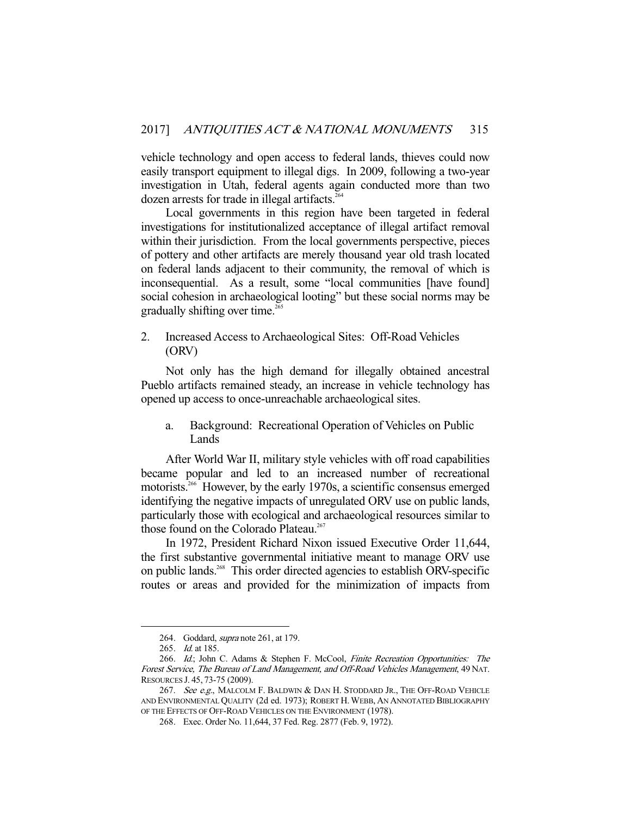vehicle technology and open access to federal lands, thieves could now easily transport equipment to illegal digs. In 2009, following a two-year investigation in Utah, federal agents again conducted more than two dozen arrests for trade in illegal artifacts.<sup>264</sup>

 Local governments in this region have been targeted in federal investigations for institutionalized acceptance of illegal artifact removal within their jurisdiction. From the local governments perspective, pieces of pottery and other artifacts are merely thousand year old trash located on federal lands adjacent to their community, the removal of which is inconsequential. As a result, some "local communities [have found] social cohesion in archaeological looting" but these social norms may be gradually shifting over time.<sup>265</sup>

2. Increased Access to Archaeological Sites: Off-Road Vehicles (ORV)

 Not only has the high demand for illegally obtained ancestral Pueblo artifacts remained steady, an increase in vehicle technology has opened up access to once-unreachable archaeological sites.

a. Background: Recreational Operation of Vehicles on Public Lands

 After World War II, military style vehicles with off road capabilities became popular and led to an increased number of recreational motorists.<sup>266</sup> However, by the early 1970s, a scientific consensus emerged identifying the negative impacts of unregulated ORV use on public lands, particularly those with ecological and archaeological resources similar to those found on the Colorado Plateau.<sup>267</sup>

 In 1972, President Richard Nixon issued Executive Order 11,644, the first substantive governmental initiative meant to manage ORV use on public lands.<sup>268</sup> This order directed agencies to establish ORV-specific routes or areas and provided for the minimization of impacts from

<sup>264.</sup> Goddard, *supra* note 261, at 179.

 <sup>265.</sup> Id. at 185.

<sup>266.</sup> Id.; John C. Adams & Stephen F. McCool, Finite Recreation Opportunities: The Forest Service, The Bureau of Land Management, and Off-Road Vehicles Management, 49 NAT. RESOURCES J. 45, 73-75 (2009).

<sup>267.</sup> See e.g., MALCOLM F. BALDWIN & DAN H. STODDARD JR., THE OFF-ROAD VEHICLE AND ENVIRONMENTAL QUALITY (2d ed. 1973); ROBERT H.WEBB, AN ANNOTATED BIBLIOGRAPHY OF THE EFFECTS OF OFF-ROAD VEHICLES ON THE ENVIRONMENT (1978).

 <sup>268.</sup> Exec. Order No. 11,644, 37 Fed. Reg. 2877 (Feb. 9, 1972).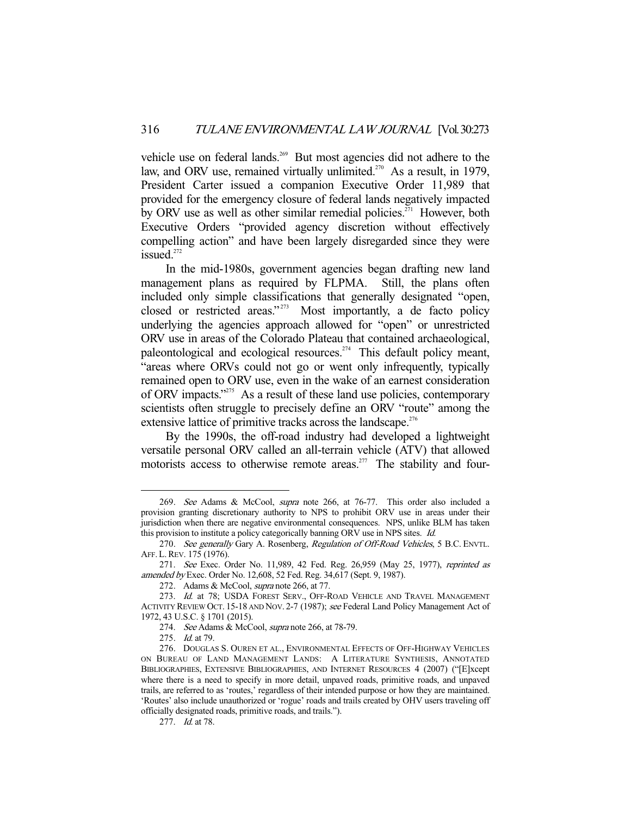vehicle use on federal lands.<sup>269</sup> But most agencies did not adhere to the law, and ORV use, remained virtually unlimited.<sup>270</sup> As a result, in 1979, President Carter issued a companion Executive Order 11,989 that provided for the emergency closure of federal lands negatively impacted by ORV use as well as other similar remedial policies.<sup>271</sup> However, both Executive Orders "provided agency discretion without effectively compelling action" and have been largely disregarded since they were issued. $272$ 

 In the mid-1980s, government agencies began drafting new land management plans as required by FLPMA. Still, the plans often included only simple classifications that generally designated "open, closed or restricted areas."<sup>273</sup> Most importantly, a de facto policy underlying the agencies approach allowed for "open" or unrestricted ORV use in areas of the Colorado Plateau that contained archaeological, paleontological and ecological resources.<sup>274</sup> This default policy meant, "areas where ORVs could not go or went only infrequently, typically remained open to ORV use, even in the wake of an earnest consideration of ORV impacts."<sup>275</sup> As a result of these land use policies, contemporary scientists often struggle to precisely define an ORV "route" among the extensive lattice of primitive tracks across the landscape.<sup>276</sup>

 By the 1990s, the off-road industry had developed a lightweight versatile personal ORV called an all-terrain vehicle (ATV) that allowed motorists access to otherwise remote areas.<sup>277</sup> The stability and four-

 <sup>269.</sup> See Adams & McCool, supra note 266, at 76-77. This order also included a provision granting discretionary authority to NPS to prohibit ORV use in areas under their jurisdiction when there are negative environmental consequences. NPS, unlike BLM has taken this provision to institute a policy categorically banning ORV use in NPS sites. Id.

<sup>270.</sup> See generally Gary A. Rosenberg, Regulation of Off-Road Vehicles, 5 B.C. ENVTL. AFF.L.REV. 175 (1976).

<sup>271.</sup> See Exec. Order No. 11,989, 42 Fed. Reg. 26,959 (May 25, 1977), reprinted as amended by Exec. Order No. 12,608, 52 Fed. Reg. 34,617 (Sept. 9, 1987).

 <sup>272.</sup> Adams & McCool, supra note 266, at 77.

<sup>273.</sup> Id. at 78; USDA FOREST SERV., OFF-ROAD VEHICLE AND TRAVEL MANAGEMENT ACTIVITY REVIEW OCT. 15-18 AND NOV. 2-7 (1987); see Federal Land Policy Management Act of 1972, 43 U.S.C. § 1701 (2015).

<sup>274.</sup> See Adams & McCool, supra note 266, at 78-79.

 <sup>275.</sup> Id. at 79.

 <sup>276.</sup> DOUGLAS S. OUREN ET AL., ENVIRONMENTAL EFFECTS OF OFF-HIGHWAY VEHICLES ON BUREAU OF LAND MANAGEMENT LANDS: A LITERATURE SYNTHESIS, ANNOTATED BIBLIOGRAPHIES, EXTENSIVE BIBLIOGRAPHIES, AND INTERNET RESOURCES 4 (2007) ("[E]xcept where there is a need to specify in more detail, unpaved roads, primitive roads, and unpaved trails, are referred to as 'routes,' regardless of their intended purpose or how they are maintained. 'Routes' also include unauthorized or 'rogue' roads and trails created by OHV users traveling off officially designated roads, primitive roads, and trails.").

 <sup>277.</sup> Id. at 78.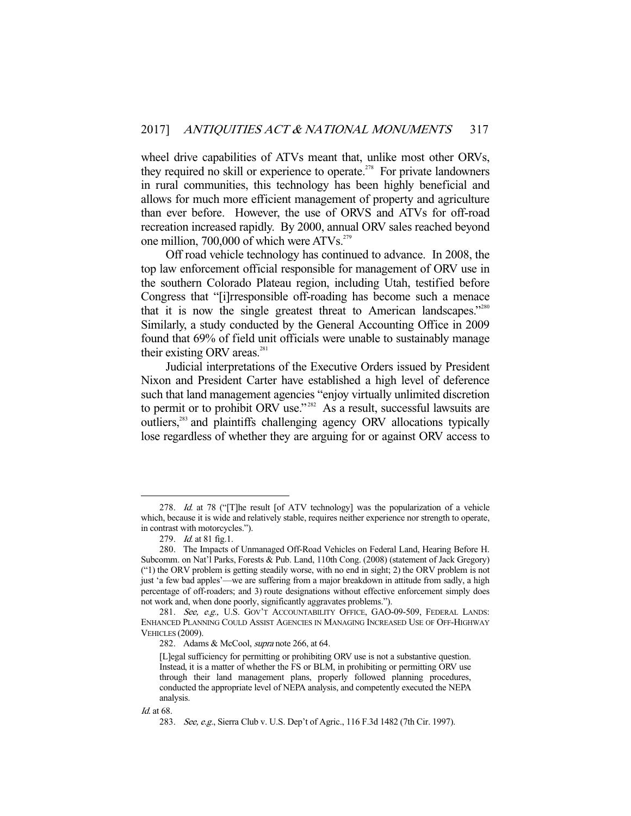wheel drive capabilities of ATVs meant that, unlike most other ORVs, they required no skill or experience to operate.<sup>278</sup> For private landowners in rural communities, this technology has been highly beneficial and allows for much more efficient management of property and agriculture than ever before. However, the use of ORVS and ATVs for off-road recreation increased rapidly. By 2000, annual ORV sales reached beyond one million, 700,000 of which were ATVs.<sup>279</sup>

 Off road vehicle technology has continued to advance. In 2008, the top law enforcement official responsible for management of ORV use in the southern Colorado Plateau region, including Utah, testified before Congress that "[i]rresponsible off-roading has become such a menace that it is now the single greatest threat to American landscapes."<sup>280</sup> Similarly, a study conducted by the General Accounting Office in 2009 found that 69% of field unit officials were unable to sustainably manage their existing ORV areas. $281$ 

 Judicial interpretations of the Executive Orders issued by President Nixon and President Carter have established a high level of deference such that land management agencies "enjoy virtually unlimited discretion to permit or to prohibit ORV use."<sup>282</sup> As a result, successful lawsuits are outliers,<sup>283</sup> and plaintiffs challenging agency ORV allocations typically lose regardless of whether they are arguing for or against ORV access to

<sup>278.</sup> Id. at 78 ("[T]he result [of ATV technology] was the popularization of a vehicle which, because it is wide and relatively stable, requires neither experience nor strength to operate, in contrast with motorcycles.").

<sup>279.</sup> *Id.* at 81 fig.1.

 <sup>280.</sup> The Impacts of Unmanaged Off-Road Vehicles on Federal Land, Hearing Before H. Subcomm. on Nat'l Parks, Forests & Pub. Land, 110th Cong. (2008) (statement of Jack Gregory) ("1) the ORV problem is getting steadily worse, with no end in sight; 2) the ORV problem is not just 'a few bad apples'—we are suffering from a major breakdown in attitude from sadly, a high percentage of off-roaders; and 3) route designations without effective enforcement simply does not work and, when done poorly, significantly aggravates problems.").

<sup>281.</sup> See, e.g., U.S. GOV'T ACCOUNTABILITY OFFICE, GAO-09-509, FEDERAL LANDS: ENHANCED PLANNING COULD ASSIST AGENCIES IN MANAGING INCREASED USE OF OFF-HIGHWAY VEHICLES (2009).

<sup>282.</sup> Adams & McCool, *supra* note 266, at 64.

<sup>[</sup>L]egal sufficiency for permitting or prohibiting ORV use is not a substantive question. Instead, it is a matter of whether the FS or BLM, in prohibiting or permitting ORV use through their land management plans, properly followed planning procedures, conducted the appropriate level of NEPA analysis, and competently executed the NEPA analysis.

Id. at 68.

 <sup>283.</sup> See, e.g., Sierra Club v. U.S. Dep't of Agric., 116 F.3d 1482 (7th Cir. 1997).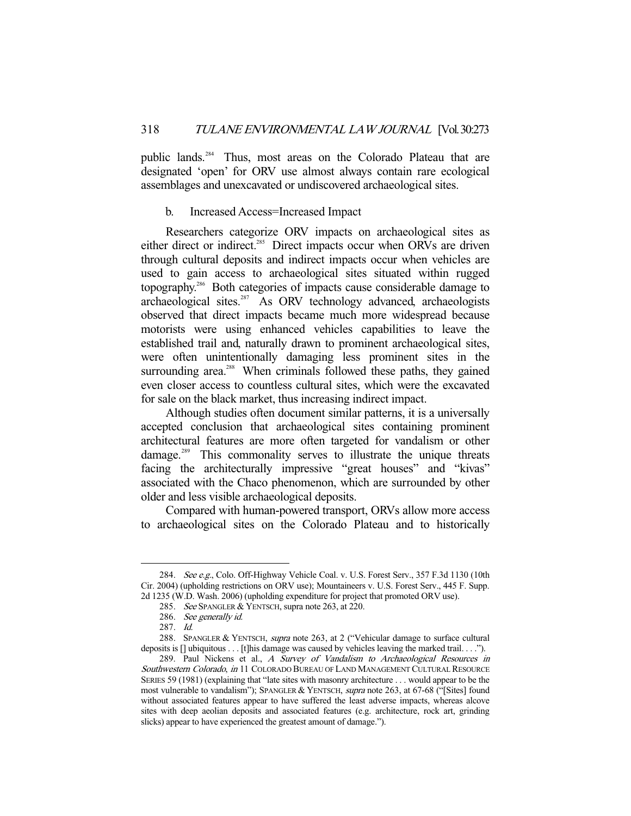public lands.<sup>284</sup> Thus, most areas on the Colorado Plateau that are designated 'open' for ORV use almost always contain rare ecological assemblages and unexcavated or undiscovered archaeological sites.

## b. Increased Access=Increased Impact

 Researchers categorize ORV impacts on archaeological sites as either direct or indirect.<sup>285</sup> Direct impacts occur when ORVs are driven through cultural deposits and indirect impacts occur when vehicles are used to gain access to archaeological sites situated within rugged topography.286 Both categories of impacts cause considerable damage to  $arehaeological sites.<sup>287</sup>$  As ORV technology advanced, archaeologists observed that direct impacts became much more widespread because motorists were using enhanced vehicles capabilities to leave the established trail and, naturally drawn to prominent archaeological sites, were often unintentionally damaging less prominent sites in the surrounding area.<sup>288</sup> When criminals followed these paths, they gained even closer access to countless cultural sites, which were the excavated for sale on the black market, thus increasing indirect impact.

 Although studies often document similar patterns, it is a universally accepted conclusion that archaeological sites containing prominent architectural features are more often targeted for vandalism or other damage.<sup>289</sup> This commonality serves to illustrate the unique threats facing the architecturally impressive "great houses" and "kivas" associated with the Chaco phenomenon, which are surrounded by other older and less visible archaeological deposits.

 Compared with human-powered transport, ORVs allow more access to archaeological sites on the Colorado Plateau and to historically

<sup>284.</sup> See e.g., Colo. Off-Highway Vehicle Coal. v. U.S. Forest Serv., 357 F.3d 1130 (10th Cir. 2004) (upholding restrictions on ORV use); Mountaineers v. U.S. Forest Serv., 445 F. Supp. 2d 1235 (W.D. Wash. 2006) (upholding expenditure for project that promoted ORV use).

 <sup>285.</sup> See SPANGLER & YENTSCH, supra note 263, at 220.

 <sup>286.</sup> See generally id.

 <sup>287.</sup> Id.

<sup>288.</sup> SPANGLER & YENTSCH, supra note 263, at 2 ("Vehicular damage to surface cultural deposits is [] ubiquitous . . . [t]his damage was caused by vehicles leaving the marked trail. . . .").

<sup>289.</sup> Paul Nickens et al., A Survey of Vandalism to Archaeological Resources in Southwestern Colorado, in 11 COLORADO BUREAU OF LAND MANAGEMENT CULTURAL RESOURCE SERIES 59 (1981) (explaining that "late sites with masonry architecture . . . would appear to be the most vulnerable to vandalism"); SPANGLER & YENTSCH, supra note 263, at 67-68 ("[Sites] found without associated features appear to have suffered the least adverse impacts, whereas alcove sites with deep aeolian deposits and associated features (e.g. architecture, rock art, grinding slicks) appear to have experienced the greatest amount of damage.").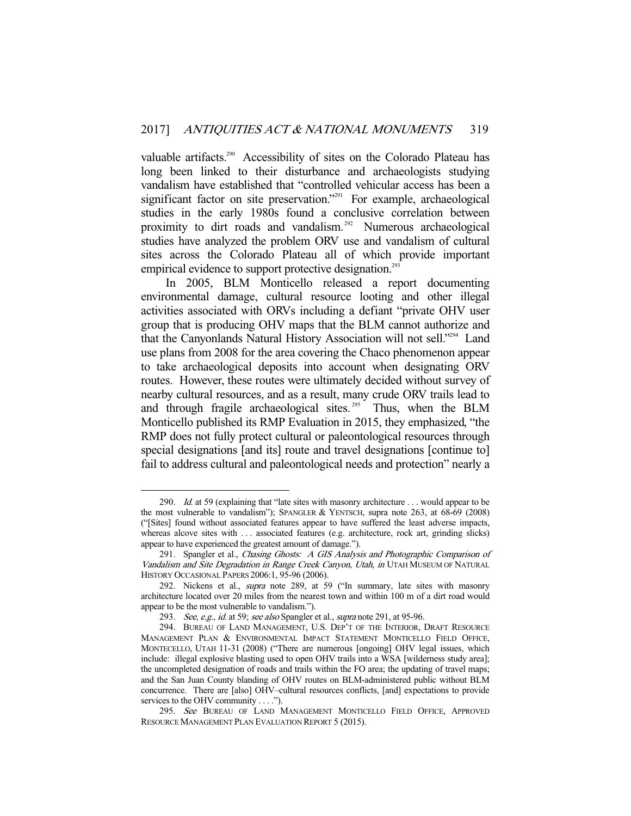valuable artifacts.<sup>290</sup> Accessibility of sites on the Colorado Plateau has long been linked to their disturbance and archaeologists studying vandalism have established that "controlled vehicular access has been a significant factor on site preservation."<sup>291</sup> For example, archaeological studies in the early 1980s found a conclusive correlation between proximity to dirt roads and vandalism.<sup>292</sup> Numerous archaeological studies have analyzed the problem ORV use and vandalism of cultural sites across the Colorado Plateau all of which provide important empirical evidence to support protective designation.<sup>293</sup>

 In 2005, BLM Monticello released a report documenting environmental damage, cultural resource looting and other illegal activities associated with ORVs including a defiant "private OHV user group that is producing OHV maps that the BLM cannot authorize and that the Canyonlands Natural History Association will not sell."294 Land use plans from 2008 for the area covering the Chaco phenomenon appear to take archaeological deposits into account when designating ORV routes. However, these routes were ultimately decided without survey of nearby cultural resources, and as a result, many crude ORV trails lead to and through fragile archaeological sites.<sup>295</sup> Thus, when the BLM Monticello published its RMP Evaluation in 2015, they emphasized, "the RMP does not fully protect cultural or paleontological resources through special designations [and its] route and travel designations [continue to] fail to address cultural and paleontological needs and protection" nearly a

<sup>290.</sup> Id. at 59 (explaining that "late sites with masonry architecture . . . would appear to be the most vulnerable to vandalism"); SPANGLER & YENTSCH, supra note 263, at 68-69 (2008) ("[Sites] found without associated features appear to have suffered the least adverse impacts, whereas alcove sites with ... associated features (e.g. architecture, rock art, grinding slicks) appear to have experienced the greatest amount of damage.").

<sup>291.</sup> Spangler et al., Chasing Ghosts: A GIS Analysis and Photographic Comparison of Vandalism and Site Degradation in Range Creek Canyon, Utah, in UTAH MUSEUM OF NATURAL HISTORY OCCASIONAL PAPERS 2006:1, 95-96 (2006).

 <sup>292.</sup> Nickens et al., supra note 289, at 59 ("In summary, late sites with masonry architecture located over 20 miles from the nearest town and within 100 m of a dirt road would appear to be the most vulnerable to vandalism.").

<sup>293.</sup> See, e.g., id. at 59; see also Spangler et al., supra note 291, at 95-96.

 <sup>294.</sup> BUREAU OF LAND MANAGEMENT, U.S. DEP'T OF THE INTERIOR, DRAFT RESOURCE MANAGEMENT PLAN & ENVIRONMENTAL IMPACT STATEMENT MONTICELLO FIELD OFFICE, MONTECELLO, UTAH 11-31 (2008) ("There are numerous [ongoing] OHV legal issues, which include: illegal explosive blasting used to open OHV trails into a WSA [wilderness study area]; the uncompleted designation of roads and trails within the FO area; the updating of travel maps; and the San Juan County blanding of OHV routes on BLM-administered public without BLM concurrence. There are [also] OHV–cultural resources conflicts, [and] expectations to provide services to the OHV community . . . .").

<sup>295.</sup> See BUREAU OF LAND MANAGEMENT MONTICELLO FIELD OFFICE, APPROVED RESOURCE MANAGEMENT PLAN EVALUATION REPORT 5 (2015).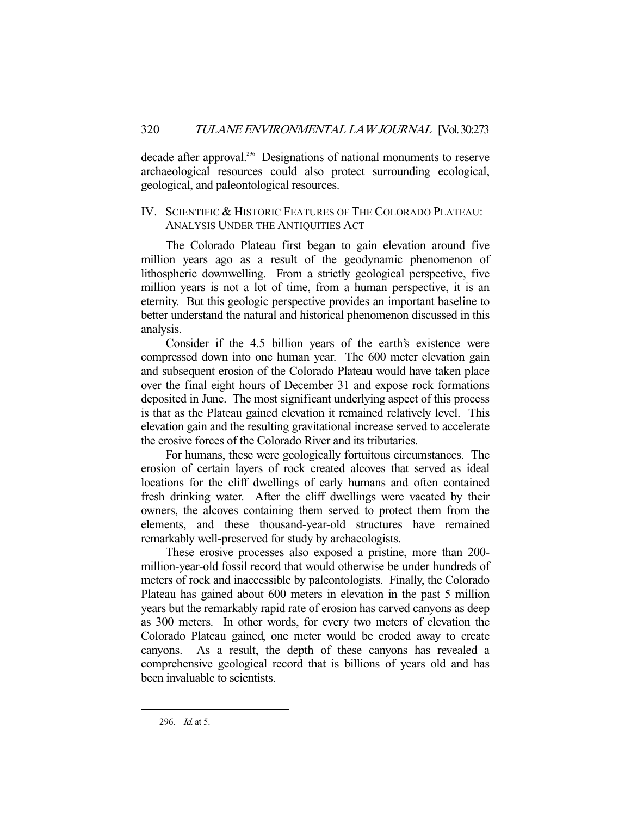decade after approval.<sup>296</sup> Designations of national monuments to reserve archaeological resources could also protect surrounding ecological, geological, and paleontological resources.

# IV. SCIENTIFIC & HISTORIC FEATURES OF THE COLORADO PLATEAU: ANALYSIS UNDER THE ANTIQUITIES ACT

 The Colorado Plateau first began to gain elevation around five million years ago as a result of the geodynamic phenomenon of lithospheric downwelling. From a strictly geological perspective, five million years is not a lot of time, from a human perspective, it is an eternity. But this geologic perspective provides an important baseline to better understand the natural and historical phenomenon discussed in this analysis.

 Consider if the 4.5 billion years of the earth's existence were compressed down into one human year. The 600 meter elevation gain and subsequent erosion of the Colorado Plateau would have taken place over the final eight hours of December 31 and expose rock formations deposited in June. The most significant underlying aspect of this process is that as the Plateau gained elevation it remained relatively level. This elevation gain and the resulting gravitational increase served to accelerate the erosive forces of the Colorado River and its tributaries.

 For humans, these were geologically fortuitous circumstances. The erosion of certain layers of rock created alcoves that served as ideal locations for the cliff dwellings of early humans and often contained fresh drinking water. After the cliff dwellings were vacated by their owners, the alcoves containing them served to protect them from the elements, and these thousand-year-old structures have remained remarkably well-preserved for study by archaeologists.

 These erosive processes also exposed a pristine, more than 200 million-year-old fossil record that would otherwise be under hundreds of meters of rock and inaccessible by paleontologists. Finally, the Colorado Plateau has gained about 600 meters in elevation in the past 5 million years but the remarkably rapid rate of erosion has carved canyons as deep as 300 meters. In other words, for every two meters of elevation the Colorado Plateau gained, one meter would be eroded away to create canyons. As a result, the depth of these canyons has revealed a comprehensive geological record that is billions of years old and has been invaluable to scientists.

 <sup>296.</sup> Id. at 5.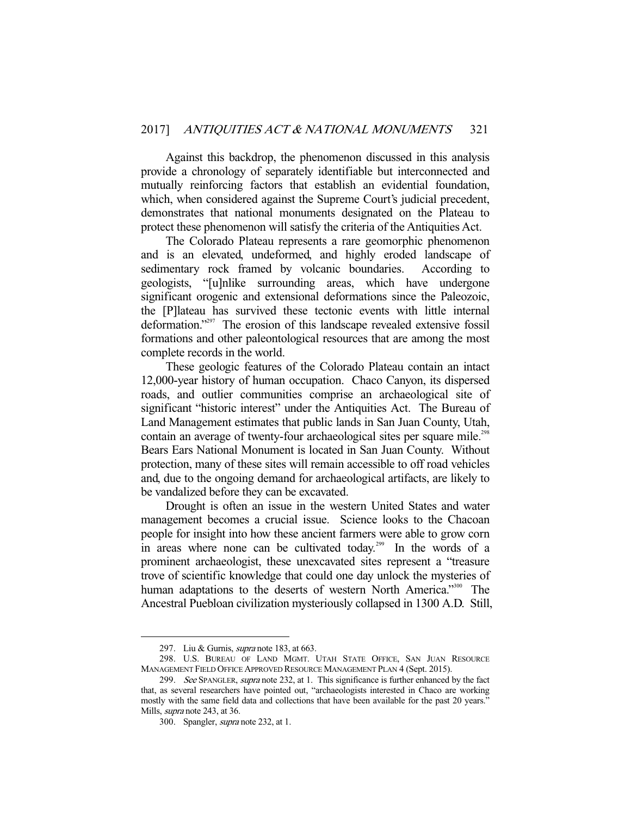Against this backdrop, the phenomenon discussed in this analysis provide a chronology of separately identifiable but interconnected and mutually reinforcing factors that establish an evidential foundation, which, when considered against the Supreme Court's judicial precedent, demonstrates that national monuments designated on the Plateau to protect these phenomenon will satisfy the criteria of the Antiquities Act.

 The Colorado Plateau represents a rare geomorphic phenomenon and is an elevated, undeformed, and highly eroded landscape of sedimentary rock framed by volcanic boundaries. According to geologists, "[u]nlike surrounding areas, which have undergone significant orogenic and extensional deformations since the Paleozoic, the [P]lateau has survived these tectonic events with little internal deformation."<sup>297</sup> The erosion of this landscape revealed extensive fossil formations and other paleontological resources that are among the most complete records in the world.

 These geologic features of the Colorado Plateau contain an intact 12,000-year history of human occupation. Chaco Canyon, its dispersed roads, and outlier communities comprise an archaeological site of significant "historic interest" under the Antiquities Act. The Bureau of Land Management estimates that public lands in San Juan County, Utah, contain an average of twenty-four archaeological sites per square mile.<sup>298</sup> Bears Ears National Monument is located in San Juan County. Without protection, many of these sites will remain accessible to off road vehicles and, due to the ongoing demand for archaeological artifacts, are likely to be vandalized before they can be excavated.

 Drought is often an issue in the western United States and water management becomes a crucial issue. Science looks to the Chacoan people for insight into how these ancient farmers were able to grow corn in areas where none can be cultivated today.<sup>299</sup> In the words of a prominent archaeologist, these unexcavated sites represent a "treasure trove of scientific knowledge that could one day unlock the mysteries of human adaptations to the deserts of western North America."<sup>300</sup> The Ancestral Puebloan civilization mysteriously collapsed in 1300 A.D. Still,

<sup>297.</sup> Liu & Gurnis, *supra* note 183, at 663.

 <sup>298.</sup> U.S. BUREAU OF LAND MGMT. UTAH STATE OFFICE, SAN JUAN RESOURCE MANAGEMENT FIELD OFFICE APPROVED RESOURCE MANAGEMENT PLAN 4 (Sept. 2015).

<sup>299.</sup> See SPANGLER, supra note 232, at 1. This significance is further enhanced by the fact that, as several researchers have pointed out, "archaeologists interested in Chaco are working mostly with the same field data and collections that have been available for the past 20 years." Mills, supra note 243, at 36.

 <sup>300.</sup> Spangler, supra note 232, at 1.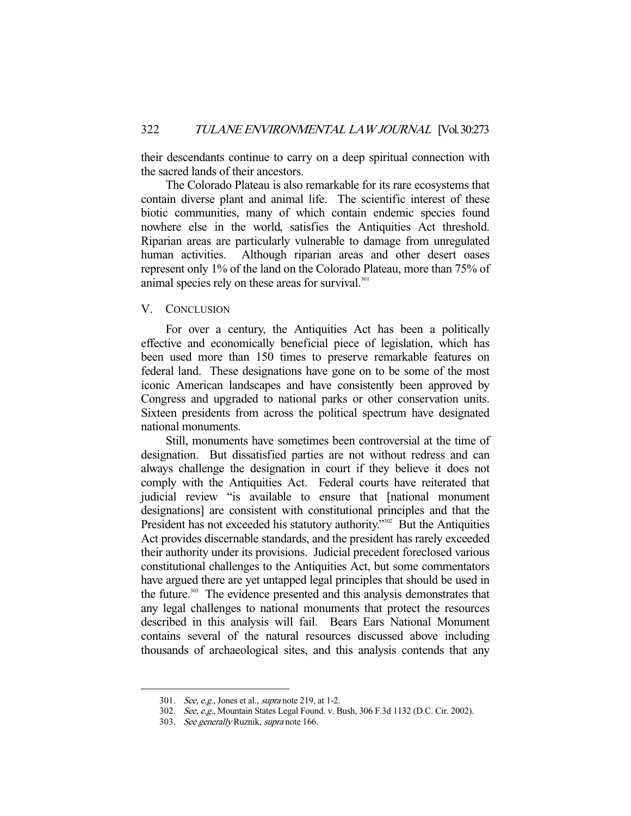their descendants continue to carry on a deep spiritual connection with the sacred lands of their ancestors.

 The Colorado Plateau is also remarkable for its rare ecosystems that contain diverse plant and animal life. The scientific interest of these biotic communities, many of which contain endemic species found nowhere else in the world, satisfies the Antiquities Act threshold. Riparian areas are particularly vulnerable to damage from unregulated human activities. Although riparian areas and other desert oases represent only 1% of the land on the Colorado Plateau, more than 75% of animal species rely on these areas for survival.<sup>301</sup>

## V. CONCLUSION

 For over a century, the Antiquities Act has been a politically effective and economically beneficial piece of legislation, which has been used more than 150 times to preserve remarkable features on federal land. These designations have gone on to be some of the most iconic American landscapes and have consistently been approved by Congress and upgraded to national parks or other conservation units. Sixteen presidents from across the political spectrum have designated national monuments.

 Still, monuments have sometimes been controversial at the time of designation. But dissatisfied parties are not without redress and can always challenge the designation in court if they believe it does not comply with the Antiquities Act. Federal courts have reiterated that judicial review "is available to ensure that [national monument designations] are consistent with constitutional principles and that the President has not exceeded his statutory authority.<sup>7302</sup> But the Antiquities Act provides discernable standards, and the president has rarely exceeded their authority under its provisions. Judicial precedent foreclosed various constitutional challenges to the Antiquities Act, but some commentators have argued there are yet untapped legal principles that should be used in the future.<sup>303</sup> The evidence presented and this analysis demonstrates that any legal challenges to national monuments that protect the resources described in this analysis will fail. Bears Ears National Monument contains several of the natural resources discussed above including thousands of archaeological sites, and this analysis contends that any

<sup>301.</sup> *See, e.g.*, Jones et al., *supra* note 219, at 1-2.

 <sup>302.</sup> See, e.g., Mountain States Legal Found. v. Bush, 306 F.3d 1132 (D.C. Cir. 2002).

 <sup>303.</sup> See generally Ruznik, supra note 166.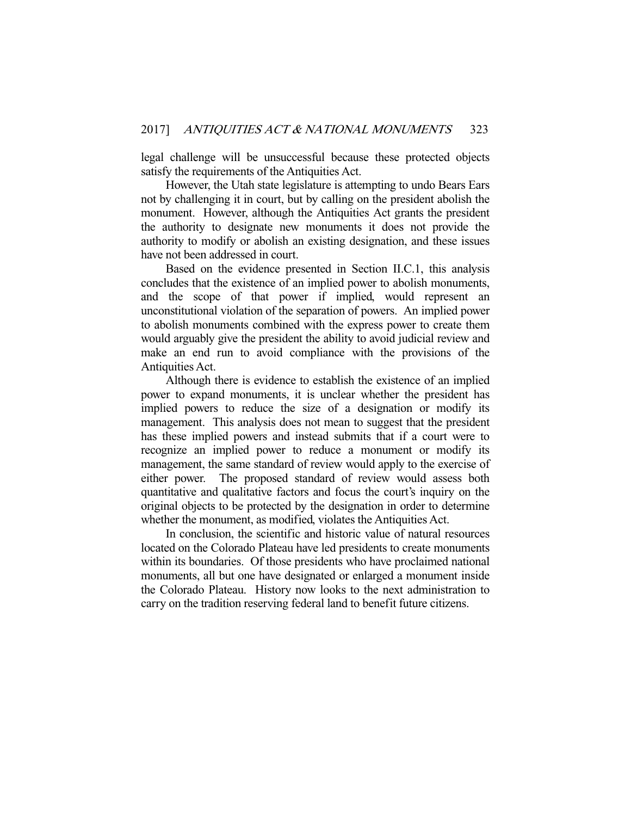legal challenge will be unsuccessful because these protected objects satisfy the requirements of the Antiquities Act.

 However, the Utah state legislature is attempting to undo Bears Ears not by challenging it in court, but by calling on the president abolish the monument. However, although the Antiquities Act grants the president the authority to designate new monuments it does not provide the authority to modify or abolish an existing designation, and these issues have not been addressed in court.

 Based on the evidence presented in Section II.C.1, this analysis concludes that the existence of an implied power to abolish monuments, and the scope of that power if implied, would represent an unconstitutional violation of the separation of powers. An implied power to abolish monuments combined with the express power to create them would arguably give the president the ability to avoid judicial review and make an end run to avoid compliance with the provisions of the Antiquities Act.

 Although there is evidence to establish the existence of an implied power to expand monuments, it is unclear whether the president has implied powers to reduce the size of a designation or modify its management. This analysis does not mean to suggest that the president has these implied powers and instead submits that if a court were to recognize an implied power to reduce a monument or modify its management, the same standard of review would apply to the exercise of either power. The proposed standard of review would assess both quantitative and qualitative factors and focus the court's inquiry on the original objects to be protected by the designation in order to determine whether the monument, as modified, violates the Antiquities Act.

 In conclusion, the scientific and historic value of natural resources located on the Colorado Plateau have led presidents to create monuments within its boundaries. Of those presidents who have proclaimed national monuments, all but one have designated or enlarged a monument inside the Colorado Plateau. History now looks to the next administration to carry on the tradition reserving federal land to benefit future citizens.